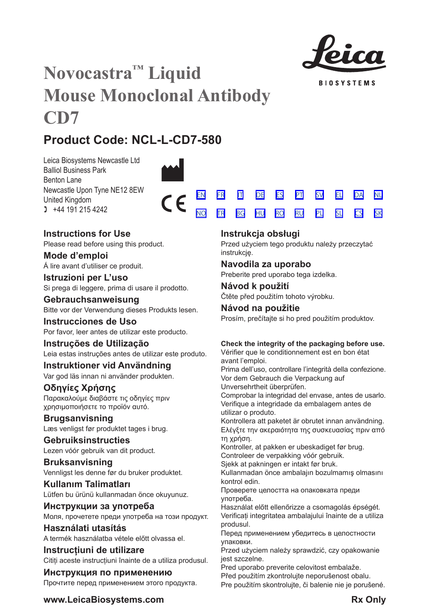

**BIOSYSTEMS** 

[SV](#page-20-0) [EL](#page-23-0) [DA](#page-26-0) [PL](#page-50-0) [SL](#page-53-0) [CS](#page-56-0)

[NL](#page-29-0)

[SK](#page-59-0)

# **Novocastra™ Liquid Mouse Monoclonal Antibody CD7**

## **Product Code: NCL-L-CD7-580**

Leica Biosystems Newcastle Ltd Balliol Business Park Benton Lane Newcastle Upon Tyne NE12 8EW United Kingdom  $1 +44 191 215 4242$ 



## **Instructions for Use**

Please read before using this product.

**Mode d'emploi** Á lire avant d'utiliser ce produit.

**Istruzioni per L'uso** Si prega di leggere, prima di usare il prodotto.

**Gebrauchsanweisung** Bitte vor der Verwendung dieses Produkts lesen.

**Instrucciones de Uso** Por favor, leer antes de utilizar este producto.

## **Instruções de Utilização**

Leia estas instruções antes de utilizar este produto.

## **Instruktioner vid Användning**

Var god läs innan ni använder produkten.

## **Οδηγίες Χρήσης**

Παρακαλούμε διαβάστε τις οδηγίες πριν χρησιμοποιήσετε το προϊόν αυτό.

## **Brugsanvisning**

Læs venligst før produktet tages i brug.

## **Gebruiksinstructies**

Lezen vóór gebruik van dit product.

## **Bruksanvisning** Vennligst les denne før du bruker produktet.

**Kullanım Talimatları** Lütfen bu ürünü kullanmadan önce okuyunuz.

## **Инструкции за употреба** Моля, прочетете преди употреба на този продукт.

**Használati utasítás** A termék használatba vétele előtt olvassa el.

## **Instrucțiuni de utilizare** Cititi aceste instructiuni înainte de a utiliza produsul.

**Инструкция по применению** Прочтите перед применением этого продукта.

## **Instrukcja obsługi**

<u>[NO](#page-32-0) [TR](#page-35-0) [BG](#page-38-0) [HU](#page-41-0) [RO](#page-44-0) [RU](#page-47-0)</u>

Przed użyciem tego produktu należy przeczytać instrukcję.

## **Navodila za uporabo**

Preberite pred uporabo tega izdelka.

## **Návod k použití** Čtěte před použitím tohoto výrobku.

## **Návod na použitie**

Prosím, prečítajte si ho pred použitím produktov.

## **Check the integrity of the packaging before use.**

Vérifier que le conditionnement est en bon état avant l'emploi.

Prima dell'uso, controllare l'integrità della confezione. Vor dem Gebrauch die Verpackung auf

Unversehrtheit überprüfen.

Comprobar la integridad del envase, antes de usarlo. Verifique a integridade da embalagem antes de utilizar o produto.

Kontrollera att paketet är obrutet innan användning. Ελέγξτε την ακεραιότητα της συσκευασίας πριν από τη χρήση.

Kontroller, at pakken er ubeskadiget før brug. Controleer de verpakking vóór gebruik.

Sjekk at pakningen er intakt før bruk.

Kullanmadan önce ambalajın bozulmamış olmasını kontrol edin.

Проверете целостта на опаковката преди употреба.

Használat előtt ellenőrizze a csomagolás épségét. Verificați integritatea ambalajului înainte de a utiliza produsul.

Перед применением убедитесь в целостности упаковки.

Przed użyciem należy sprawdzić, czy opakowanie jest szczelne.

Pred uporabo preverite celovitost embalaže.

Před použitím zkontrolujte neporušenost obalu. Pre použitím skontrolujte, či balenie nie je porušené.

## **www.LeicaBiosystems.com Rx** Only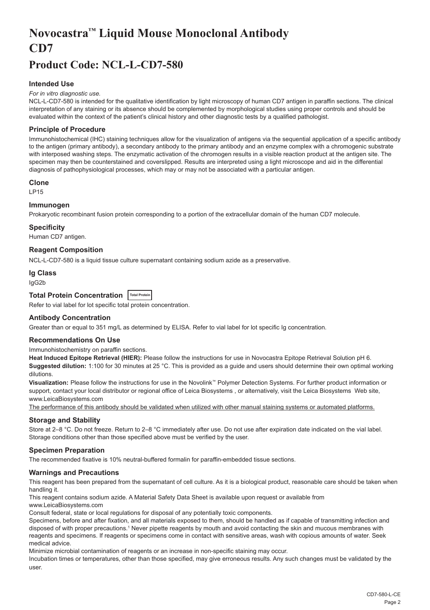## <span id="page-2-0"></span>**Novocastra™ Liquid Mouse Monoclonal Antibody CD7**

## **Product Code: NCL-L-CD7-580**

## **Intended Use**

#### *For in vitro diagnostic use.*

NCL-L-CD7-580 is intended for the qualitative identification by light microscopy of human CD7 antigen in paraffin sections. The clinical interpretation of any staining or its absence should be complemented by morphological studies using proper controls and should be evaluated within the context of the patient's clinical history and other diagnostic tests by a qualified pathologist.

### **Principle of Procedure**

Immunohistochemical (IHC) staining techniques allow for the visualization of antigens via the sequential application of a specific antibody to the antigen (primary antibody), a secondary antibody to the primary antibody and an enzyme complex with a chromogenic substrate with interposed washing steps. The enzymatic activation of the chromogen results in a visible reaction product at the antigen site. The specimen may then be counterstained and coverslipped. Results are interpreted using a light microscope and aid in the differential diagnosis of pathophysiological processes, which may or may not be associated with a particular antigen.

#### **Clone**

LP15

## **Immunogen**

Prokaryotic recombinant fusion protein corresponding to a portion of the extracellular domain of the human CD7 molecule.

#### **Specificity**

Human CD7 antigen.

**Reagent Composition**

NCL-L-CD7-580 is a liquid tissue culture supernatant containing sodium azide as a preservative.

#### **Ig Class**

IgG2b

## **Total Protein Concentration Total Protein**

Refer to vial label for lot specific total protein concentration.

### **Antibody Concentration**

Greater than or equal to 351 mg/L as determined by ELISA. Refer to vial label for lot specific Ig concentration.

## **Recommendations On Use**

Immunohistochemistry on paraffin sections.

**Heat Induced Epitope Retrieval (HIER):** Please follow the instructions for use in Novocastra Epitope Retrieval Solution pH 6. **Suggested dilution:** 1:100 for 30 minutes at 25 °C. This is provided as a guide and users should determine their own optimal working dilutions.

**Visualization:** Please follow the instructions for use in the Novolink™ Polymer Detection Systems. For further product information or support, contact your local distributor or regional office of Leica Biosystems , or alternatively, visit the Leica Biosystems Web site, www.LeicaBiosystems.com

The performance of this antibody should be validated when utilized with other manual staining systems or automated platforms.

## **Storage and Stability**

Store at 2–8 °C. Do not freeze. Return to 2–8 °C immediately after use. Do not use after expiration date indicated on the vial label. Storage conditions other than those specified above must be verified by the user.

#### **Specimen Preparation**

The recommended fixative is 10% neutral-buffered formalin for paraffin-embedded tissue sections.

#### **Warnings and Precautions**

This reagent has been prepared from the supernatant of cell culture. As it is a biological product, reasonable care should be taken when handling it.

This reagent contains sodium azide. A Material Safety Data Sheet is available upon request or available from

www.LeicaBiosystems.com

Consult federal, state or local regulations for disposal of any potentially toxic components.

Specimens, before and after fixation, and all materials exposed to them, should be handled as if capable of transmitting infection and disposed of with proper precautions.1 Never pipette reagents by mouth and avoid contacting the skin and mucous membranes with reagents and specimens. If reagents or specimens come in contact with sensitive areas, wash with copious amounts of water. Seek medical advice.

Minimize microbial contamination of reagents or an increase in non-specific staining may occur.

Incubation times or temperatures, other than those specified, may give erroneous results. Any such changes must be validated by the user.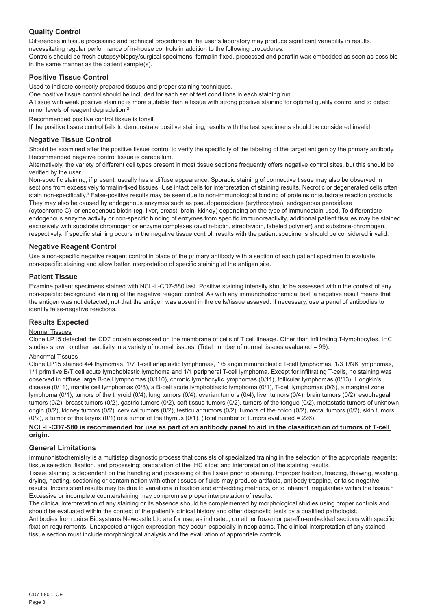## **Quality Control**

Differences in tissue processing and technical procedures in the user's laboratory may produce significant variability in results, necessitating regular performance of in-house controls in addition to the following procedures.

Controls should be fresh autopsy/biopsy/surgical specimens, formalin-fixed, processed and paraffin wax-embedded as soon as possible in the same manner as the patient sample(s).

## **Positive Tissue Control**

Used to indicate correctly prepared tissues and proper staining techniques.

One positive tissue control should be included for each set of test conditions in each staining run.

A tissue with weak positive staining is more suitable than a tissue with strong positive staining for optimal quality control and to detect minor levels of reagent degradation.<sup>2</sup>

Recommended positive control tissue is tonsil.

If the positive tissue control fails to demonstrate positive staining, results with the test specimens should be considered invalid.

## **Negative Tissue Control**

Should be examined after the positive tissue control to verify the specificity of the labeling of the target antigen by the primary antibody. Recommended negative control tissue is cerebellum.

Alternatively, the variety of different cell types present in most tissue sections frequently offers negative control sites, but this should be verified by the user.

Non-specific staining, if present, usually has a diffuse appearance. Sporadic staining of connective tissue may also be observed in sections from excessively formalin-fixed tissues. Use intact cells for interpretation of staining results. Necrotic or degenerated cells often stain non-specifically.<sup>3</sup> False-positive results may be seen due to non-immunological binding of proteins or substrate reaction products. They may also be caused by endogenous enzymes such as pseudoperoxidase (erythrocytes), endogenous peroxidase

(cytochrome C), or endogenous biotin (eg. liver, breast, brain, kidney) depending on the type of immunostain used. To differentiate endogenous enzyme activity or non-specific binding of enzymes from specific immunoreactivity, additional patient tissues may be stained exclusively with substrate chromogen or enzyme complexes (avidin-biotin, streptavidin, labeled polymer) and substrate-chromogen, respectively. If specific staining occurs in the negative tissue control, results with the patient specimens should be considered invalid.

## **Negative Reagent Control**

Use a non-specific negative reagent control in place of the primary antibody with a section of each patient specimen to evaluate non-specific staining and allow better interpretation of specific staining at the antigen site.

## **Patient Tissue**

Examine patient specimens stained with NCL-L-CD7-580 last. Positive staining intensity should be assessed within the context of any non-specific background staining of the negative reagent control. As with any immunohistochemical test, a negative result means that the antigen was not detected, not that the antigen was absent in the cells/tissue assayed. If necessary, use a panel of antibodies to identify false-negative reactions.

## **Results Expected**

## Normal Tissues

Clone LP15 detected the CD7 protein expressed on the membrane of cells of T cell lineage. Other than infiltrating T-lymphocytes, IHC studies show no other reactivity in a variety of normal tissues. (Total number of normal tissues evaluated = 99).

#### Abnormal Tissues

Clone LP15 stained 4/4 thymomas, 1/7 T-cell anaplastic lymphomas, 1/5 angioimmunoblastic T-cell lymphomas, 1/3 T/NK lymphomas, 1/1 primitive B/T cell acute lymphoblastic lymphoma and 1/1 peripheral T-cell lymphoma. Except for infiltrating T-cells, no staining was observed in diffuse large B-cell lymphomas (0/110), chronic lymphocytic lymphomas (0/11), follicular lymphomas (0/13), Hodgkin's disease (0/11), mantle cell lymphomas (0/8), a B-cell acute lymphoblastic lymphoma (0/1), T-cell lymphomas (0/6), a marginal zone lymphoma (0/1), tumors of the thyroid (0/4), lung tumors (0/4), ovarian tumors (0/4), liver tumors (0/4), brain tumors (0/2), esophageal tumors (0/2), breast tumors (0/2), gastric tumors (0/2), soft tissue tumors (0/2), tumors of the tongue (0/2), metastatic tumors of unknown origin (0/2), kidney tumors (0/2), cervical tumors (0/2), testicular tumors (0/2), tumors of the colon (0/2), rectal tumors (0/2), skin tumors (0/2), a tumor of the larynx (0/1) or a tumor of the thymus (0/1). (Total number of tumors evaluated = 226).

#### **NCL-L-CD7-580 is recommended for use as part of an antibody panel to aid in the classification of tumors of T-cell origin.**

## **General Limitations**

Immunohistochemistry is a multistep diagnostic process that consists of specialized training in the selection of the appropriate reagents; tissue selection, fixation, and processing; preparation of the IHC slide; and interpretation of the staining results.

Tissue staining is dependent on the handling and processing of the tissue prior to staining. Improper fixation, freezing, thawing, washing, drying, heating, sectioning or contamination with other tissues or fluids may produce artifacts, antibody trapping, or false negative results. Inconsistent results may be due to variations in fixation and embedding methods, or to inherent irregularities within the tissue.<sup>4</sup> Excessive or incomplete counterstaining may compromise proper interpretation of results.

The clinical interpretation of any staining or its absence should be complemented by morphological studies using proper controls and should be evaluated within the context of the patient's clinical history and other diagnostic tests by a qualified pathologist.

Antibodies from Leica Biosystems Newcastle Ltd are for use, as indicated, on either frozen or paraffin-embedded sections with specific fixation requirements. Unexpected antigen expression may occur, especially in neoplasms. The clinical interpretation of any stained tissue section must include morphological analysis and the evaluation of appropriate controls.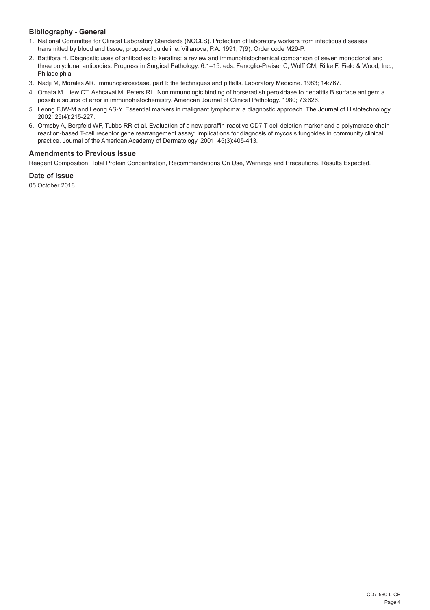## **Bibliography - General**

- 1. National Committee for Clinical Laboratory Standards (NCCLS). Protection of laboratory workers from infectious diseases transmitted by blood and tissue; proposed guideline. Villanova, P.A. 1991; 7(9). Order code M29-P.
- 2. Battifora H. Diagnostic uses of antibodies to keratins: a review and immunohistochemical comparison of seven monoclonal and three polyclonal antibodies. Progress in Surgical Pathology. 6:1–15. eds. Fenoglio-Preiser C, Wolff CM, Rilke F. Field & Wood, Inc., Philadelphia.
- 3. Nadji M, Morales AR. Immunoperoxidase, part I: the techniques and pitfalls. Laboratory Medicine. 1983; 14:767.
- 4. Omata M, Liew CT, Ashcavai M, Peters RL. Nonimmunologic binding of horseradish peroxidase to hepatitis B surface antigen: a possible source of error in immunohistochemistry. American Journal of Clinical Pathology. 1980; 73:626.
- 5. Leong FJW-M and Leong AS-Y. Essential markers in malignant lymphoma: a diagnostic approach. The Journal of Histotechnology. 2002; 25(4):215-227.
- 6. Ormsby A, Bergfeld WF, Tubbs RR et al. Evaluation of a new paraffin-reactive CD7 T-cell deletion marker and a polymerase chain reaction-based T-cell receptor gene rearrangement assay: implications for diagnosis of mycosis fungoides in community clinical practice. Journal of the American Academy of Dermatology. 2001; 45(3):405-413.

## **Amendments to Previous Issue**

Reagent Composition, Total Protein Concentration, Recommendations On Use, Warnings and Precautions, Results Expected.

## **Date of Issue**

05 October 2018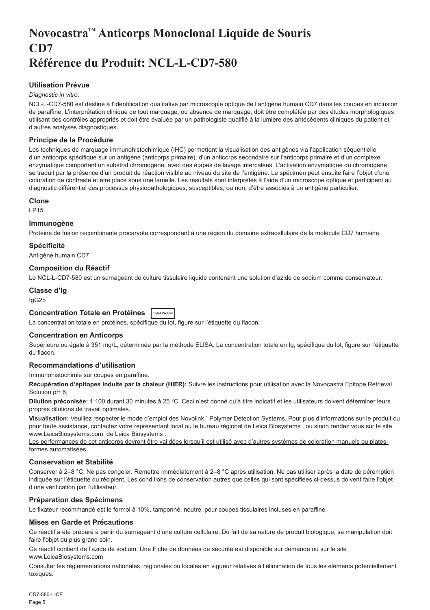## <span id="page-5-0"></span>**Novocastra™ Anticorps Monoclonal Liquide de Souris CD7 Référence du Produit: NCL-L-CD7-580**

## **Utilisation Prévue**

#### *Diagnostic in vitro*.

NCL-L-CD7-580 est destiné à l'identification qualitative par microscopie optique de l'antigène humain CD7 dans les coupes en inclusion de paraffine. L'interprétation clinique de tout marquage, ou absence de marquage, doit être complétée par des études morphologiques utilisant des contrôles appropriés et doit être évaluée par un pathologiste qualifié à la lumière des antécédents cliniques du patient et d'autres analyses diagnostiques.

## **Principe de la Procédure**

Les techniques de marquage immunohistochimique (IHC) permettent la visualisation des antigènes via l'application séquentielle d'un anticorps spécifique sur un antigène (anticorps primaire), d'un anticorps secondaire sur l'anticorps primaire et d'un complexe enzymatique comportant un substrat chromogène, avec des étapes de lavage intercalées. L'activation enzymatique du chromogène se traduit par la présence d'un produit de réaction visible au niveau du site de l'antigène. Le spécimen peut ensuite faire l'objet d'une coloration de contraste et être placé sous une lamelle. Les résultats sont interprétés à l'aide d'un microscope optique et participent au diagnostic différentiel des processus physiopathologiques, susceptibles, ou non, d'être associés à un antigène particulier.

#### **Clone**

LP15

#### **Immunogène**

Protéine de fusion recombinante procaryote correspondant à une région du domaine extracellulaire de la molécule CD7 humaine.

#### **Spécificité**

Antigène humain CD7.

## **Composition du Réactif**

Le NCL-L-CD7-580 est un surnageant de culture tissulaire liquide contenant une solution d'azide de sodium comme conservateur.

## **Classe d'Ig**

IgG2b

## **Concentration Totale en Protéines Total Protein**

La concentration totale en protéines, spécifique du lot, figure sur l'étiquette du flacon.

## **Concentration en Anticorps**

Supérieure ou égale à 351 mg/L, déterminée par la méthode ELISA. La concentration totale en Ig, spécifique du lot, figure sur l'étiquette du flacon.

## **Recommandations d'utilisation**

Immunohistochimie sur coupes en paraffine.

**Récupération d'épitopes induite par la chaleur (HIER):** Suivre les instructions pour utilisation avec la Novocastra Epitope Retrieval Solution pH 6.

**Dilution préconisée:** 1:100 durant 30 minutes à 25 °C. Ceci n'est donné qu'à titre indicatif et les utilisateurs doivent déterminer leurs propres dilutions de travail optimales.

**Visualisation:** Veuillez respecter le mode d'emploi des Novolink™ Polymer Detection Systems. Pour plus d'informations sur le produit ou pour toute assistance, contactez votre représentant local ou le bureau régional de Leica Biosystems , ou sinon rendez vous sur le site www.LeicaBiosystems.com de Leica Biosystems .

Les performances de cet anticorps devront être validées lorsqu'il est utilisé avec d'autres systèmes de coloration manuels ou platesformes automatisées.

## **Conservation et Stabilité**

Conserver à 2–8 °C. Ne pas congeler. Remettre immédiatement à 2–8 °C après utilisation. Ne pas utiliser après la date de péremption indiquée sur l'étiquette du récipient. Les conditions de conservation autres que celles qui sont spécifiées ci-dessus doivent faire l'objet d'une vérification par l'utilisateur.

## **Préparation des Spécimens**

Le fixateur recommandé est le formol à 10%, tamponné, neutre, pour coupes tissulaires incluses en paraffine.

#### **Mises en Garde et Précautions**

Ce réactif a été préparé à partir du surnageant d'une culture cellulaire. Du fait de sa nature de produit biologique, sa manipulation doit faire l'objet du plus grand soin.

Ce réactif contient de l'azide de sodium. Une Fiche de données de sécurité est disponible sur demande ou sur le site www.LeicaBiosystems.com

Consulter les réglementations nationales, régionales ou locales en vigueur relatives à l'élimination de tous les éléments potentiellement toxiques.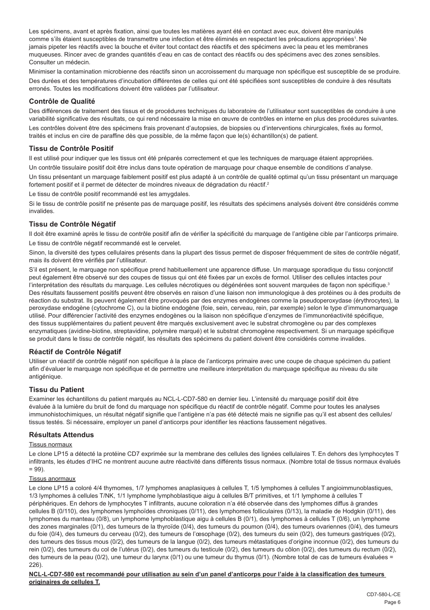Les spécimens, avant et après fixation, ainsi que toutes les matières ayant été en contact avec eux, doivent être manipulés comme s'ils étaient susceptibles de transmettre une infection et être éliminés en respectant les précautions appropriées<sup>1</sup>. Ne jamais pipeter les réactifs avec la bouche et éviter tout contact des réactifs et des spécimens avec la peau et les membranes muqueuses. Rincer avec de grandes quantités d'eau en cas de contact des réactifs ou des spécimens avec des zones sensibles. Consulter un médecin.

Minimiser la contamination microbienne des réactifs sinon un accroissement du marquage non spécifique est susceptible de se produire. Des durées et des températures d'incubation différentes de celles qui ont été spécifiées sont susceptibles de conduire à des résultats erronés. Toutes les modifications doivent être validées par l'utilisateur.

#### **Contrôle de Qualité**

Des différences de traitement des tissus et de procédures techniques du laboratoire de l'utilisateur sont susceptibles de conduire à une variabilité significative des résultats, ce qui rend nécessaire la mise en œuvre de contrôles en interne en plus des procédures suivantes.

Les contrôles doivent être des spécimens frais provenant d'autopsies, de biopsies ou d'interventions chirurgicales, fixés au formol, traités et inclus en cire de paraffine dès que possible, de la même façon que le(s) échantillon(s) de patient.

### **Tissu de Contrôle Positif**

Il est utilisé pour indiquer que les tissus ont été préparés correctement et que les techniques de marquage étaient appropriées.

Un contrôle tissulaire positif doit être inclus dans toute opération de marquage pour chaque ensemble de conditions d'analyse.

Un tissu présentant un marquage faiblement positif est plus adapté à un contrôle de qualité optimal qu'un tissu présentant un marquage fortement positif et il permet de détecter de moindres niveaux de dégradation du réactif.<sup>2</sup>

Le tissu de contrôle positif recommandé est les amygdales.

Si le tissu de contrôle positif ne présente pas de marquage positif, les résultats des spécimens analysés doivent être considérés comme invalides.

## **Tissu de Contrôle Négatif**

Il doit être examiné après le tissu de contrôle positif afin de vérifier la spécificité du marquage de l'antigène cible par l'anticorps primaire. Le tissu de contrôle négatif recommandé est le cervelet.

Sinon, la diversité des types cellulaires présents dans la plupart des tissus permet de disposer fréquemment de sites de contrôle négatif, mais ils doivent être vérifiés par l'utilisateur.

S'il est présent, le marquage non spécifique prend habituellement une apparence diffuse. Un marquage sporadique du tissu conjonctif peut également être observé sur des coupes de tissus qui ont été fixées par un excès de formol. Utiliser des cellules intactes pour l'interprétation des résultats du marquage. Les cellules nécrotiques ou dégénérées sont souvent marquées de façon non spécifique.<sup>3</sup> Des résultats faussement positifs peuvent être observés en raison d'une liaison non immunologique à des protéines ou à des produits de réaction du substrat. Ils peuvent également être provoqués par des enzymes endogènes comme la pseudoperoxydase (érythrocytes), la peroxydase endogène (cytochrome C), ou la biotine endogène (foie, sein, cerveau, rein, par exemple) selon le type d'immunomarquage utilisé. Pour différencier l'activité des enzymes endogènes ou la liaison non spécifique d'enzymes de l'immunoréactivité spécifique, des tissus supplémentaires du patient peuvent être marqués exclusivement avec le substrat chromogène ou par des complexes enzymatiques (avidine-biotine, streptavidine, polymère marqué) et le substrat chromogène respectivement. Si un marquage spécifique se produit dans le tissu de contrôle négatif, les résultats des spécimens du patient doivent être considérés comme invalides.

## **Réactif de Contrôle Négatif**

Utiliser un réactif de contrôle négatif non spécifique à la place de l'anticorps primaire avec une coupe de chaque spécimen du patient afin d'évaluer le marquage non spécifique et de permettre une meilleure interprétation du marquage spécifique au niveau du site antigénique.

## **Tissu du Patient**

Examiner les échantillons du patient marqués au NCL-L-CD7-580 en dernier lieu. L'intensité du marquage positif doit être évaluée à la lumière du bruit de fond du marquage non spécifique du réactif de contrôle négatif. Comme pour toutes les analyses immunohistochimiques, un résultat négatif signifie que l'antigène n'a pas été détecté mais ne signifie pas qu'il est absent des cellules/ tissus testés. Si nécessaire, employer un panel d'anticorps pour identifier les réactions faussement négatives.

## **Résultats Attendus**

#### Tissus normaux

Le clone LP15 a détecté la protéine CD7 exprimée sur la membrane des cellules des lignées cellulaires T. En dehors des lymphocytes T infiltrants, les études d'IHC ne montrent aucune autre réactivité dans différents tissus normaux. (Nombre total de tissus normaux évalués  $= 99$ ).

#### Tissus anormaux

Le clone LP15 a coloré 4/4 thymomes, 1/7 lymphomes anaplasiques à cellules T, 1/5 lymphomes à cellules T angioimmunoblastiques, 1/3 lymphomes à cellules T/NK, 1/1 lymphome lymphoblastique aigu à cellules B/T primitives, et 1/1 lymphome à cellules T périphériques. En dehors de lymphocytes T infiltrants, aucune coloration n'a été observée dans des lymphomes diffus à grandes cellules B (0/110), des lymphomes lymphoïdes chroniques (0/11), des lymphomes folliculaires (0/13), la maladie de Hodgkin (0/11), des lymphomes du manteau (0/8), un lymphome lymphoblastique aigu à cellules B (0/1), des lymphomes à cellules T (0/6), un lymphome des zones marginales (0/1), des tumeurs de la thyroïde (0/4), des tumeurs du poumon (0/4), des tumeurs ovariennes (0/4), des tumeurs du foie (0/4), des tumeurs du cerveau (0/2), des tumeurs de l'œsophage (0/2), des tumeurs du sein (0/2), des tumeurs gastriques (0/2), des tumeurs des tissus mous (0/2), des tumeurs de la langue (0/2), des tumeurs métastatiques d'origine inconnue (0/2), des tumeurs du rein (0/2), des tumeurs du col de l'utérus (0/2), des tumeurs du testicule (0/2), des tumeurs du côlon (0/2), des tumeurs du rectum (0/2), des tumeurs de la peau (0/2), une tumeur du larynx (0/1) ou une tumeur du thymus (0/1). (Nombre total de cas de tumeurs évaluées = 226).

#### **NCL-L-CD7-580 est recommandé pour utilisation au sein d'un panel d'anticorps pour l'aide à la classification des tumeurs originaires de cellules T.**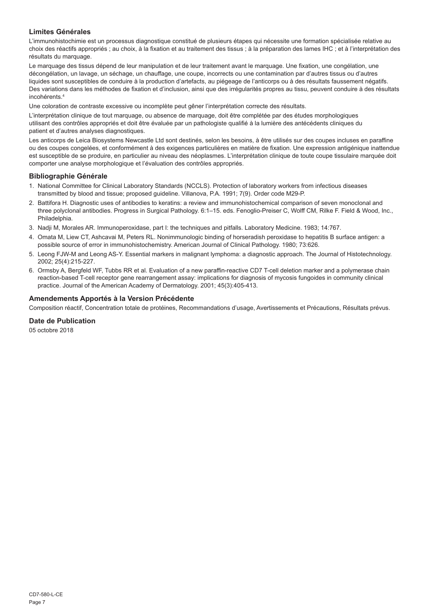## **Limites Générales**

L'immunohistochimie est un processus diagnostique constitué de plusieurs étapes qui nécessite une formation spécialisée relative au choix des réactifs appropriés ; au choix, à la fixation et au traitement des tissus ; à la préparation des lames IHC ; et à l'interprétation des résultats du marquage.

Le marquage des tissus dépend de leur manipulation et de leur traitement avant le marquage. Une fixation, une congélation, une décongélation, un lavage, un séchage, un chauffage, une coupe, incorrects ou une contamination par d'autres tissus ou d'autres liquides sont susceptibles de conduire à la production d'artefacts, au piégeage de l'anticorps ou à des résultats faussement négatifs. Des variations dans les méthodes de fixation et d'inclusion, ainsi que des irrégularités propres au tissu, peuvent conduire à des résultats incohérents.<sup>4</sup>

Une coloration de contraste excessive ou incomplète peut gêner l'interprétation correcte des résultats.

L'interprétation clinique de tout marquage, ou absence de marquage, doit être complétée par des études morphologiques utilisant des contrôles appropriés et doit être évaluée par un pathologiste qualifié à la lumière des antécédents cliniques du patient et d'autres analyses diagnostiques.

Les anticorps de Leica Biosystems Newcastle Ltd sont destinés, selon les besoins, à être utilisés sur des coupes incluses en paraffine ou des coupes congelées, et conformément à des exigences particulières en matière de fixation. Une expression antigénique inattendue est susceptible de se produire, en particulier au niveau des néoplasmes. L'interprétation clinique de toute coupe tissulaire marquée doit comporter une analyse morphologique et l'évaluation des contrôles appropriés.

#### **Bibliographie Générale**

- 1. National Committee for Clinical Laboratory Standards (NCCLS). Protection of laboratory workers from infectious diseases transmitted by blood and tissue; proposed guideline. Villanova, P.A. 1991; 7(9). Order code M29-P.
- 2. Battifora H. Diagnostic uses of antibodies to keratins: a review and immunohistochemical comparison of seven monoclonal and three polyclonal antibodies. Progress in Surgical Pathology. 6:1–15. eds. Fenoglio-Preiser C, Wolff CM, Rilke F. Field & Wood, Inc., Philadelphia.
- 3. Nadji M, Morales AR. Immunoperoxidase, part I: the techniques and pitfalls. Laboratory Medicine. 1983; 14:767.
- 4. Omata M, Liew CT, Ashcavai M, Peters RL. Nonimmunologic binding of horseradish peroxidase to hepatitis B surface antigen: a possible source of error in immunohistochemistry. American Journal of Clinical Pathology. 1980; 73:626.
- 5. Leong FJW-M and Leong AS-Y. Essential markers in malignant lymphoma: a diagnostic approach. The Journal of Histotechnology. 2002; 25(4):215-227.
- 6. Ormsby A, Bergfeld WF, Tubbs RR et al. Evaluation of a new paraffin-reactive CD7 T-cell deletion marker and a polymerase chain reaction-based T-cell receptor gene rearrangement assay: implications for diagnosis of mycosis fungoides in community clinical practice. Journal of the American Academy of Dermatology. 2001; 45(3):405-413.

## **Amendements Apportés à la Version Précédente**

Composition réactif, Concentration totale de protéines, Recommandations d'usage, Avertissements et Précautions, Résultats prévus.

#### **Date de Publication**

05 octobre 2018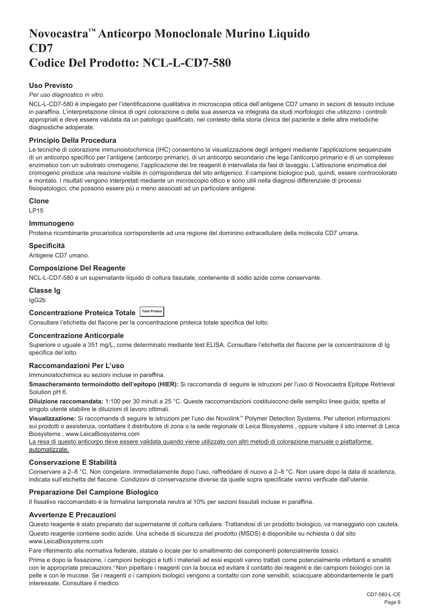## <span id="page-8-0"></span>**Novocastra™ Anticorpo Monoclonale Murino Liquido CD7 Codice Del Prodotto: NCL-L-CD7-580**

## **Uso Previsto**

#### *Per uso diagnostico in vitro*.

NCL-L-CD7-580 è impiegato per l'identificazione qualitativa in microscopia ottica dell'antigene CD7 umano in sezioni di tessuto incluse in paraffina. L'interpretazione clinica di ogni colorazione o della sua assenza va integrata da studi morfologici che utilizzino i controlli appropriati e deve essere valutata da un patologo qualificato, nel contesto della storia clinica del paziente e delle altre metodiche diagnostiche adoperate.

### **Principio Della Procedura**

Le tecniche di colorazione immunoistochimica (IHC) consentono la visualizzazione degli antigeni mediante l'applicazione sequenziale di un anticorpo specifico per l'antigene (anticorpo primario), di un anticorpo secondario che lega l'anticorpo primario e di un complesso enzimatico con un substrato cromogeno; l'applicazione dei tre reagenti è intervallata da fasi di lavaggio. L'attivazione enzimatica del cromogeno produce una reazione visibile in corrispondenza del sito antigenico. Il campione biologico può, quindi, essere controcolorato e montato. I risultati vengono interpretati mediante un microscopio ottico e sono utili nella diagnosi differenziale di processi fisiopatologici, che possono essere più o meno associati ad un particolare antigene.

#### **Clone**

LP15

## **Immunogeno**

Proteina ricombinante procariotica corrispondente ad una regione del dominino extracellulare della molecola CD7 umana.

#### **Specificità**

Antigene CD7 umano.

#### **Composizione Del Reagente**

NCL-L-CD7-580 è un supernatante liquido di coltura tissutale, contenente di sodio azide come conservante.

## **Classe Ig**

IgG2b

## **Concentrazione Proteica Totale Total Protein**

Consultare l'etichetta del flacone per la concentrazione proteica totale specifica del lotto.

## **Concentrazione Anticorpale**

Superiore o uguale a 351 mg/L, come determinato mediante test ELISA. Consultare l'etichetta del flacone per la concentrazione di Ig specifica del lotto.

## **Raccomandazioni Per L'uso**

Immunoistochimica su sezioni incluse in paraffina.

**Smascheramento termoindotto dell'epitopo (HIER):** Si raccomanda di seguire le istruzioni per l'uso di Novocastra Epitope Retrieval Solution pH 6.

**Diluizione raccomandata:** 1:100 per 30 minuti a 25 °C. Queste raccomandazioni costituiscono delle semplici linee guida; spetta al singolo utente stabilire le diluizioni di lavoro ottimali.

**Visualizzazione:** Si raccomanda di seguire le istruzioni per l'uso dei Novolink™ Polymer Detection Systems. Per ulteriori informazioni sui prodotti o assistenza, contattare il distributore di zona o la sede regionale di Leica Biosystems , oppure visitare il sito internet di Leica Biosystems , www.LeicaBiosystems.com

La resa di questo anticorpo deve essere validata quando viene utilizzato con altri metodi di colorazione manuale o piattaforme automatizzate.

## **Conservazione E Stabilità**

Conservare a 2–8 °C. Non congelare. Immediatamente dopo l'uso, raffreddare di nuovo a 2–8 °C. Non usare dopo la data di scadenza, indicata sull'etichetta del flacone. Condizioni di conservazione diverse da quelle sopra specificate vanno verificate dall'utente.

## **Preparazione Del Campione Biologico**

Il fissativo raccomandato è la formalina tamponata neutra al 10% per sezioni tissutali incluse in paraffina.

#### **Avvertenze E Precauzioni**

Questo reagente è stato preparato dal supernatante di coltura cellulare. Trattandosi di un prodotto biologico, va maneggiato con cautela.

Questo reagente contiene sodio azide. Una scheda di sicurezza del prodotto (MSDS) è disponibile su richiesta o dal sito www.LeicaBiosystems.com

Fare riferimento alla normativa federale, statale o locale per lo smaltimento dei componenti potenzialmente tossici.

Prima e dopo la fissazione, i campioni biologici e tutti i materiali ad essi esposti vanno trattati come potenzialmente infettanti e smaltiti con le appropriate precauzioni.<sup>1</sup> Non pipettare i reagenti con la bocca ed evitare il contatto dei reagenti e dei campioni biologici con la pelle e con le mucose. Se i reagenti o i campioni biologici vengono a contatto con zone sensibili, sciacquare abbondantemente le parti interessate. Consultare il medico.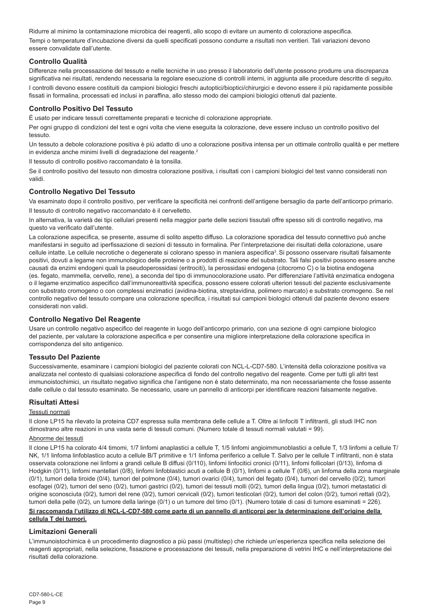Ridurre al minimo la contaminazione microbica dei reagenti, allo scopo di evitare un aumento di colorazione aspecifica. Tempi o temperature d'incubazione diversi da quelli specificati possono condurre a risultati non veritieri. Tali variazioni devono essere convalidate dall'utente.

## **Controllo Qualità**

Differenze nella processazione del tessuto e nelle tecniche in uso presso il laboratorio dell'utente possono produrre una discrepanza significativa nei risultati, rendendo necessaria la regolare esecuzione di controlli interni, in aggiunta alle procedure descritte di seguito. I controlli devono essere costituiti da campioni biologici freschi autoptici/bioptici/chirurgici e devono essere il più rapidamente possibile fissati in formalina, processati ed inclusi in paraffina, allo stesso modo dei campioni biologici ottenuti dal paziente.

## **Controllo Positivo Del Tessuto**

È usato per indicare tessuti correttamente preparati e tecniche di colorazione appropriate.

Per ogni gruppo di condizioni del test e ogni volta che viene eseguita la colorazione, deve essere incluso un controllo positivo del tessuto.

Un tessuto a debole colorazione positiva è più adatto di uno a colorazione positiva intensa per un ottimale controllo qualità e per mettere in evidenza anche minimi livelli di degradazione del reagente.<sup>2</sup>

Il tessuto di controllo positivo raccomandato è la tonsilla.

Se il controllo positivo del tessuto non dimostra colorazione positiva, i risultati con i campioni biologici del test vanno considerati non validi.

## **Controllo Negativo Del Tessuto**

Va esaminato dopo il controllo positivo, per verificare la specificità nei confronti dell'antigene bersaglio da parte dell'anticorpo primario. Il tessuto di controllo negativo raccomandato è il cervelletto.

In alternativa, la varietà dei tipi cellulari presenti nella maggior parte delle sezioni tissutali offre spesso siti di controllo negativo, ma questo va verificato dall'utente.

La colorazione aspecifica, se presente, assume di solito aspetto diffuso. La colorazione sporadica del tessuto connettivo può anche manifestarsi in seguito ad iperfissazione di sezioni di tessuto in formalina. Per l'interpretazione dei risultati della colorazione, usare cellule intatte. Le cellule necrotiche o degenerate si colorano spesso in maniera aspecifica<sup>3</sup>. Si possono osservare risultati falsamente positivi, dovuti a legame non immunologico delle proteine o a prodotti di reazione del substrato. Tali falsi positivi possono essere anche causati da enzimi endogeni quali la pseudoperossidasi (eritrociti), la perossidasi endogena (citocromo C) o la biotina endogena (es. fegato, mammella, cervello, rene), a seconda del tipo di immunocolorazione usato. Per differenziare l'attività enzimatica endogena o il legame enzimatico aspecifico dall'immunoreattività specifica, possono essere colorati ulteriori tessuti del paziente esclusivamente con substrato cromogeno o con complessi enzimatici (avidina-biotina, streptavidina, polimero marcato) e substrato cromogeno. Se nel controllo negativo del tessuto compare una colorazione specifica, i risultati sui campioni biologici ottenuti dal paziente devono essere considerati non validi.

## **Controllo Negativo Del Reagente**

Usare un controllo negativo aspecifico del reagente in luogo dell'anticorpo primario, con una sezione di ogni campione biologico del paziente, per valutare la colorazione aspecifica e per consentire una migliore interpretazione della colorazione specifica in corrispondenza del sito antigenico.

## **Tessuto Del Paziente**

Successivamente, esaminare i campioni biologici del paziente colorati con NCL-L-CD7-580. L'intensità della colorazione positiva va analizzata nel contesto di qualsiasi colorazione aspecifica di fondo del controllo negativo del reagente. Come per tutti gli altri test immunoistochimici, un risultato negativo significa che l'antigene non è stato determinato, ma non necessariamente che fosse assente dalle cellule o dal tessuto esaminato. Se necessario, usare un pannello di anticorpi per identificare reazioni falsamente negative.

## **Risultati Attesi**

#### Tessuti normali

Il clone LP15 ha rilevato la proteina CD7 espressa sulla membrana delle cellule a T. Oltre ai linfociti T infiltranti, gli studi IHC non dimostrano altre reazioni in una vasta serie di tessuti comuni. (Numero totale di tessuti normali valutati = 99).

#### Abnorme dei tessuti

Il clone LP15 ha colorato 4/4 timomi, 1/7 linfomi anaplastici a cellule T, 1/5 linfomi angioimmunoblastici a cellule T, 1/3 linfomi a cellule T/ NK, 1/1 linfoma linfoblastico acuto a cellule B/T primitive e 1/1 linfoma periferico a cellule T. Salvo per le cellule T infiltranti, non è stata osservata colorazione nei linfomi a grandi cellule B diffusi (0/110), linfomi linfocitici cronici (0/11), linfomi follicolari (0/13), linfoma di Hodgkin (0/11), linfomi mantellari (0/8), linfomi linfoblastici acuti a cellule B (0/1), linfomi a cellule T (0/6), un linfoma della zona marginale (0/1), tumori della tiroide (0/4), tumori del polmone (0/4), tumori ovarici (0/4), tumori del fegato (0/4), tumori del cervello (0/2), tumori esofagei (0/2), tumori del seno (0/2), tumori gastrici (0/2), tumori dei tessuti molli (0/2), tumori della lingua (0/2), tumori metastatici di origine sconosciuta (0/2), tumori del rene (0/2), tumori cervicali (0/2), tumori testicolari (0/2), tumori del colon (0/2), tumori rettali (0/2), tumori della pelle (0/2), un tumore della laringe (0/1) o un tumore del timo (0/1). (Numero totale di casi di tumore esaminati = 226).

#### Si raccomanda l'utilizzo di NCL-L-CD7-580 come parte di un pannello di anticorpi per la determinazione dell'origine della **cellula T dei tumori.**

#### **Limitazioni Generali**

L'immunoistochimica è un procedimento diagnostico a più passi (multistep) che richiede un'esperienza specifica nella selezione dei reagenti appropriati, nella selezione, fissazione e processazione dei tessuti, nella preparazione di vetrini IHC e nell'interpretazione dei risultati della colorazione.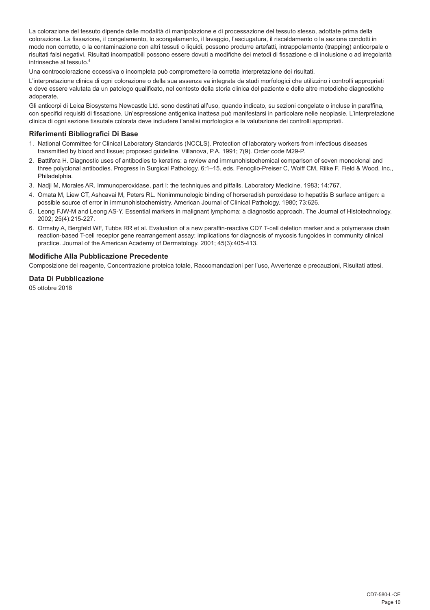La colorazione del tessuto dipende dalle modalità di manipolazione e di processazione del tessuto stesso, adottate prima della colorazione. La fissazione, il congelamento, lo scongelamento, il lavaggio, l'asciugatura, il riscaldamento o la sezione condotti in modo non corretto, o la contaminazione con altri tessuti o liquidi, possono produrre artefatti, intrappolamento (trapping) anticorpale o risultati falsi negativi. Risultati incompatibili possono essere dovuti a modifiche dei metodi di fissazione e di inclusione o ad irregolarità intrinseche al tessuto.<sup>4</sup>

Una controcolorazione eccessiva o incompleta può compromettere la corretta interpretazione dei risultati.

L'interpretazione clinica di ogni colorazione o della sua assenza va integrata da studi morfologici che utilizzino i controlli appropriati e deve essere valutata da un patologo qualificato, nel contesto della storia clinica del paziente e delle altre metodiche diagnostiche adoperate.

Gli anticorpi di Leica Biosystems Newcastle Ltd. sono destinati all'uso, quando indicato, su sezioni congelate o incluse in paraffina, con specifici requisiti di fissazione. Un'espressione antigenica inattesa può manifestarsi in particolare nelle neoplasie. L'interpretazione clinica di ogni sezione tissutale colorata deve includere l'analisi morfologica e la valutazione dei controlli appropriati.

## **Riferimenti Bibliografici Di Base**

- 1. National Committee for Clinical Laboratory Standards (NCCLS). Protection of laboratory workers from infectious diseases transmitted by blood and tissue; proposed guideline. Villanova, P.A. 1991; 7(9). Order code M29-P.
- 2. Battifora H. Diagnostic uses of antibodies to keratins: a review and immunohistochemical comparison of seven monoclonal and three polyclonal antibodies. Progress in Surgical Pathology. 6:1–15. eds. Fenoglio-Preiser C, Wolff CM, Rilke F. Field & Wood, Inc., Philadelphia.
- 3. Nadji M, Morales AR. Immunoperoxidase, part I: the techniques and pitfalls. Laboratory Medicine. 1983; 14:767.
- 4. Omata M, Liew CT, Ashcavai M, Peters RL. Nonimmunologic binding of horseradish peroxidase to hepatitis B surface antigen: a possible source of error in immunohistochemistry. American Journal of Clinical Pathology. 1980; 73:626.
- 5. Leong FJW-M and Leong AS-Y. Essential markers in malignant lymphoma: a diagnostic approach. The Journal of Histotechnology. 2002; 25(4):215-227.
- 6. Ormsby A, Bergfeld WF, Tubbs RR et al. Evaluation of a new paraffin-reactive CD7 T-cell deletion marker and a polymerase chain reaction-based T-cell receptor gene rearrangement assay: implications for diagnosis of mycosis fungoides in community clinical practice. Journal of the American Academy of Dermatology. 2001; 45(3):405-413.

#### **Modifiche Alla Pubblicazione Precedente**

Composizione del reagente, Concentrazione proteica totale, Raccomandazioni per l'uso, Avvertenze e precauzioni, Risultati attesi.

## **Data Di Pubblicazione**

05 ottobre 2018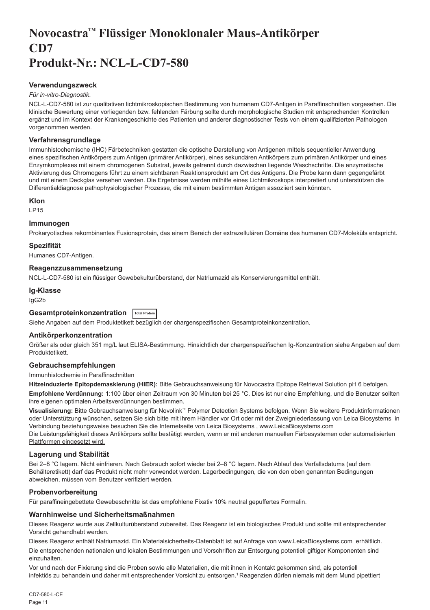## <span id="page-11-0"></span>**Novocastra™ Flüssiger Monoklonaler Maus-Antikörper CD7 Produkt-Nr.: NCL-L-CD7-580**

### **Verwendungszweck**

#### *Für in-vitro-Diagnostik*.

NCL-L-CD7-580 ist zur qualitativen lichtmikroskopischen Bestimmung von humanem CD7-Antigen in Paraffinschnitten vorgesehen. Die klinische Bewertung einer vorliegenden bzw. fehlenden Färbung sollte durch morphologische Studien mit entsprechenden Kontrollen ergänzt und im Kontext der Krankengeschichte des Patienten und anderer diagnostischer Tests von einem qualifizierten Pathologen vorgenommen werden.

#### **Verfahrensgrundlage**

Immunhistochemische (IHC) Färbetechniken gestatten die optische Darstellung von Antigenen mittels sequentieller Anwendung eines spezifischen Antikörpers zum Antigen (primärer Antikörper), eines sekundären Antikörpers zum primären Antikörper und eines Enzymkomplexes mit einem chromogenen Substrat, jeweils getrennt durch dazwischen liegende Waschschritte. Die enzymatische Aktivierung des Chromogens führt zu einem sichtbaren Reaktionsprodukt am Ort des Antigens. Die Probe kann dann gegengefärbt und mit einem Deckglas versehen werden. Die Ergebnisse werden mithilfe eines Lichtmikroskops interpretiert und unterstützen die Differentialdiagnose pathophysiologischer Prozesse, die mit einem bestimmten Antigen assoziiert sein könnten.

#### **Klon**

LP15

## **Immunogen**

Prokaryotisches rekombinantes Fusionsprotein, das einem Bereich der extrazellulären Domäne des humanen CD7-Moleküls entspricht.

#### **Spezifität**

Humanes CD7-Antigen.

#### **Reagenzzusammensetzung**

NCL-L-CD7-580 ist ein flüssiger Gewebekulturüberstand, der Natriumazid als Konservierungsmittel enthält.

## **Ig-Klasse**

IgG2b

## **Gesamtproteinkonzentration Total Protein**

Siehe Angaben auf dem Produktetikett bezüglich der chargenspezifischen Gesamtproteinkonzentration.

## **Antikörperkonzentration**

Größer als oder gleich 351 mg/L laut ELISA-Bestimmung. Hinsichtlich der chargenspezifischen Ig-Konzentration siehe Angaben auf dem Produktetikett.

## **Gebrauchsempfehlungen**

Immunhistochemie in Paraffinschnitten

**Hitzeinduzierte Epitopdemaskierung (HIER):** Bitte Gebrauchsanweisung für Novocastra Epitope Retrieval Solution pH 6 befolgen.

**Empfohlene Verdünnung:** 1:100 über einen Zeitraum von 30 Minuten bei 25 °C. Dies ist nur eine Empfehlung, und die Benutzer sollten ihre eigenen optimalen Arbeitsverdünnungen bestimmen.

**Visualisierung:** Bitte Gebrauchsanweisung für Novolink™ Polymer Detection Systems befolgen. Wenn Sie weitere Produktinformationen oder Unterstützung wünschen, setzen Sie sich bitte mit ihrem Händler vor Ort oder mit der Zweigniederlassung von Leica Biosystems in Verbindung beziehungsweise besuchen Sie die Internetseite von Leica Biosystems , www.LeicaBiosystems.com Die Leistungsfähigkeit dieses Antikörpers sollte bestätigt werden, wenn er mit anderen manuellen Färbesystemen oder automatisierten Plattformen eingesetzt wird.

## **Lagerung und Stabilität**

Bei 2–8 °C lagern. Nicht einfrieren. Nach Gebrauch sofort wieder bei 2–8 °C lagern. Nach Ablauf des Verfallsdatums (auf dem Behälteretikett) darf das Produkt nicht mehr verwendet werden. Lagerbedingungen, die von den oben genannten Bedingungen abweichen, müssen vom Benutzer verifiziert werden.

#### **Probenvorbereitung**

Für paraffineingebettete Gewebeschnitte ist das empfohlene Fixativ 10% neutral gepuffertes Formalin.

#### **Warnhinweise und Sicherheitsmaßnahmen**

Dieses Reagenz wurde aus Zellkulturüberstand zubereitet. Das Reagenz ist ein biologisches Produkt und sollte mit entsprechender Vorsicht gehandhabt werden.

Dieses Reagenz enthält Natriumazid. Ein Materialsicherheits-Datenblatt ist auf Anfrage von www.LeicaBiosystems.com erhältlich.

Die entsprechenden nationalen und lokalen Bestimmungen und Vorschriften zur Entsorgung potentiell giftiger Komponenten sind einzuhalten.

Vor und nach der Fixierung sind die Proben sowie alle Materialien, die mit ihnen in Kontakt gekommen sind, als potentiell infektiös zu behandeln und daher mit entsprechender Vorsicht zu entsorgen.<sup>1</sup> Reagenzien dürfen niemals mit dem Mund pipettiert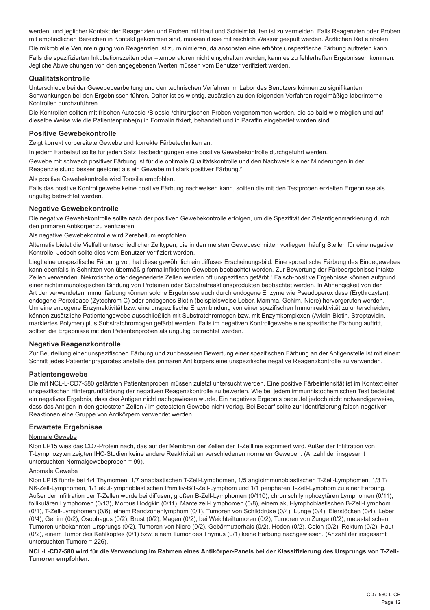werden, und jeglicher Kontakt der Reagenzien und Proben mit Haut und Schleimhäuten ist zu vermeiden. Falls Reagenzien oder Proben mit empfindlichen Bereichen in Kontakt gekommen sind, müssen diese mit reichlich Wasser gespült werden. Ärztlichen Rat einholen.

Die mikrobielle Verunreinigung von Reagenzien ist zu minimieren, da ansonsten eine erhöhte unspezifische Färbung auftreten kann. Falls die spezifizierten Inkubationszeiten oder –temperaturen nicht eingehalten werden, kann es zu fehlerhaften Ergebnissen kommen. Jegliche Abweichungen von den angegebenen Werten müssen vom Benutzer verifiziert werden.

### **Qualitätskontrolle**

Unterschiede bei der Gewebebearbeitung und den technischen Verfahren im Labor des Benutzers können zu signifikanten Schwankungen bei den Ergebnissen führen. Daher ist es wichtig, zusätzlich zu den folgenden Verfahren regelmäßige laborinterne Kontrollen durchzuführen.

Die Kontrollen sollten mit frischen Autopsie-/Biopsie-/chirurgischen Proben vorgenommen werden, die so bald wie möglich und auf dieselbe Weise wie die Patientenprobe(n) in Formalin fixiert, behandelt und in Paraffin eingebettet worden sind.

### **Positive Gewebekontrolle**

Zeigt korrekt vorbereitete Gewebe und korrekte Färbetechniken an.

In jedem Färbelauf sollte für jeden Satz Testbedingungen eine positive Gewebekontrolle durchgeführt werden.

Gewebe mit schwach positiver Färbung ist für die optimale Qualitätskontrolle und den Nachweis kleiner Minderungen in der Reagenzleistung besser geeignet als ein Gewebe mit stark positiver Färbung.<sup>2</sup>

Als positive Gewebekontrolle wird Tonsille empfohlen.

Falls das positive Kontrollgewebe keine positive Färbung nachweisen kann, sollten die mit den Testproben erzielten Ergebnisse als ungültig betrachtet werden.

## **Negative Gewebekontrolle**

Die negative Gewebekontrolle sollte nach der positiven Gewebekontrolle erfolgen, um die Spezifität der Zielantigenmarkierung durch den primären Antikörper zu verifizieren.

Als negative Gewebekontrolle wird Zerebellum empfohlen.

Alternativ bietet die Vielfalt unterschiedlicher Zelltypen, die in den meisten Gewebeschnitten vorliegen, häufig Stellen für eine negative Kontrolle. Jedoch sollte dies vom Benutzer verifiziert werden.

Liegt eine unspezifische Färbung vor, hat diese gewöhnlich ein diffuses Erscheinungsbild. Eine sporadische Färbung des Bindegewebes kann ebenfalls in Schnitten von übermäßig formalinfixierten Geweben beobachtet werden. Zur Bewertung der Färbeergebnisse intakte Zellen verwenden. Nekrotische oder degenerierte Zellen werden oft unspezifisch gefärbt.<sup>3</sup> Falsch-positive Ergebnisse können aufgrund einer nichtimmunologischen Bindung von Proteinen oder Substratreaktionsprodukten beobachtet werden. In Abhängigkeit von der Art der verwendeten Immunfärbung können solche Ergebnisse auch durch endogene Enzyme wie Pseudoperoxidase (Erythrozyten), endogene Peroxidase (Zytochrom C) oder endogenes Biotin (beispielsweise Leber, Mamma, Gehirn, Niere) hervorgerufen werden. Um eine endogene Enzymaktivität bzw. eine unspezifische Enzymbindung von einer spezifischen Immunreaktivität zu unterscheiden, können zusätzliche Patientengewebe ausschließlich mit Substratchromogen bzw. mit Enzymkomplexen (Avidin-Biotin, Streptavidin, markiertes Polymer) plus Substratchromogen gefärbt werden. Falls im negativen Kontrollgewebe eine spezifische Färbung auftritt, sollten die Ergebnisse mit den Patientenproben als ungültig betrachtet werden.

## **Negative Reagenzkontrolle**

Zur Beurteilung einer unspezifischen Färbung und zur besseren Bewertung einer spezifischen Färbung an der Antigenstelle ist mit einem Schnitt jedes Patientenpräparates anstelle des primären Antikörpers eine unspezifische negative Reagenzkontrolle zu verwenden.

#### **Patientengewebe**

Die mit NCL-L-CD7-580 gefärbten Patientenproben müssen zuletzt untersucht werden. Eine positive Färbeintensität ist im Kontext einer unspezifischen Hintergrundfärbung der negativen Reagenzkontrolle zu bewerten. Wie bei jedem immunhistochemischen Test bedeutet ein negatives Ergebnis, dass das Antigen nicht nachgewiesen wurde. Ein negatives Ergebnis bedeutet jedoch nicht notwendigerweise, dass das Antigen in den getesteten Zellen / im getesteten Gewebe nicht vorlag. Bei Bedarf sollte zur Identifizierung falsch-negativer Reaktionen eine Gruppe von Antikörpern verwendet werden.

## **Erwartete Ergebnisse**

#### Normale Gewebe

Klon LP15 wies das CD7-Protein nach, das auf der Membran der Zellen der T-Zelllinie exprimiert wird. Außer der Infiltration von T-Lymphozyten zeigten IHC-Studien keine andere Reaktivität an verschiedenen normalen Geweben. (Anzahl der insgesamt untersuchten Normalgewebeproben = 99).

#### Anomale Gewebe

Klon LP15 führte bei 4/4 Thymomen, 1/7 anaplastischen T-Zell-Lymphomen, 1/5 angioimmunoblastischen T-Zell-Lymphomen, 1/3 T/ NK-Zell-Lymphomen, 1/1 akut-lymphoblastischen Primitiv-B/T-Zell-Lymphom und 1/1 peripheren T-Zell-Lymphom zu einer Färbung. Außer der Infiltration der T-Zellen wurde bei diffusen, großen B-Zell-Lymphomen (0/110), chronisch lymphozytären Lymphomen (0/11), follikulären Lymphomen (0/13), Morbus Hodgkin (0/11), Mantelzell-Lymphomen (0/8), einem akut-lymphoblastischen B-Zell-Lymphom (0/1), T-Zell-Lymphomen (0/6), einem Randzonenlymphom (0/1), Tumoren von Schilddrüse (0/4), Lunge (0/4), Eierstöcken (0/4), Leber (0/4), Gehirn (0/2), Ösophagus (0/2), Brust (0/2), Magen (0/2), bei Weichteiltumoren (0/2), Tumoren von Zunge (0/2), metastatischen Tumoren unbekannten Ursprungs (0/2), Tumoren von Niere (0/2), Gebärmutterhals (0/2), Hoden (0/2), Colon (0/2), Rektum (0/2), Haut (0/2), einem Tumor des Kehlkopfes (0/1) bzw. einem Tumor des Thymus (0/1) keine Färbung nachgewiesen. (Anzahl der insgesamt untersuchten Tumore = 226).

#### **NCL-L-CD7-580 wird für die Verwendung im Rahmen eines Antikörper-Panels bei der Klassifizierung des Ursprungs von T-Zell-Tumoren empfohlen.**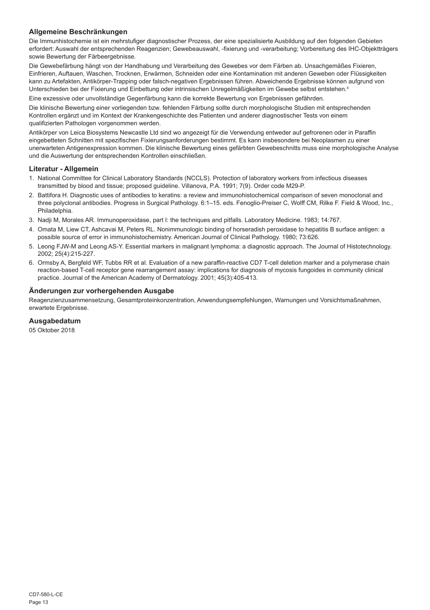## **Allgemeine Beschränkungen**

Die Immunhistochemie ist ein mehrstufiger diagnostischer Prozess, der eine spezialisierte Ausbildung auf den folgenden Gebieten erfordert: Auswahl der entsprechenden Reagenzien; Gewebeauswahl, -fixierung und -verarbeitung; Vorbereitung des IHC-Objektträgers sowie Bewertung der Färbeergebnisse.

Die Gewebefärbung hängt von der Handhabung und Verarbeitung des Gewebes vor dem Färben ab. Unsachgemäßes Fixieren, Einfrieren, Auftauen, Waschen, Trocknen, Erwärmen, Schneiden oder eine Kontamination mit anderen Geweben oder Flüssigkeiten kann zu Artefakten, Antikörper-Trapping oder falsch-negativen Ergebnissen führen. Abweichende Ergebnisse können aufgrund von Unterschieden bei der Fixierung und Einbettung oder intrinsischen Unregelmäßigkeiten im Gewebe selbst entstehen.<sup>4</sup>

Eine exzessive oder unvollständige Gegenfärbung kann die korrekte Bewertung von Ergebnissen gefährden.

Die klinische Bewertung einer vorliegenden bzw. fehlenden Färbung sollte durch morphologische Studien mit entsprechenden Kontrollen ergänzt und im Kontext der Krankengeschichte des Patienten und anderer diagnostischer Tests von einem qualifizierten Pathologen vorgenommen werden.

Antikörper von Leica Biosystems Newcastle Ltd sind wo angezeigt für die Verwendung entweder auf gefrorenen oder in Paraffin eingebetteten Schnitten mit spezifischen Fixierungsanforderungen bestimmt. Es kann insbesondere bei Neoplasmen zu einer unerwarteten Antigenexpression kommen. Die klinische Bewertung eines gefärbten Gewebeschnitts muss eine morphologische Analyse und die Auswertung der entsprechenden Kontrollen einschließen.

#### **Literatur - Allgemein**

- 1. National Committee for Clinical Laboratory Standards (NCCLS). Protection of laboratory workers from infectious diseases transmitted by blood and tissue; proposed guideline. Villanova, P.A. 1991; 7(9). Order code M29-P.
- 2. Battifora H. Diagnostic uses of antibodies to keratins: a review and immunohistochemical comparison of seven monoclonal and three polyclonal antibodies. Progress in Surgical Pathology. 6:1–15. eds. Fenoglio-Preiser C, Wolff CM, Rilke F. Field & Wood, Inc., Philadelphia.
- 3. Nadji M, Morales AR. Immunoperoxidase, part I: the techniques and pitfalls. Laboratory Medicine. 1983; 14:767.
- 4. Omata M, Liew CT, Ashcavai M, Peters RL. Nonimmunologic binding of horseradish peroxidase to hepatitis B surface antigen: a possible source of error in immunohistochemistry. American Journal of Clinical Pathology. 1980; 73:626.
- 5. Leong FJW-M and Leong AS-Y. Essential markers in malignant lymphoma: a diagnostic approach. The Journal of Histotechnology. 2002; 25(4):215-227.
- 6. Ormsby A, Bergfeld WF, Tubbs RR et al. Evaluation of a new paraffin-reactive CD7 T-cell deletion marker and a polymerase chain reaction-based T-cell receptor gene rearrangement assay: implications for diagnosis of mycosis fungoides in community clinical practice. Journal of the American Academy of Dermatology. 2001; 45(3):405-413.

#### **Änderungen zur vorhergehenden Ausgabe**

Reagenzienzusammensetzung, Gesamtproteinkonzentration, Anwendungsempfehlungen, Warnungen und Vorsichtsmaßnahmen, erwartete Ergebnisse.

## **Ausgabedatum**

05 Oktober 2018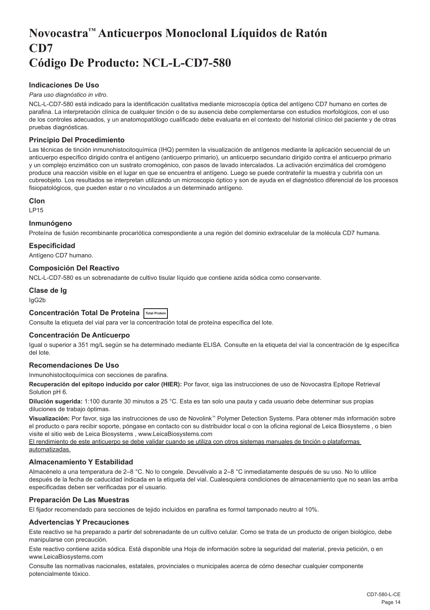## <span id="page-14-0"></span>**Novocastra™ Anticuerpos Monoclonal Líquidos de Ratón CD7 Código De Producto: NCL-L-CD7-580**

## **Indicaciones De Uso**

#### *Para uso diagnóstico in vitro*.

NCL-L-CD7-580 está indicado para la identificación cualitativa mediante microscopía óptica del antígeno CD7 humano en cortes de parafina. La interpretación clínica de cualquier tinción o de su ausencia debe complementarse con estudios morfológicos, con el uso de los controles adecuados, y un anatomopatólogo cualificado debe evaluarla en el contexto del historial clínico del paciente y de otras pruebas diagnósticas.

## **Principio Del Procedimiento**

Las técnicas de tinción inmunohistocitoquímica (IHQ) permiten la visualización de antígenos mediante la aplicación secuencial de un anticuerpo específico dirigido contra el antígeno (anticuerpo primario), un anticuerpo secundario dirigido contra el anticuerpo primario y un complejo enzimático con un sustrato cromogénico, con pasos de lavado intercalados. La activación enzimática del cromógeno produce una reacción visible en el lugar en que se encuentra el antígeno. Luego se puede contrateñir la muestra y cubrirla con un cubreobjeto. Los resultados se interpretan utilizando un microscopio óptico y son de ayuda en el diagnóstico diferencial de los procesos fisiopatológicos, que pueden estar o no vinculados a un determinado antígeno.

#### **Clon**

LP15

#### **Inmunógeno**

Proteína de fusión recombinante procariótica correspondiente a una región del dominio extracelular de la molécula CD7 humana.

#### **Especificidad**

Antígeno CD7 humano.

#### **Composición Del Reactivo**

NCL-L-CD7-580 es un sobrenadante de cultivo tisular líquido que contiene azida sódica como conservante.

## **Clase de Ig**

IgG2b

## **Concentración Total De Proteína Total Protein**

Consulte la etiqueta del vial para ver la concentración total de proteína específica del lote.

## **Concentración De Anticuerpo**

Igual o superior a 351 mg/L según se ha determinado mediante ELISA. Consulte en la etiqueta del vial la concentración de Ig específica del lote.

## **Recomendaciones De Uso**

Inmunohistocitoquímica con secciones de parafina.

**Recuperación del epítopo inducido por calor (HIER):** Por favor, siga las instrucciones de uso de Novocastra Epitope Retrieval Solution pH 6.

**Dilución sugerida:** 1:100 durante 30 minutos a 25 °C. Esta es tan solo una pauta y cada usuario debe determinar sus propias diluciones de trabajo óptimas.

**Visualización:** Por favor, siga las instrucciones de uso de Novolink™ Polymer Detection Systems. Para obtener más información sobre el producto o para recibir soporte, póngase en contacto con su distribuidor local o con la oficina regional de Leica Biosystems , o bien visite el sitio web de Leica Biosystems , www.LeicaBiosystems.com

El rendimiento de este anticuerpo se debe validar cuando se utiliza con otros sistemas manuales de tinción o plataformas automatizadas.

## **Almacenamiento Y Estabilidad**

Almacénelo a una temperatura de 2–8 °C. No lo congele. Devuélvalo a 2–8 °C inmediatamente después de su uso. No lo utilice después de la fecha de caducidad indicada en la etiqueta del vial. Cualesquiera condiciones de almacenamiento que no sean las arriba especificadas deben ser verificadas por el usuario.

## **Preparación De Las Muestras**

El fijador recomendado para secciones de tejido incluidos en parafina es formol tamponado neutro al 10%.

#### **Advertencias Y Precauciones**

Este reactivo se ha preparado a partir del sobrenadante de un cultivo celular. Como se trata de un producto de origen biológico, debe manipularse con precaución.

Este reactivo contiene azida sódica. Está disponible una Hoja de información sobre la seguridad del material, previa petición, o en www.LeicaBiosystems.com

Consulte las normativas nacionales, estatales, provinciales o municipales acerca de cómo desechar cualquier componente potencialmente tóxico.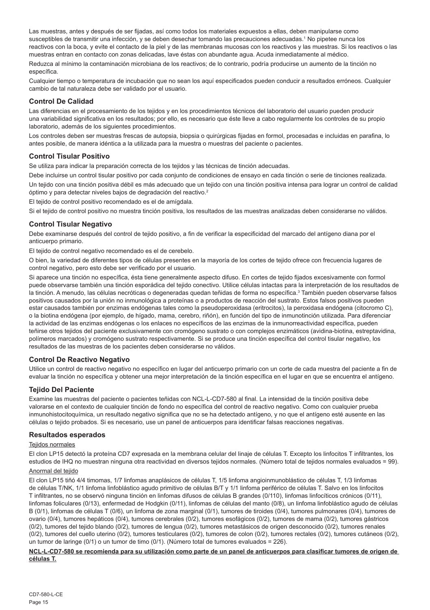Las muestras, antes y después de ser fijadas, así como todos los materiales expuestos a ellas, deben manipularse como susceptibles de transmitir una infección, y se deben desechar tomando las precauciones adecuadas.<sup>1</sup> No pipetee nunca los reactivos con la boca, y evite el contacto de la piel y de las membranas mucosas con los reactivos y las muestras. Si los reactivos o las muestras entran en contacto con zonas delicadas, lave éstas con abundante agua. Acuda inmediatamente al médico. Reduzca al mínimo la contaminación microbiana de los reactivos; de lo contrario, podría producirse un aumento de la tinción no específica.

Cualquier tiempo o temperatura de incubación que no sean los aquí especificados pueden conducir a resultados erróneos. Cualquier cambio de tal naturaleza debe ser validado por el usuario.

#### **Control De Calidad**

Las diferencias en el procesamiento de los tejidos y en los procedimientos técnicos del laboratorio del usuario pueden producir una variabilidad significativa en los resultados; por ello, es necesario que éste lleve a cabo regularmente los controles de su propio laboratorio, además de los siguientes procedimientos.

Los controles deben ser muestras frescas de autopsia, biopsia o quirúrgicas fijadas en formol, procesadas e incluidas en parafina, lo antes posible, de manera idéntica a la utilizada para la muestra o muestras del paciente o pacientes.

## **Control Tisular Positivo**

Se utiliza para indicar la preparación correcta de los tejidos y las técnicas de tinción adecuadas.

Debe incluirse un control tisular positivo por cada conjunto de condiciones de ensayo en cada tinción o serie de tinciones realizada. Un tejido con una tinción positiva débil es más adecuado que un tejido con una tinción positiva intensa para lograr un control de calidad óptimo y para detectar niveles bajos de degradación del reactivo.<sup>2</sup>

El tejido de control positivo recomendado es el de amígdala.

Si el tejido de control positivo no muestra tinción positiva, los resultados de las muestras analizadas deben considerarse no válidos.

## **Control Tisular Negativo**

Debe examinarse después del control de tejido positivo, a fin de verificar la especificidad del marcado del antígeno diana por el anticuerpo primario.

El tejido de control negativo recomendado es el de cerebelo.

O bien, la variedad de diferentes tipos de células presentes en la mayoría de los cortes de tejido ofrece con frecuencia lugares de control negativo, pero esto debe ser verificado por el usuario.

Si aparece una tinción no específica, ésta tiene generalmente aspecto difuso. En cortes de tejido fijados excesivamente con formol puede observarse también una tinción esporádica del tejido conectivo. Utilice células intactas para la interpretación de los resultados de la tinción. A menudo, las células necróticas o degeneradas quedan teñidas de forma no específica.<sup>3</sup> También pueden observarse falsos positivos causados por la unión no inmunológica a proteínas o a productos de reacción del sustrato. Estos falsos positivos pueden estar causados también por enzimas endógenas tales como la pseudoperoxidasa (eritrocitos), la peroxidasa endógena (citocromo C), o la biotina endógena (por ejemplo, de hígado, mama, cerebro, riñón), en función del tipo de inmunotinción utilizada. Para diferenciar la actividad de las enzimas endógenas o los enlaces no específicos de las enzimas de la inmunorreactividad específica, pueden teñirse otros tejidos del paciente exclusivamente con cromógeno sustrato o con complejos enzimáticos (avidina-biotina, estreptavidina, polímeros marcados) y cromógeno sustrato respectivamente. Si se produce una tinción específica del control tisular negativo, los resultados de las muestras de los pacientes deben considerarse no válidos.

#### **Control De Reactivo Negativo**

Utilice un control de reactivo negativo no específico en lugar del anticuerpo primario con un corte de cada muestra del paciente a fin de evaluar la tinción no específica y obtener una mejor interpretación de la tinción específica en el lugar en que se encuentra el antígeno.

## **Tejido Del Paciente**

Examine las muestras del paciente o pacientes teñidas con NCL-L-CD7-580 al final. La intensidad de la tinción positiva debe valorarse en el contexto de cualquier tinción de fondo no específica del control de reactivo negativo. Como con cualquier prueba inmunohistocitoquímica, un resultado negativo significa que no se ha detectado antígeno, y no que el antígeno esté ausente en las células o tejido probados. Si es necesario, use un panel de anticuerpos para identificar falsas reacciones negativas.

#### **Resultados esperados**

#### Teiidos normales

El clon LP15 detectó la proteína CD7 expresada en la membrana celular del linaje de células T. Excepto los linfocitos T infiltrantes, los estudios de IHQ no muestran ninguna otra reactividad en diversos tejidos normales. (Número total de tejidos normales evaluados = 99).

#### Anormal del tejido

El clon LP15 tiñó 4/4 timomas, 1/7 linfomas anaplásicos de células T, 1/5 linfoma angioinmunoblástico de células T, 1/3 linfomas de células T/NK, 1/1 linfoma linfoblástico agudo primitivo de células B/T y 1/1 linfoma periférico de células T. Salvo en los linfocitos T infiltrantes, no se observó ninguna tinción en linfomas difusos de células B grandes (0/110), linfomas linfocíticos crónicos (0/11), linfomas foliculares (0/13), enfermedad de Hodgkin (0/11), linfomas de células del manto (0/8), un linfoma linfoblástico agudo de células B (0/1), linfomas de células T (0/6), un linfoma de zona marginal (0/1), tumores de tiroides (0/4), tumores pulmonares (0/4), tumores de ovario (0/4), tumores hepáticos (0/4), tumores cerebrales (0/2), tumores esofágicos (0/2), tumores de mama (0/2), tumores gástricos (0/2), tumores del tejido blando (0/2), tumores de lengua (0/2), tumores metastásicos de origen desconocido (0/2), tumores renales (0/2), tumores del cuello uterino (0/2), tumores testiculares (0/2), tumores de colon (0/2), tumores rectales (0/2), tumores cutáneos (0/2), un tumor de laringe (0/1) o un tumor de timo (0/1). (Número total de tumores evaluados = 226).

#### **NCL-L-CD7-580 se recomienda para su utilización como parte de un panel de anticuerpos para clasificar tumores de origen de células T.**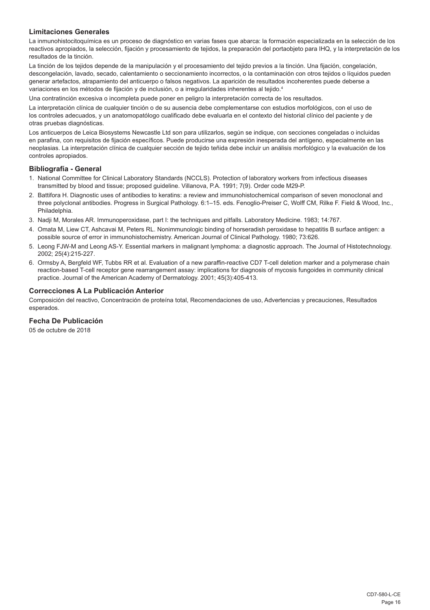## **Limitaciones Generales**

La inmunohistocitoquímica es un proceso de diagnóstico en varias fases que abarca: la formación especializada en la selección de los reactivos apropiados, la selección, fijación y procesamiento de tejidos, la preparación del portaobjeto para IHQ, y la interpretación de los resultados de la tinción.

La tinción de los tejidos depende de la manipulación y el procesamiento del tejido previos a la tinción. Una fijación, congelación, descongelación, lavado, secado, calentamiento o seccionamiento incorrectos, o la contaminación con otros tejidos o líquidos pueden generar artefactos, atrapamiento del anticuerpo o falsos negativos. La aparición de resultados incoherentes puede deberse a variaciones en los métodos de fijación y de inclusión, o a irregularidades inherentes al tejido.<sup>4</sup>

Una contratinción excesiva o incompleta puede poner en peligro la interpretación correcta de los resultados.

La interpretación clínica de cualquier tinción o de su ausencia debe complementarse con estudios morfológicos, con el uso de los controles adecuados, y un anatomopatólogo cualificado debe evaluarla en el contexto del historial clínico del paciente y de otras pruebas diagnósticas.

Los anticuerpos de Leica Biosystems Newcastle Ltd son para utilizarlos, según se indique, con secciones congeladas o incluidas en parafina, con requisitos de fijación específicos. Puede producirse una expresión inesperada del antígeno, especialmente en las neoplasias. La interpretación clínica de cualquier sección de tejido teñida debe incluir un análisis morfológico y la evaluación de los controles apropiados.

#### **Bibliografía - General**

- 1. National Committee for Clinical Laboratory Standards (NCCLS). Protection of laboratory workers from infectious diseases transmitted by blood and tissue; proposed guideline. Villanova, P.A. 1991; 7(9). Order code M29-P.
- 2. Battifora H. Diagnostic uses of antibodies to keratins: a review and immunohistochemical comparison of seven monoclonal and three polyclonal antibodies. Progress in Surgical Pathology. 6:1–15. eds. Fenoglio-Preiser C, Wolff CM, Rilke F. Field & Wood, Inc., Philadelphia.
- 3. Nadji M, Morales AR. Immunoperoxidase, part I: the techniques and pitfalls. Laboratory Medicine. 1983; 14:767.
- 4. Omata M, Liew CT, Ashcavai M, Peters RL. Nonimmunologic binding of horseradish peroxidase to hepatitis B surface antigen: a possible source of error in immunohistochemistry. American Journal of Clinical Pathology. 1980; 73:626.
- 5. Leong FJW-M and Leong AS-Y. Essential markers in malignant lymphoma: a diagnostic approach. The Journal of Histotechnology. 2002; 25(4):215-227.
- 6. Ormsby A, Bergfeld WF, Tubbs RR et al. Evaluation of a new paraffin-reactive CD7 T-cell deletion marker and a polymerase chain reaction-based T-cell receptor gene rearrangement assay: implications for diagnosis of mycosis fungoides in community clinical practice. Journal of the American Academy of Dermatology. 2001; 45(3):405-413.

#### **Correcciones A La Publicación Anterior**

Composición del reactivo, Concentración de proteína total, Recomendaciones de uso, Advertencias y precauciones, Resultados esperados.

## **Fecha De Publicación**

05 de octubre de 2018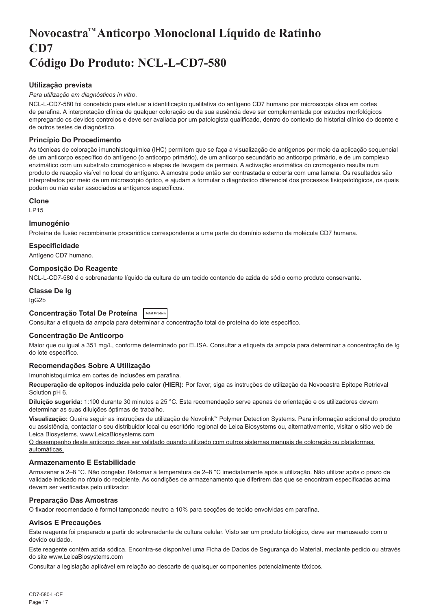## <span id="page-17-0"></span>**Novocastra™ Anticorpo Monoclonal Líquido de Ratinho CD7 Código Do Produto: NCL-L-CD7-580**

## **Utilização prevista**

#### *Para utilização em diagnósticos in vitro*.

NCL-L-CD7-580 foi concebido para efetuar a identificação qualitativa do antígeno CD7 humano por microscopia ótica em cortes de parafina. A interpretação clínica de qualquer coloração ou da sua ausência deve ser complementada por estudos morfológicos empregando os devidos controlos e deve ser avaliada por um patologista qualificado, dentro do contexto do historial clínico do doente e de outros testes de diagnóstico.

## **Princípio Do Procedimento**

As técnicas de coloração imunohistoquímica (IHC) permitem que se faça a visualização de antígenos por meio da aplicação sequencial de um anticorpo específico do antígeno (o anticorpo primário), de um anticorpo secundário ao anticorpo primário, e de um complexo enzimático com um substrato cromogénico e etapas de lavagem de permeio. A activação enzimática do cromogénio resulta num produto de reacção visível no local do antígeno. A amostra pode então ser contrastada e coberta com uma lamela. Os resultados são interpretados por meio de um microscópio óptico, e ajudam a formular o diagnóstico diferencial dos processos fisiopatológicos, os quais podem ou não estar associados a antígenos específicos.

#### **Clone**

LP15

#### **Imunogénio**

Proteína de fusão recombinante procariótica correspondente a uma parte do domínio externo da molécula CD7 humana.

## **Especificidade**

Antígeno CD7 humano.

#### **Composição Do Reagente**

NCL-L-CD7-580 é o sobrenadante líquido da cultura de um tecido contendo de azida de sódio como produto conservante.

## **Classe De Ig**

IgG2b

## **Concentração Total De Proteína Total Protein**

Consultar a etiqueta da ampola para determinar a concentração total de proteína do lote específico.

## **Concentração De Anticorpo**

Maior que ou igual a 351 mg/L, conforme determinado por ELISA. Consultar a etiqueta da ampola para determinar a concentração de Ig do lote específico.

## **Recomendações Sobre A Utilização**

Imunohistoquímica em cortes de inclusões em parafina.

**Recuperação de epítopos induzida pelo calor (HIER):** Por favor, siga as instruções de utilização da Novocastra Epitope Retrieval Solution pH 6.

**Diluição sugerida:** 1:100 durante 30 minutos a 25 °C. Esta recomendação serve apenas de orientação e os utilizadores devem determinar as suas diluições óptimas de trabalho.

**Visualização:** Queira seguir as instruções de utilização de Novolink™ Polymer Detection Systems. Para informação adicional do produto ou assistência, contactar o seu distribuidor local ou escritório regional de Leica Biosystems ou, alternativamente, visitar o sitio web de Leica Biosystems, www.LeicaBiosystems.com

O desempenho deste anticorpo deve ser validado quando utilizado com outros sistemas manuais de coloração ou plataformas automáticas.

## **Armazenamento E Estabilidade**

Armazenar a 2–8 °C. Não congelar. Retornar à temperatura de 2–8 °C imediatamente após a utilização. Não utilizar após o prazo de validade indicado no rótulo do recipiente. As condições de armazenamento que diferirem das que se encontram especificadas acima devem ser verificadas pelo utilizador.

## **Preparação Das Amostras**

O fixador recomendado é formol tamponado neutro a 10% para secções de tecido envolvidas em parafina.

## **Avisos E Precauções**

Este reagente foi preparado a partir do sobrenadante de cultura celular. Visto ser um produto biológico, deve ser manuseado com o devido cuidado.

Este reagente contém azida sódica. Encontra-se disponível uma Ficha de Dados de Segurança do Material, mediante pedido ou através do site www.LeicaBiosystems.com

Consultar a legislação aplicável em relação ao descarte de quaisquer componentes potencialmente tóxicos.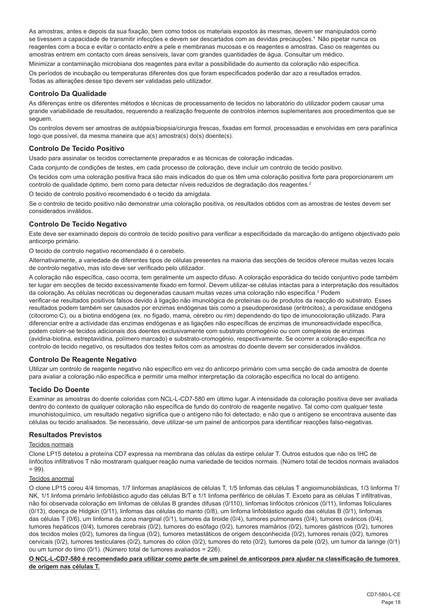As amostras, antes e depois da sua fixação, bem como todos os materiais expostos às mesmas, devem ser manipulados como se tivessem a capacidade de transmitir infecções e devem ser descartados com as devidas precauções.<sup>4</sup> Não pipetar nunca os reagentes com a boca e evitar o contacto entre a pele e membranas mucosas e os reagentes e amostras. Caso os reagentes ou amostras entrem em contacto com áreas sensíveis, lavar com grandes quantidades de água. Consultar um médico.

Minimizar a contaminação microbiana dos reagentes para evitar a possibilidade do aumento da coloração não específica. Os períodos de incubação ou temperaturas diferentes dos que foram especificados poderão dar azo a resultados errados. Todas as alterações desse tipo devem ser validadas pelo utilizador.

## **Controlo Da Qualidade**

As diferenças entre os diferentes métodos e técnicas de processamento de tecidos no laboratório do utilizador podem causar uma grande variabilidade de resultados, requerendo a realização frequente de controlos internos suplementares aos procedimentos que se seguem.

Os controlos devem ser amostras de autópsia/biopsia/cirurgia frescas, fixadas em formol, processadas e envolvidas em cera parafínica logo que possível, da mesma maneira que a(s) amostra(s) do(s) doente(s).

## **Controlo De Tecido Positivo**

Usado para assinalar os tecidos correctamente preparados e as técnicas de coloração indicadas.

Cada conjunto de condições de testes, em cada processo de coloração, deve incluir um controlo de tecido positivo.

Os tecidos com uma coloração positiva fraca são mais indicados do que os têm uma coloração positiva forte para proporcionarem um controlo de qualidade óptimo, bem como para detectar níveis reduzidos de degradação dos reagentes.<sup>2</sup>

O tecido de controlo positivo recomendado é o tecido da amígdala.

Se o controlo de tecido positivo não demonstrar uma coloração positiva, os resultados obtidos com as amostras de testes devem ser considerados inválidos.

## **Controlo De Tecido Negativo**

Este deve ser examinado depois do controlo de tecido positivo para verificar a especificidade da marcação do antígeno objectivado pelo anticorpo primário.

O tecido de controlo negativo recomendado é o cerebelo.

Alternativamente, a variedade de diferentes tipos de células presentes na maioria das secções de tecidos oferece muitas vezes locais de controlo negativo, mas isto deve ser verificado pelo utilizador.

A coloração não específica, caso ocorra, tem geralmente um aspecto difuso. A coloração esporádica do tecido conjuntivo pode também ter lugar em secções de tecido excessivamente fixado em formol. Devem utilizar-se células intactas para a interpretação dos resultados da coloração. As células necróticas ou degeneradas causam muitas vezes uma coloração não específica.<sup>3</sup> Podem

verificar-se resultados positivos falsos devido à ligação não imunológica de proteínas ou de produtos da reacção do substrato. Esses resultados podem também ser causados por enzimas endógenas tais como a pseudoperoxidase (eritrócitos), a peroxidase endógena (citocromo C), ou a biotina endógena (ex. no fígado, mama, cérebro ou rim) dependendo do tipo de imunocoloração utilizado. Para diferenciar entre a actividade das enzimas endógenas e as ligações não específicas de enzimas de imunoreactividade específica, podem colorir-se tecidos adicionais dos doentes exclusivamente com substrato cromogénio ou com complexos de enzimas (avidina-biotina, estreptavidina, polímero marcado) e substrato-cromogénio, respectivamente. Se ocorrer a coloração específica no controlo de tecido negativo, os resultados dos testes feitos com as amostras do doente devem ser considerados inválidos.

## **Controlo De Reagente Negativo**

Utilizar um controlo de reagente negativo não específico em vez do anticorpo primário com uma secção de cada amostra de doente para avaliar a coloração não específica e permitir uma melhor interpretação da coloração específica no local do antígeno.

## **Tecido Do Doente**

Examinar as amostras do doente coloridas com NCL-L-CD7-580 em último lugar. A intensidade da coloração positiva deve ser avaliada dentro do contexto de qualquer coloração não específica de fundo do controlo de reagente negativo. Tal como com qualquer teste imunohistoquímico, um resultado negativo significa que o antígeno não foi detectado, e não que o antígeno se encontrava ausente das células ou tecido analisados. Se necessário, deve utilizar-se um painel de anticorpos para identificar reacções falso-negativas.

## **Resultados Previstos**

#### Tecidos normais

Clone LP15 detetou a proteína CD7 expressa na membrana das células da estirpe celular T. Outros estudos que não os IHC de linfócitos infiltrativos T não mostraram qualquer reação numa variedade de tecidos normais. (Número total de tecidos normais avaliados  $= 99$ ).

## Tecidos anormal

O clone LP15 corou 4/4 timomas, 1/7 linformas anaplásicos de células T, 1/5 linfomas das células T angioimunoblásticas, 1/3 linforma T/ NK, 1/1 linfoma primário linfoblástico agudo das células B/T e 1/1 linfoma periférico de células T. Exceto para as células T infiltrativas, não foi observada coloração em linfomas de células B grandes difusas (0/110), linfomas linfócitos crónicos (0/11), linfomas foliculares (0/13), doença de Hidgkin (0/11), linfomas das células do manto (0/8), um linfoma linfoblástico agudo das células B (0/1), linfomas das células T (0/6), um linfoma da zona marginal (0/1), tumores da tiroide (0/4), tumores pulmonares (0/4), tumores ováricos (0/4), tumores hepáticos (0/4), tumores cerebrais (0/2), tumores do esófago (0/2), tumores mamários (0/2), tumores gástricos (0/2), tumores dos tecidos moles (0/2), tumores da língua (0/2), tumores metastáticos de origem desconhecida (0/2), tumores renais (0/2), tumores cervicais (0/2), tumores testiculares (0/2), tumores do cólon (0/2), tumores do reto (0/2), tumores da pele (0/2), um tumor da laringe (0/1) ou um tumor do timo (0/1). (Número total de tumores avaliados = 226).

**O NCL-L-CD7-580 é recomendado para utilizar como parte de um painel de anticorpos para ajudar na classificação de tumores de origem nas células T.**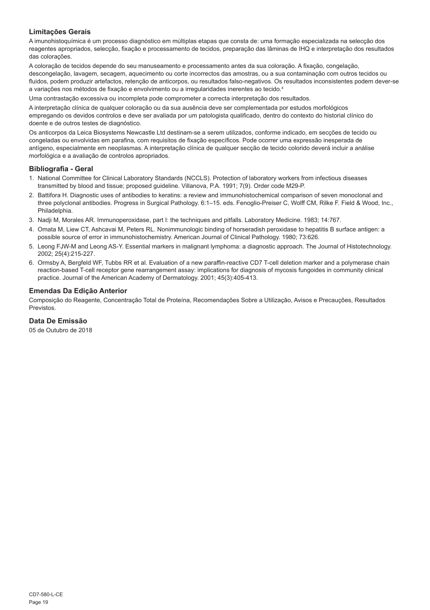## **Limitações Gerais**

A imunohistoquímica é um processo diagnóstico em múltiplas etapas que consta de: uma formação especializada na selecção dos reagentes apropriados, selecção, fixação e processamento de tecidos, preparação das lâminas de IHQ e interpretação dos resultados das colorações.

A coloração de tecidos depende do seu manuseamento e processamento antes da sua coloração. A fixação, congelação, descongelação, lavagem, secagem, aquecimento ou corte incorrectos das amostras, ou a sua contaminação com outros tecidos ou fluidos, podem produzir artefactos, retenção de anticorpos, ou resultados falso-negativos. Os resultados inconsistentes podem dever-se a variações nos métodos de fixação e envolvimento ou a irregularidades inerentes ao tecido.<sup>4</sup>

Uma contrastação excessiva ou incompleta pode comprometer a correcta interpretação dos resultados.

A interpretação clínica de qualquer coloração ou da sua ausência deve ser complementada por estudos morfológicos empregando os devidos controlos e deve ser avaliada por um patologista qualificado, dentro do contexto do historial clínico do doente e de outros testes de diagnóstico.

Os anticorpos da Leica Biosystems Newcastle Ltd destinam-se a serem utilizados, conforme indicado, em secções de tecido ou congeladas ou envolvidas em parafina, com requisitos de fixação específicos. Pode ocorrer uma expressão inesperada de antígeno, especialmente em neoplasmas. A interpretação clínica de qualquer secção de tecido colorido deverá incluir a análise morfológica e a avaliação de controlos apropriados.

#### **Bibliografia - Geral**

- 1. National Committee for Clinical Laboratory Standards (NCCLS). Protection of laboratory workers from infectious diseases transmitted by blood and tissue; proposed guideline. Villanova, P.A. 1991; 7(9). Order code M29-P.
- 2. Battifora H. Diagnostic uses of antibodies to keratins: a review and immunohistochemical comparison of seven monoclonal and three polyclonal antibodies. Progress in Surgical Pathology. 6:1–15. eds. Fenoglio-Preiser C, Wolff CM, Rilke F. Field & Wood, Inc., Philadelphia.
- 3. Nadji M, Morales AR. Immunoperoxidase, part I: the techniques and pitfalls. Laboratory Medicine. 1983; 14:767.
- 4. Omata M, Liew CT, Ashcavai M, Peters RL. Nonimmunologic binding of horseradish peroxidase to hepatitis B surface antigen: a possible source of error in immunohistochemistry. American Journal of Clinical Pathology. 1980; 73:626.
- 5. Leong FJW-M and Leong AS-Y. Essential markers in malignant lymphoma: a diagnostic approach. The Journal of Histotechnology. 2002; 25(4):215-227.
- 6. Ormsby A, Bergfeld WF, Tubbs RR et al. Evaluation of a new paraffin-reactive CD7 T-cell deletion marker and a polymerase chain reaction-based T-cell receptor gene rearrangement assay: implications for diagnosis of mycosis fungoides in community clinical practice. Journal of the American Academy of Dermatology. 2001; 45(3):405-413.

#### **Emendas Da Edição Anterior**

Composição do Reagente, Concentração Total de Proteína, Recomendações Sobre a Utilização, Avisos e Precauções, Resultados Previstos.

## **Data De Emissão**

05 de Outubro de 2018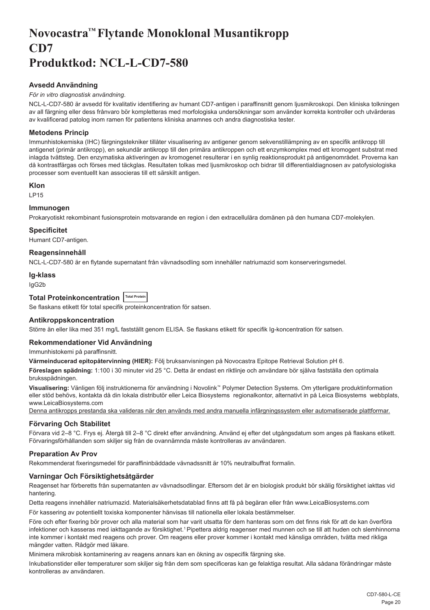## <span id="page-20-0"></span>**Novocastra™ Flytande Monoklonal Musantikropp CD7 Produktkod: NCL-L-CD7-580**

## **Avsedd Användning**

## *För in vitro diagnostisk användning*.

NCL-L-CD7-580 är avsedd för kvalitativ identifiering av humant CD7-antigen i paraffinsnitt genom ljusmikroskopi. Den kliniska tolkningen av all färgning eller dess frånvaro bör kompletteras med morfologiska undersökningar som använder korrekta kontroller och utvärderas av kvalificerad patolog inom ramen för patientens kliniska anamnes och andra diagnostiska tester.

## **Metodens Princip**

Immunhistokemiska (IHC) färgningstekniker tillåter visualisering av antigener genom sekvenstillämpning av en specifik antikropp till antigenet (primär antikropp), en sekundär antikropp till den primära antikroppen och ett enzymkomplex med ett kromogent substrat med inlagda tvättsteg. Den enzymatiska aktiveringen av kromogenet resulterar i en synlig reaktionsprodukt på antigenområdet. Proverna kan då kontrastfärgas och förses med täckglas. Resultaten tolkas med ljusmikroskop och bidrar till differentialdiagnosen av patofysiologiska processer som eventuellt kan associeras till ett särskilt antigen.

#### **Klon**

LP15

## **Immunogen**

Prokaryotiskt rekombinant fusionsprotein motsvarande en region i den extracellulära domänen på den humana CD7-molekylen.

## **Specificitet**

Humant CD7-antigen.

## **Reagensinnehåll**

NCL-L-CD7-580 är en flytande supernatant från vävnadsodling som innehåller natriumazid som konserveringsmedel.

#### **Ig-klass**

IgG2b

## **Total Proteinkoncentration Total Protein**

Se flaskans etikett för total specifik proteinkoncentration för satsen.

#### **Antikroppskoncentration**

Större än eller lika med 351 mg/L fastställt genom ELISA. Se flaskans etikett för specifik Ig-koncentration för satsen.

## **Rekommendationer Vid Användning**

Immunhistokemi på paraffinsnitt.

**Värmeinducerad epitopåtervinning (HIER):** Följ bruksanvisningen på Novocastra Epitope Retrieval Solution pH 6.

**Föreslagen spädning:** 1:100 i 30 minuter vid 25 °C. Detta är endast en riktlinje och användare bör själva fastställa den optimala bruksspädningen.

**Visualisering:** Vänligen följ instruktionerna för användning i Novolink™ Polymer Detection Systems. Om ytterligare produktinformation eller stöd behövs, kontakta då din lokala distributör eller Leica Biosystems regionalkontor, alternativt in på Leica Biosystems webbplats, www.LeicaBiosystems.com

Denna antikropps prestanda ska valideras när den används med andra manuella infärgningssystem eller automatiserade plattformar.

## **Förvaring Och Stabilitet**

Förvara vid 2–8 °C. Frys ej. Återgå till 2–8 °C direkt efter användning. Använd ej efter det utgångsdatum som anges på flaskans etikett. Förvaringsförhållanden som skiljer sig från de ovannämnda måste kontrolleras av användaren.

## **Preparation Av Prov**

Rekommenderat fixeringsmedel för paraffininbäddade vävnadssnitt är 10% neutralbuffrat formalin.

## **Varningar Och Försiktighetsåtgärder**

Reagenset har förberetts från supernatanten av vävnadsodlingar. Eftersom det är en biologisk produkt bör skälig försiktighet iakttas vid hantering.

Detta reagens innehåller natriumazid. Materialsäkerhetsdatablad finns att få på begäran eller från www.LeicaBiosystems.com

För kassering av potentiellt toxiska komponenter hänvisas till nationella eller lokala bestämmelser.

Före och efter fixering bör prover och alla material som har varit utsatta för dem hanteras som om det finns risk för att de kan överföra infektioner och kasseras med iakttagande av försiktighet.<sup>1</sup> Pipettera aldrig reagenser med munnen och se till att huden och slemhinnorna inte kommer i kontakt med reagens och prover. Om reagens eller prover kommer i kontakt med känsliga områden, tvätta med rikliga mängder vatten. Rådgör med läkare.

Minimera mikrobisk kontaminering av reagens annars kan en ökning av ospecifik färgning ske.

Inkubationstider eller temperaturer som skiljer sig från dem som specificeras kan ge felaktiga resultat. Alla sådana förändringar måste kontrolleras av användaren.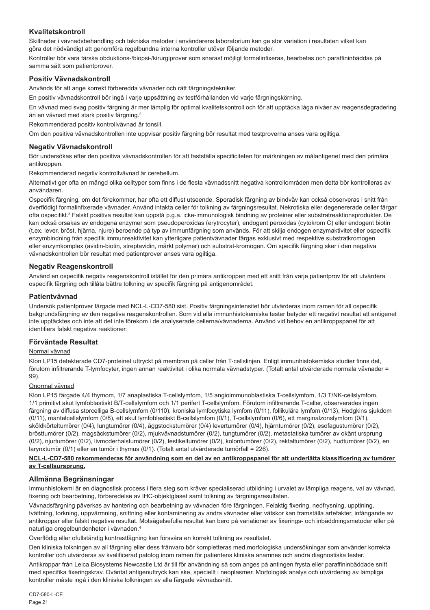## **Kvalitetskontroll**

Skillnader i vävnadsbehandling och tekniska metoder i användarens laboratorium kan ge stor variation i resultaten vilket kan göra det nödvändigt att genomföra regelbundna interna kontroller utöver följande metoder.

Kontroller bör vara färska obduktions-/biopsi-/kirurgiprover som snarast möjligt formalinfixeras, bearbetas och paraffininbäddas på samma sätt som patientprover.

## **Positiv Vävnadskontroll**

Används för att ange korrekt förberedda vävnader och rätt färgningstekniker.

En positiv vävnadskontroll bör ingå i varje uppsättning av testförhållanden vid varje färgningskörning.

En vävnad med svag positiv färgning är mer lämplig för optimal kvalitetskontroll och för att upptäcka låga nivåer av reagensdegradering än en vävnad med stark positiv färgning.<sup>2</sup>

Rekommenderad positiv kontrollvävnad är tonsill.

Om den positiva vävnadskontrollen inte uppvisar positiv färgning bör resultat med testproverna anses vara ogiltiga.

### **Negativ Vävnadskontroll**

Bör undersökas efter den positiva vävnadskontrollen för att fastställa specificiteten för märkningen av målantigenet med den primära antikroppen.

Rekommenderad negativ kontrollvävnad är cerebellum.

Alternativt ger ofta en mängd olika celltyper som finns i de flesta vävnadssnitt negativa kontrollområden men detta bör kontrolleras av användaren.

Ospecifik färgning, om det förekommer, har ofta ett diffust utseende. Sporadisk färgning av bindväv kan också observeras i snitt från överflödigt formalinfixerade vävnader. Använd intakta celler för tolkning av färgningsresultat. Nekrotiska eller degenererade celler färgar ofta ospecifikt.<sup>3</sup> Falskt positiva resultat kan uppstå p.g.a. icke-immunologisk bindning av proteiner eller substratreaktionsprodukter. De kan också orsakas av endogena enzymer som pseudoperoxidas (erytrocyter), endogent peroxidas (cytokrom C) eller endogent biotin (t.ex. lever, bröst, hjärna, njure) beroende på typ av immunfärgning som används. För att skilja endogen enzymaktivitet eller ospecifik enzymbindning från specifik immunreaktivitet kan ytterligare patientvävnader färgas exklusivt med respektive substratkromogen eller enzymkomplex (avidin-biotin, streptavidin, märkt polymer) och substrat-kromogen. Om specifik färgning sker i den negativa vävnadskontrollen bör resultat med patientprover anses vara ogiltiga.

## **Negativ Reagenskontroll**

Använd en ospecifik negativ reagenskontroll istället för den primära antikroppen med ett snitt från varje patientprov för att utvärdera ospecifik färgning och tillåta bättre tolkning av specifik färgning på antigenområdet.

#### **Patientvävnad**

Undersök patientprover färgade med NCL-L-CD7-580 sist. Positiv färgningsintensitet bör utvärderas inom ramen för all ospecifik bakgrundsfärgning av den negativa reagenskontrollen. Som vid alla immunhistokemiska tester betyder ett negativt resultat att antigenet inte upptäcktes och inte att det inte förekom i de analyserade cellerna/vävnaderna. Använd vid behov en antikroppspanel för att identifiera falskt negativa reaktioner.

#### **Förväntade Resultat**

#### Normal vävnad

Klon LP15 detekterade CD7-proteinet uttryckt på membran på celler från T-cellslinjen. Enligt immunhistokemiska studier finns det, förutom infiltrerande T-lymfocyter, ingen annan reaktivitet i olika normala vävnadstyper. (Totalt antal utvärderade normala vävnader = 99).

#### Onormal vävnad

Klon LP15 färgade 4/4 thymom, 1/7 anaplastiska T-cellslymfom, 1/5 angioimmunoblastiska T-cellslymfom, 1/3 T/NK-cellslymfom, 1/1 primitivt akut lymfoblastiskt B/T-cellslymfom och 1/1 perifert T-cellslymfom. Förutom infiltrerande T-celler, observerades ingen färgning av diffusa storcelliga B-cellslymfom (0/110), kroniska lymfocytiska lymfom (0/11), follikulära lymfom (0/13), Hodgkins sjukdom (0/11), mantelcellslymfom (0/8), ett akut lymfoblastiskt B-cellslymfom (0/1), T-cellslymfom (0/6), ett marginalzonslymfom (0/1), sköldkörteltumörer (0/4), lungtumörer (0/4), äggstockstumörer (0/4) levertumörer (0/4), hjärntumörer (0/2), esofagustumörer (0/2), brösttumörer (0/2), magsäckstumörer (0/2), mjukvävnadstumörer (0/2), tungtumörer (0/2), metastatiska tumörer av okänt ursprung (0/2), njurtumörer (0/2), livmoderhalstumörer (0/2), testikeltumörer (0/2), kolontumörer (0/2), rektaltumörer (0/2), hudtumörer (0/2), en larynxtumör (0/1) eller en tumör i thymus (0/1). (Totalt antal utvärderade tumörfall = 226).

#### **NCL-L-CD7-580 rekommenderas för användning som en del av en antikroppspanel för att underlätta klassificering av tumörer av T-cellsursprung.**

## **Allmänna Begränsningar**

Immunhistokemi är en diagnostisk process i flera steg som kräver specialiserad utbildning i urvalet av lämpliga reagens, val av vävnad, fixering och bearbetning, förberedelse av IHC-objektglaset samt tolkning av färgningsresultaten.

Vävnadsfärgning påverkas av hantering och bearbetning av vävnaden före färgningen. Felaktig fixering, nedfrysning, upptining, tvättning, torkning, uppvärmning, snittning eller kontaminering av andra vävnader eller vätskor kan framställa artefakter, infångande av antikroppar eller falskt negativa resultat. Motsägelsefulla resultat kan bero på variationer av fixerings- och inbäddningsmetoder eller på naturliga oregelbundenheter i vävnaden.<sup>4</sup>

Överflödig eller ofullständig kontrastfägning kan försvåra en korrekt tolkning av resultatet.

Den kliniska tolkningen av all färgning eller dess frånvaro bör kompletteras med morfologiska undersökningar som använder korrekta kontroller och utvärderas av kvalificerad patolog inom ramen för patientens kliniska anamnes och andra diagnostiska tester.

Antikroppar från Leica Biosystems Newcastle Ltd är till för användning så som anges på antingen frysta eller paraffininbäddade snitt med specifika fixeringskrav. Oväntat antigenuttryck kan ske, speciellt i neoplasmer. Morfologisk analys och utvärdering av lämpliga kontroller måste ingå i den kliniska tolkningen av alla färgade vävnadssnitt.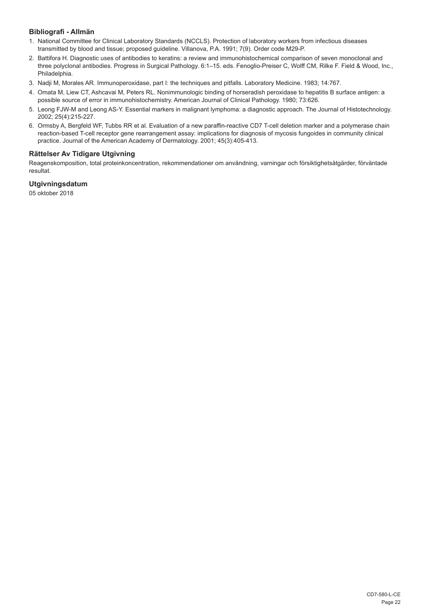## **Bibliografi - Allmän**

- 1. National Committee for Clinical Laboratory Standards (NCCLS). Protection of laboratory workers from infectious diseases transmitted by blood and tissue; proposed guideline. Villanova, P.A. 1991; 7(9). Order code M29-P.
- 2. Battifora H. Diagnostic uses of antibodies to keratins: a review and immunohistochemical comparison of seven monoclonal and three polyclonal antibodies. Progress in Surgical Pathology. 6:1–15. eds. Fenoglio-Preiser C, Wolff CM, Rilke F. Field & Wood, Inc., Philadelphia.
- 3. Nadji M, Morales AR. Immunoperoxidase, part I: the techniques and pitfalls. Laboratory Medicine. 1983; 14:767.
- 4. Omata M, Liew CT, Ashcavai M, Peters RL. Nonimmunologic binding of horseradish peroxidase to hepatitis B surface antigen: a possible source of error in immunohistochemistry. American Journal of Clinical Pathology. 1980; 73:626.
- 5. Leong FJW-M and Leong AS-Y. Essential markers in malignant lymphoma: a diagnostic approach. The Journal of Histotechnology. 2002; 25(4):215-227.
- 6. Ormsby A, Bergfeld WF, Tubbs RR et al. Evaluation of a new paraffin-reactive CD7 T-cell deletion marker and a polymerase chain reaction-based T-cell receptor gene rearrangement assay: implications for diagnosis of mycosis fungoides in community clinical practice. Journal of the American Academy of Dermatology. 2001; 45(3):405-413.

## **Rättelser Av Tidigare Utgivning**

Reagenskomposition, total proteinkoncentration, rekommendationer om användning, varningar och försiktighetsåtgärder, förväntade resultat.

## **Utgivningsdatum**

05 oktober 2018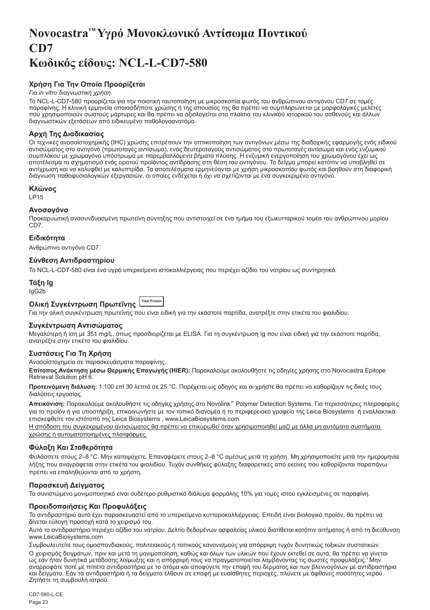## <span id="page-23-0"></span>**Novocastra™ Υγρό Μονοκλωνικό Αντίσωμα Ποντικού CD7 Κωδικός είδους: NCL-L-CD7-580**

## **Χρήση Για Την Οποία Προορίζεται**

#### *Για in vitro διαγνωστική χρήση*.

Το NCL-L-CD7-580 προορίζεται για την ποιοτική ταυτοποίηση με μικροσκοπία φωτός του ανθρώπινου αντιγόνου CD7 σε τομές παραφίνης. Η κλινική ερμηνεία οποιασδήποτε χρώσης ή της απουσίας της θα πρέπει να συμπληρώνεται με μορφολογικές μελέτες που χρησιμοποιούν σωστούς μάρτυρες και θα πρέπει να αξιολογείται στα πλαίσια του κλινικού ιστορικού του ασθενούς και άλλων διαγνωστικών εξετάσεων από ειδικευμένο παθολογοανατόμο.

## **Αρχή Της Διαδικασίας**

Οι τεχνικές ανοσοϊστοχημικής (IHC) χρώσης επιτρέπουν την οπτικοποίηση των αντιγόνων μέσω της διαδοχικής εφαρμογής ενός ειδικού αντισώματος στο αντιγόνο (πρωτοταγές αντίσωμα), ενός δευτεροταγούς αντισώματος στο πρωτοταγές αντίσωμα και ενός ενζυμικού συμπλόκου με χρωμογόνο υπόστρωμα με παρεμβαλλόμενα βήματα πλύσης. Η ενζυμική ενεργοποίηση του χρωμογόνου έχει ως αποτέλεσμα το σχηματισμό ενός ορατού προϊόντος αντίδρασης στη θέση του αντιγόνου. Το δείγμα μπορεί κατόπιν να υποβληθεί σε αντίχρωση και να καλυφθεί με καλυπτρίδα. Τα αποτελέσματα ερμηνεύονται με χρήση μικροσκοπίου φωτός και βοηθούν στη διαφορική διάγνωση παθοφυσιολογικών εξεργασιών, οι οποίες ενδέχεται ή όχι να σχετίζονται με ένα συγκεκριμένο αντιγόνο.

#### **Κλώνος**

LP15

## **Ανοσογόνο**

Προκαρυωτική ανασυνδυασμένη πρωτεϊνη σύντηξης που αντιστοιχεί σε ένα τμήμα του εξωκυτταρικού τομέα του ανθρώπινου μορίου  $\overline{C}$ D7

## **Ειδικότητα**

Ανθρώπινο αντιγόνο CD7.

## **Σύνθεση Αντιδραστηρίου**

Το NCL-L-CD7-580 είναι ένα υγρό υπερκείμενο ιστοκαλλιέργειας που περιέχει αζίδιο του νατρίου ως συντηρητικό.

## **Τάξη Ig**

IgG2b

## **Ολική Συγκέντρωση Πρωτεΐνης Total Protein**

Για την ολική συγκέντρωση πρωτεΐνης που είναι ειδική για την εκάστοτε παρτίδα, ανατρέξτε στην ετικέτα του φιαλιδίου.

## **Συγκέντρωση Αντισώματος**

Μεγαλύτερη ή ίση με 351 mg/L, όπως προσδιορίζεται με ELISA. Για τη συγκέντρωση Ig που είναι ειδική για την εκάστοτε παρτίδα, ανατρέξτε στην ετικέτα του φιαλιδίου.

## **Συστάσεις Για Τη Χρήση**

Ανοσοϊστοχημεία σε παρασκευάσματα παραφίνης.

**Επίτοπος Ανάκτηση μέσω Θερμικής Επαγωγής (HIER):** Παρακαλούμε ακολουθήστε τις οδηγίες χρήσης στο Novocastra Epitope Retrieval Solution pH 6.

**Προτεινόμενη διάλυση:** 1:100 επί 30 λεπτά σε 25 °C. Παρέχεται ως οδηγός και οι χρήστε θα πρέπει να καθορίζουν τις δικές τους διαλύσεις εργασίας.

**Απεικόνιση:** Παρακαλούμε ακολουθήστε τις οδηγίες χρήσης στο Novolink™ Polymer Detection Systems. Για περισσότερες πληροφορίες για το προϊόν ή για υποστήριξη, επικοινωνήστε με τον τοπικό διανομέα ή το περιφερειακό γραφείο της Leica Biosystems ή εναλλακτικά επισκεφθείτε τον ιστότοπο της Leica Biosystems , www.LeicaBiosystems.com

Η απόδοση του συγκεκριμένου αντισώματος θα πρέπει να επικυρωθεί όταν χρησιμοποιηθεί μαζί με άλλα μη αυτόματα συστήματα χρώσης ή αυτοματοποιημένες πλατφόρμες.

## **Φύλαξη Και Σταθερότητα**

Φυλάσσετε στους 2–8 °C. Μην καταψύχετε. Επαναφέρετε στους 2–8 °C αμέσως μετά τη χρήση. Μη χρησιμοποιείτε μετά την ημερομηνία λήξης που αναγράφεται στην ετικέτα του φιαλιδίου. Τυχόν συνθήκες φύλαξης διαφορετικές από εκείνες που καθορίζονται παραπάνω πρέπει να επαληθεύονται από το χρήστη.

## **Παρασκευή Δείγματος**

Το συνιστώμενο μονιμοποιητικό είναι ουδέτερο ρυθμιστικό διάλυμα φορμόλης 10% για τομές ιστού εγκλεισμένες σε παραφίνη.

#### **Προειδοποιήσεις Και Προφυλάξεις**

Το αντιδραστήριο αυτό έχει παρασκευαστεί από το υπερκείμενο κυτταροκαλλιέργειας. Επειδή είναι βιολογικό προϊόν, θα πρέπει να δίνεται εύλογη προσοχή κατά το χειρισμό του.

Αυτό το αντιδραστήριο περιέχει αζίδιο του νατρίου. Δελτίο δεδομένων ασφαλείας υλικού διατίθεται κατόπιν αιτήματος ή από τη διεύθυνση www.LeicaBiosystems.com

Συμβουλευτείτε τους ομοσπονδιακούς, πολιτειακούς ή τοπικούς κανονισμούς για απόρριψη τυχόν δυνητικώς τοξικών συστατικών. Ο χειρισμός δειγμάτων, πριν και μετά τη μονιμοποίηση, καθώς και όλων των υλικών που έχουν εκτεθεί σε αυτά, θα πρέπει να γίνεται ως εάν ήταν δυνητικά μετάδοσης λοίμωξης και η απόρριψή τους να πραγματοποιείται λαμβάνοντας τις σωστές προφυλάξεις.<sup>1</sup>Μην αναρροφάτε ποτέ με πιπέτα αντιδραστήρια με το στόμα και αποφύγετε την επαφή του δέρματος και των βλεννογόνων με αντιδραστήρια και δείγματα. Εάν τα αντιδραστήρια ή τα δείγματα έλθουν σε επαφή με ευαίσθητες περιοχές, πλύνετε με άφθονες ποσότητες νερού. Ζητήστε τη συμβουλή ιατρού.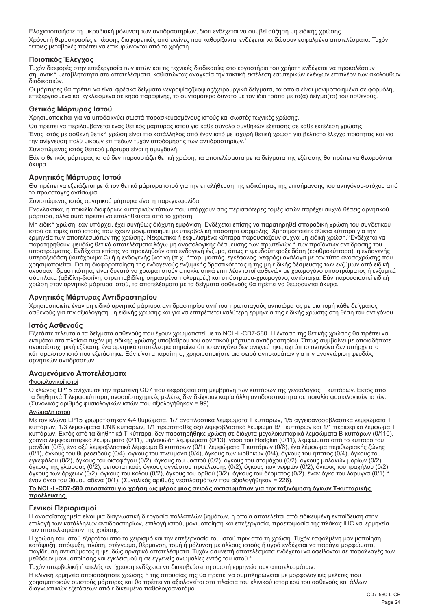Ελαχιστοποιήστε τη μικροβιακή μόλυνση των αντιδραστηρίων, διότι ενδέχεται να συμβεί αύξηση μη ειδικής χρώσης. Χρόνοι ή θερμοκρασίες επώασης διαφορετικές από εκείνες που καθορίζονται ενδέχεται να δώσουν εσφαλμένα αποτελέσματα. Τυχόν τέτοιες μεταβολές πρέπει να επικυρώνονται από το χρήστη.

## **Ποιοτικός Έλεγχος**

Τυχόν διαφορές στην επεξεργασία των ιστών και τις τεχνικές διαδικασίες στο εργαστήριο του χρήστη ενδέχεται να προκαλέσουν σημαντική μεταβλητότητα στα αποτελέσματα, καθιστώντας αναγκαία την τακτική εκτέλεση εσωτερικών ελέγχων επιπλέον των ακόλουθων διαδικασιών.

Οι μάρτυρες θα πρέπει να είναι φρέσκα δείγματα νεκροψίας/βιοψίας/χειρουργικά δείγματα, τα οποία είναι μονιμοποιημένα σε φορμόλη, επεξεργασμένα και εγκλεισμένα σε κηρό παραφίνης, το συντομότερο δυνατό με τον ίδιο τρόπο με το(α) δείγμα(τα) του ασθενούς.

## **Θετικός Μάρτυρας Ιστού**

Χρησιμοποιείται για να υποδεικνύει σωστά παρασκευασμένους ιστούς και σωστές τεχνικές χρώσης.

Θα πρέπει να περιλαμβάνεται ένας θετικός μάρτυρας ιστού για κάθε σύνολο συνθηκών εξέτασης σε κάθε εκτέλεση χρώσης.

Ένας ιστός με ασθενή θετική χρώση είναι πιο κατάλληλος από έναν ιστό με ισχυρή θετική χρώση για βέλτιστο έλεγχο ποιότητας και για την ανίχνευση πολύ μικρών επιπέδων τυχόν αποδόμησης των αντιδραστηρίων.<sup>2</sup>

Συνιστώμενος ιστός θετικού μάρτυρα είναι η αμυγδαλή.

Εάν ο θετικός μάρτυρας ιστού δεν παρουσιάζει θετική χρώση, τα αποτελέσματα με τα δείγματα της εξέτασης θα πρέπει να θεωρούνται άκυρα.

## **Αρνητικός Μάρτυρας Ιστού**

Θα πρέπει να εξετάζεται μετά τον θετικό μάρτυρα ιστού για την επαλήθευση της ειδικότητας της επισήμανσης του αντιγόνου-στόχου από το πρωτοταγές αντίσωμα.

Συνιστώμενος ιστός αρνητικού μάρτυρα είναι η παρεγκεφαλίδα.

Εναλλακτικά, η ποικιλία διαφόρων κυτταρικών τύπων που υπάρχουν στις περισσότερες τομές ιστών παρέχει συχνά θέσεις αρνητικού μάρτυρα, αλλά αυτό πρέπει να επαληθεύεται από το χρήστη.

Μη ειδική χρώση, εάν υπάρχει, έχει συνήθως διάχυτη εμφάνιση. Ενδέχεται επίσης να παρατηρηθεί σποραδική χρώση του συνδετικού ιστού σε τομές από ιστούς που έχουν μονιμοποιηθεί με υπερβολική ποσότητα φορμόλης. Χρησιμοποιείτε άθικτα κύτταρα για την<br>ερμηνεία των αποτελεσμάτων της χρώσης. Νεκρωτικά ή εκφυλισμένα κύτταρα παρουσιάζουν συχνά μη ειδική παρατηρηθούν ψευδώς θετικά αποτελέσματα λόγω μη ανοσολογικής δέσμευσης των πρωτεϊνών ή των προϊόντων αντίδρασης του υποστρώματος. Ενδέχεται επίσης να προκληθούν από ενδογενή ένζυμα, όπως η ψευδοϋπεροξειδάση (ερυθροκύτταρα), η ενδογενής<br>υπεροξειδάση (κυτόχρωμα C) ή η ενδογενής βιοτίνη (π.χ. ήπαρ, μαστός, εγκέφαλος, νεφρός) ανάλογα με το χρησιμοποιείται. Για τη διαφοροποίηση της ενδογενούς ενζυμικής δραστικότητας ή της μη ειδικής δέσμευσης των ενζύμων από ειδική ανοσοαντιδραστικότητα, είναι δυνατό να χρωματιστούν αποκλειστικά επιπλέον ιστοί ασθενών με χρωμογόνο υποστρώματος ή ενζυμικά σύμπλοκα (αβιδίνη-βιοτίνη, στρεπταβιδίνη, σημασμένο πολυμερές) και υπόστρωμα-χρωμογόνο, αντίστοιχα. Εάν παρουσιαστεί ειδική χρώση στον αρνητικό μάρτυρα ιστού, τα αποτελέσματα με τα δείγματα ασθενούς θα πρέπει να θεωρούνται άκυρα.

## **Αρνητικός Μάρτυρας Αντιδραστηρίου**

Χρησιμοποιείτε έναν μη ειδικό αρνητικό μάρτυρα αντιδραστηρίου αντί του πρωτοταγούς αντισώματος με μια τομή κάθε δείγματος<br>ασθενούς για την αξιολόγηση μη ειδικής χρώσης και για να επιτρέπεται καλύτερη ερμηνεία της ειδικής

## **Ιστός Ασθενούς**

Εξετάστε τελευταία τα δείγματα ασθενούς που έχουν χρωματιστεί με το NCL-L-CD7-580. Η ένταση της θετικής χρώσης θα πρέπει να εκτιμάται στα πλαίσια τυχόν μη ειδικής χρώσης υποβάθρου του αρνητικού μάρτυρα αντιδραστηρίου. Όπως συμβαίνει με οποιαδήποτε ανοσοϊστοχημική εξέταση, ένα αρνητικό αποτέλεσμα σημαίνει ότι το αντιγόνο δεν ανιχνεύτηκε, όχι ότι το αντιγόνο δεν υπήρχε στα κύτταρα/στον ιστό που εξετάστηκε. Εάν είναι απαραίτητο, χρησιμοποιήστε μια σειρά αντισωμάτων για την αναγνώριση ψευδώς αρνητικών αντιδράσεων.

## **Αναμενόμενα Αποτελέσματα**

#### Φυσιολογικοί ιστοί

Ο κλώνος LP15 ανίχνευσε την πρωτεϊνη CD7 που εκφράζεται στη μεμβράνη των κυττάρων της γενεαλογίας Τ κυττάρων. Εκτός από τα διηθητικά Τ λεμφοκύτταρα, ανοσοϊστοχημικές μελέτες δεν δείχνουν καμία άλλη αντιδραστικότητα σε ποικιλία φυσιολογικών ιστών. (Συνολικός αριθμός φυσιολογικών ιστών που αξιολογήθηκαν = 99).

#### Ανώμαλη ιστού

Με τον κλώνο LP15 χρωματίστηκαν 4/4 θυμώματα, 1/7 αναπλαστικά λεμφώματα Τ κυττάρων, 1/5 αγγειοανοσοβλαστικά λεμφώματα Τ κυττάρων, 1/3 λεμφώματα T/NK κυττάρων, 1/1 πρωτοπαθές οξύ λεμφοβλαστικό λέμφωμα Β/Τ κυττάρων και 1/1 περιφερικό λέμφωμα Τ κυττάρων. Εκτός από τα διηθητικά Τ-κύτταρα, δεν παρατηρήθηκε χρώση σε διάχυτα μεγαλοκυτταρικά λεμφώματα Β-κυττάρων (0/110), χρόνια λεμφοκυτταρικά λεμφώματα (0/11), θηλακιώδη λεμφώματα (0/13), νόσο του Hodgkin (0/11), λεμφώματα από το κύτταρο του μανδύα (0/8), ένα οξύ λεμφοβλαστικό λέμφωμα Β κυττάρων (0/1), λεμφώματα Τ κυττάρων (0/6), ένα λέμφωμα περιθωριακής ζώνης (0/1), όγκους του θυρεοειδούς (0/4), όγκους του πνεύμονα (0/4), όγκους των ωοθηκών (0/4), όγκους του ήπατος (0/4), όγκους του εγκεφάλου (0/2), όγκους του οισοφάγου (0/2), όγκους του μαστού (0/2), όγκους του στομάχου (0/2), όγκους μαλακών μορίων (0/2),<br>όγκους της γλώσσας (0/2), μεταστατικούς όγκους αγνώστου προέλευσης (0/2), όγκους των νεφρών (0/ έναν όγκο του θύμου αδένα (0/1). (Συνολικός αριθμός νεοπλασμάτων που αξιολογήθηκαν = 226).

#### **Το NCL-L-CD7-580 συνιστάται για χρήση ως μέρος μιας σειράς αντισωμάτων για την ταξινόμηση όγκων Τ-κυτταρικής προέλευσης.**

## **Γενικοί Περιορισμοί**

Η ανοσοϊστοχημεία είναι μια διαγνωστική διεργασία πολλαπλών βημάτων, η οποία αποτελείται από ειδικευμένη εκπαίδευση στην επιλογή των κατάλληλων αντιδραστηρίων, επιλογή ιστού, μονιμοποίηση και επεξεργασία, προετοιμασία της πλάκας IHC και ερμηνεία των αποτελεσμάτων της χρώσης.

Η χρώση του ιστού εξαρτάται από το χειρισμό και την επεξεργασία του ιστού πριν από τη χρώση. Τυχόν εσφαλμένη μονιμοποίηση, κατάψυξη, απόψυξη, πλύση, στέγνωμα, θέρμανση, τομή ή μόλυνση με άλλους ιστούς ή υγρά ενδέχεται να παράγει μορφώματα, παγίδευση αντισώματος ή ψευδώς αρνητικά αποτελέσματα. Τυχόν ασυνεπή αποτελέσματα ενδέχεται να οφείλονται σε παραλλαγές των μεθόδων μονιμοποίησης και εγκλεισμού ή σε εγγενείς ανωμαλίες εντός του ιστού.<sup>4</sup>

Τυχόν υπερβολική ή ατελής αντίχρωση ενδέχεται να διακυβεύσει τη σωστή ερμηνεία των αποτελεσμάτων.

Η κλινική ερμηνεία οποιασδήποτε χρώσης ή της απουσίας της θα πρέπει να συμπληρώνεται με μορφολογικές μελέτες που χρησιμοποιούν σωστούς μάρτυρες και θα πρέπει να αξιολογείται στα πλαίσια του κλινικού ιστορικού του ασθενούς και άλλων διαγνωστικών εξετάσεων από ειδικευμένο παθολογοανατόμο.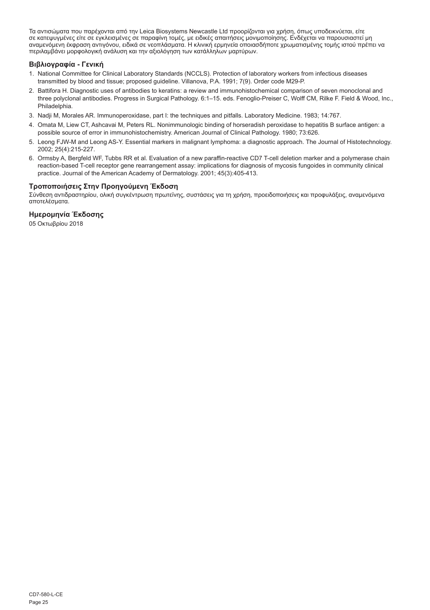Τα αντισώματα που παρέχονται από την Leica Biosystems Newcastle Ltd προορίζονται για χρήση, όπως υποδεικνύεται, είτε σε κατεψυγμένες είτε σε εγκλεισμένες σε παραφίνη τομές, με ειδικές απαιτήσεις μονιμοποίησης. Ενδέχεται να παρουσιαστεί μη<br>αναμενόμενη έκφραση αντιγόνου, ειδικά σε νεοπλάσματα. Η κλινική ερμηνεία οποιασδήποτε χρωματισμένης περιλαμβάνει μορφολογική ανάλυση και την αξιολόγηση των κατάλληλων μαρτύρων.

## **Βιβλιογραφία - Γενική**

- 1. National Committee for Clinical Laboratory Standards (NCCLS). Protection of laboratory workers from infectious diseases transmitted by blood and tissue; proposed guideline. Villanova, P.A. 1991; 7(9). Order code M29-P.
- 2. Battifora H. Diagnostic uses of antibodies to keratins: a review and immunohistochemical comparison of seven monoclonal and three polyclonal antibodies. Progress in Surgical Pathology. 6:1–15. eds. Fenoglio-Preiser C, Wolff CM, Rilke F. Field & Wood, Inc., Philadelphia.
- 3. Nadji M, Morales AR. Immunoperoxidase, part I: the techniques and pitfalls. Laboratory Medicine. 1983; 14:767.
- 4. Omata M, Liew CT, Ashcavai M, Peters RL. Nonimmunologic binding of horseradish peroxidase to hepatitis B surface antigen: a possible source of error in immunohistochemistry. American Journal of Clinical Pathology. 1980; 73:626.
- 5. Leong FJW-M and Leong AS-Y. Essential markers in malignant lymphoma: a diagnostic approach. The Journal of Histotechnology. 2002; 25(4):215-227.
- 6. Ormsby A, Bergfeld WF, Tubbs RR et al. Evaluation of a new paraffin-reactive CD7 T-cell deletion marker and a polymerase chain reaction-based T-cell receptor gene rearrangement assay: implications for diagnosis of mycosis fungoides in community clinical practice. Journal of the American Academy of Dermatology. 2001; 45(3):405-413.

## **Τροποποιήσεις Στην Προηγούμενη Έκδοση**

Σύνθεση αντιδραστηρίου, ολική συγκέντρωση πρωτεϊνης, συστάσεις για τη χρήση, προειδοποιήσεις και προφυλάξεις, αναμενόμενα αποτελέσματα.

## **Ημερομηνία Έκδοσης**

05 Οκτωβρίου 2018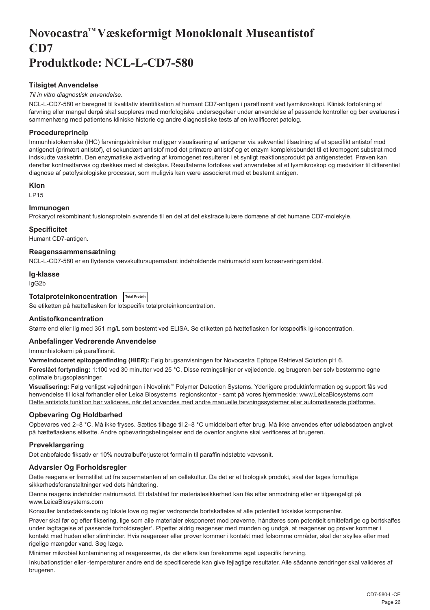## <span id="page-26-0"></span>**Novocastra™ Væskeformigt Monoklonalt Museantistof CD7 Produktkode: NCL-L-CD7-580**

## **Tilsigtet Anvendelse**

#### *Til in vitro diagnostisk anvendelse*.

NCL-L-CD7-580 er beregnet til kvalitativ identifikation af humant CD7-antigen i paraffinsnit ved lysmikroskopi. Klinisk fortolkning af farvning eller mangel derpå skal suppleres med morfologiske undersøgelser under anvendelse af passende kontroller og bør evalueres i sammenhæng med patientens kliniske historie og andre diagnostiske tests af en kvalificeret patolog.

## **Procedureprincip**

Immunhistokemiske (IHC) farvningsteknikker muliggør visualisering af antigener via sekventiel tilsætning af et specifikt antistof mod antigenet (primært antistof), et sekundært antistof mod det primære antistof og et enzym kompleksbundet til et kromogent substrat med indskudte vasketrin. Den enzymatiske aktivering af kromogenet resulterer i et synligt reaktionsprodukt på antigenstedet. Prøven kan derefter kontrastfarves og dækkes med et dækglas. Resultaterne fortolkes ved anvendelse af et lysmikroskop og medvirker til differentiel diagnose af patofysiologiske processer, som muligvis kan være associeret med et bestemt antigen.

#### **Klon**

LP15

## **Immunogen**

Prokaryot rekombinant fusionsprotein svarende til en del af det ekstracellulære domæne af det humane CD7-molekyle.

#### **Specificitet**

Humant CD7-antigen.

#### **Reagenssammensætning**

NCL-L-CD7-580 er en flydende vævskultursupernatant indeholdende natriumazid som konserveringsmiddel.

#### **Ig-klasse**

IgG2b

## **Totalproteinkoncentration Total Protein**

Se etiketten på hætteflasken for lotspecifik totalproteinkoncentration.

## **Antistofkoncentration**

Større end eller lig med 351 mg/L som bestemt ved ELISA. Se etiketten på hætteflasken for lotspecifik Ig-koncentration.

## **Anbefalinger Vedrørende Anvendelse**

Immunhistokemi på paraffinsnit.

**Varmeinduceret epitopgenfinding (HIER):** Følg brugsanvisningen for Novocastra Epitope Retrieval Solution pH 6.

**Foreslået fortynding:** 1:100 ved 30 minutter ved 25 °C. Disse retningslinjer er vejledende, og brugeren bør selv bestemme egne optimale brugsopløsninger.

**Visualisering:** Følg venligst vejledningen i Novolink™ Polymer Detection Systems. Yderligere produktinformation og support fås ved henvendelse til lokal forhandler eller Leica Biosystems regionskontor - samt på vores hjemmeside: www.LeicaBiosystems.com Dette antistofs funktion bør valideres, når det anvendes med andre manuelle farvningssystemer eller automatiserede platforme.

## **Opbevaring Og Holdbarhed**

Opbevares ved 2–8 °C. Må ikke fryses. Sættes tilbage til 2–8 °C umiddelbart efter brug. Må ikke anvendes efter udløbsdatoen angivet på hætteflaskens etikette. Andre opbevaringsbetingelser end de ovenfor angivne skal verificeres af brugeren.

## **Prøveklargøring**

Det anbefalede fiksativ er 10% neutralbufferjusteret formalin til paraffinindstøbte vævssnit.

## **Advarsler Og Forholdsregler**

Dette reagens er fremstillet ud fra supernatanten af en cellekultur. Da det er et biologisk produkt, skal der tages fornuftige sikkerhedsforanstaltninger ved dets håndtering.

Denne reagens indeholder natriumazid. Et datablad for materialesikkerhed kan fås efter anmodning eller er tilgængeligt på www.LeicaBiosystems.com

Konsulter landsdækkende og lokale love og regler vedrørende bortskaffelse af alle potentielt toksiske komponenter.

Prøver skal før og efter fiksering, lige som alle materialer eksponeret mod prøverne, håndteres som potentielt smittefarlige og bortskaffes under iagttagelse af passende forholdsregler<sup>ı</sup>. Pipetter aldrig reagenser med munden og undgå, at reagenser og prøver kommer i kontakt med huden eller slimhinder. Hvis reagenser eller prøver kommer i kontakt med følsomme områder, skal der skylles efter med rigelige mængder vand. Søg læge.

Minimer mikrobiel kontaminering af reagenserne, da der ellers kan forekomme øget uspecifik farvning.

Inkubationstider eller -temperaturer andre end de specificerede kan give fejlagtige resultater. Alle sådanne ændringer skal valideres af brugeren.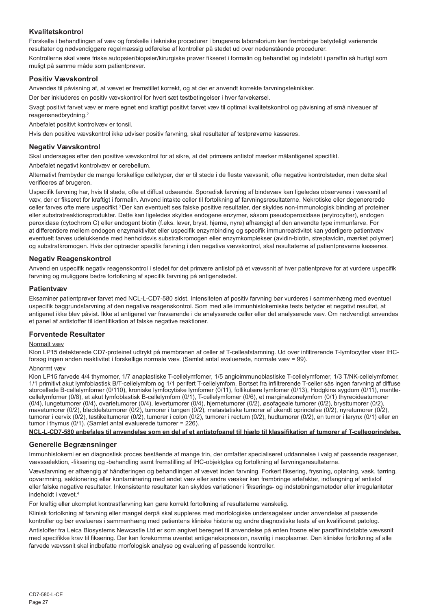## **Kvalitetskontrol**

Forskelle i behandlingen af væv og forskelle i tekniske procedurer i brugerens laboratorium kan frembringe betydeligt varierende resultater og nødvendiggøre regelmæssig udførelse af kontroller på stedet ud over nedenstående procedurer. Kontrollerne skal være friske autopsier/biopsier/kirurgiske prøver fikseret i formalin og behandlet og indstøbt i paraffin så hurtigt som muligt på samme måde som patientprøver.

## **Positiv Vævskontrol**

Anvendes til påvisning af, at vævet er fremstillet korrekt, og at der er anvendt korrekte farvningsteknikker.

Der bør inkluderes en positiv vævskontrol for hvert sæt testbetingelser i hver farvekørsel.

Svagt positivt farvet væv er mere egnet end kraftigt positivt farvet væv til optimal kvalitetskontrol og påvisning af små niveauer af reagensnedbrydning.<sup>2</sup>

Anbefalet positivt kontrolvæv er tonsil.

Hvis den positive vævskontrol ikke udviser positiv farvning, skal resultater af testprøverne kasseres.

## **Negativ Vævskontrol**

Skal undersøges efter den positive vævskontrol for at sikre, at det primære antistof mærker målantigenet specifikt.

Anbefalet negativt kontrolvæv er cerebellum.

Alternativt frembyder de mange forskellige celletyper, der er til stede i de fleste vævssnit, ofte negative kontrolsteder, men dette skal verificeres af brugeren.

Uspecifik farvning har, hvis til stede, ofte et diffust udseende. Sporadisk farvning af bindevæv kan ligeledes observeres i vævssnit af væv, der er fikseret for kraftigt i formalin. Anvend intakte celler til fortolkning af farvningsresultaterne. Nekrotiske eller degenererede celler farves ofte mere uspecifikt.<sup>3</sup>Der kan eventuelt ses falske positive resultater, der skyldes non-immunologisk binding af proteiner eller substratreaktionsprodukter. Dette kan ligeledes skyldes endogene enzymer, såsom pseudoperoxidase (erytrocytter), endogen peroxidase (cytochrom C) eller endogent biotin (f.eks. lever, bryst, hjerne, nyre) afhængigt af den anvendte type immunfarve. For at differentiere mellem endogen enzymaktivitet eller uspecifik enzymbinding og specifik immunreaktivitet kan yderligere patientvæv eventuelt farves udelukkende med henholdsvis substratkromogen eller enzymkomplekser (avidin-biotin, streptavidin, mærket polymer) og substratkromogen. Hvis der optræder specifik farvning i den negative vævskontrol, skal resultaterne af patientprøverne kasseres.

## **Negativ Reagenskontrol**

Anvend en uspecifik negativ reagenskontrol i stedet for det primære antistof på et vævssnit af hver patientprøve for at vurdere uspecifik farvning og muliggøre bedre fortolkning af specifik farvning på antigenstedet.

#### **Patientvæv**

Eksaminer patientprøver farvet med NCL-L-CD7-580 sidst. Intensiteten af positiv farvning bør vurderes i sammenhæng med eventuel uspecifik baggrundsfarvning af den negative reagenskontrol. Som med alle immunhistokemiske tests betyder et negativt resultat, at antigenet ikke blev påvist. Ikke at antigenet var fraværende i de analyserede celler eller det analyserede væv. Om nødvendigt anvendes et panel af antistoffer til identifikation af falske negative reaktioner.

## **Forventede Resultater**

#### Normalt væv

Klon LP15 detekterede CD7-proteinet udtrykt på membranen af celler af T-celleafstamning. Ud over infiltrerende T-lymfocytter viser IHCforsøg ingen anden reaktivitet i forskellige normale væv. (Samlet antal evaluerede, normale væv = 99).

## Abnormt væv

Klon LP15 farvede 4/4 thymomer, 1/7 anaplastiske T-cellelymfomer, 1/5 angioimmunoblastiske T-cellelymfomer, 1/3 T/NK-cellelymfomer, 1/1 primitivt akut lymfoblastisk B/T-cellelymfom og 1/1 perifert T-cellelymfom. Bortset fra infiltrerende T-celler sås ingen farvning af diffuse storcellede B-cellelymfomer (0/110), kroniske lymfocytiske lymfomer (0/11), follikulære lymfomer (0/13), Hodgkins sygdom (0/11), mantle-<br>cellelymfomer (0/8), et akut lymfoblastisk B-cellelymfom (0/1), T-cellelymfomer (0/6) (0/4), lungetumorer (0/4), ovarietumorer (0/4), levertumorer (0/4), hjernetumorer (0/2), øsofageale tumorer (0/2), brysttumorer (0/2), mavetumorer (0/2), bløddelstumorer (0/2), tumorer i tungen (0/2), metastatiske tumorer af ukendt oprindelse (0/2), nyretumorer (0/2), tumorer i cervix (0/2), testikeltumorer (0/2), tumorer i colon (0/2), tumorer i rectum (0/2), hudtumorer (0/2), en tumor i larynx (0/1) eller en tumor i thymus (0/1). (Samlet antal evaluerede tumorer = 226).

**NCL-L-CD7-580 anbefales til anvendelse som en del af et antistofpanel til hjælp til klassifikation af tumorer af T-celleoprindelse.**

#### **Generelle Begrænsninger**

Immunhistokemi er en diagnostisk proces bestående af mange trin, der omfatter specialiseret uddannelse i valg af passende reagenser, vævsselektion, -fiksering og -behandling samt fremstilling af IHC-objektglas og fortolkning af farvningsresultaterne.

Vævsfarvning er afhængig af håndteringen og behandlingen af vævet inden farvning. Forkert fiksering, frysning, optøning, vask, tørring, opvarmning, sektionering eller kontaminering med andet væv eller andre væsker kan frembringe artefakter, indfangning af antistof eller falske negative resultater. Inkonsistente resultater kan skyldes variationer i fikserings- og indstøbningsmetoder eller irregulariteter indeholdt i vævet<sup>4</sup>

For kraftig eller ukomplet kontrastfarvning kan gøre korrekt fortolkning af resultaterne vanskelig.

Klinisk fortolkning af farvning eller mangel derpå skal suppleres med morfologiske undersøgelser under anvendelse af passende kontroller og bør evalueres i sammenhæng med patientens kliniske historie og andre diagnostiske tests af en kvalificeret patolog.

Antistoffer fra Leica Biosystems Newcastle Ltd er som angivet beregnet til anvendelse på enten frosne eller paraffinindstøbte vævssnit med specifikke krav til fiksering. Der kan forekomme uventet antigenekspression, navnlig i neoplasmer. Den kliniske fortolkning af alle farvede vævssnit skal indbefatte morfologisk analyse og evaluering af passende kontroller.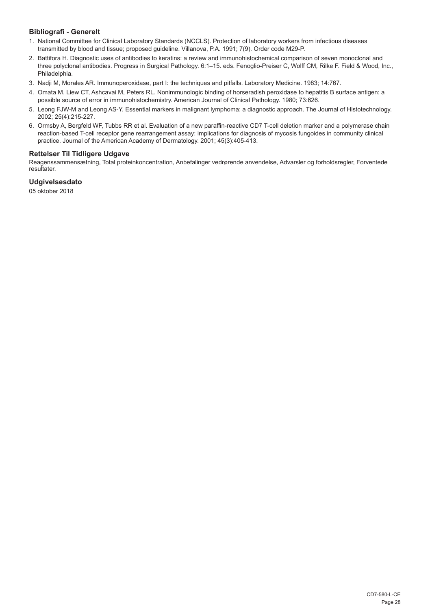## **Bibliografi - Generelt**

- 1. National Committee for Clinical Laboratory Standards (NCCLS). Protection of laboratory workers from infectious diseases transmitted by blood and tissue; proposed guideline. Villanova, P.A. 1991; 7(9). Order code M29-P.
- 2. Battifora H. Diagnostic uses of antibodies to keratins: a review and immunohistochemical comparison of seven monoclonal and three polyclonal antibodies. Progress in Surgical Pathology. 6:1–15. eds. Fenoglio-Preiser C, Wolff CM, Rilke F. Field & Wood, Inc., Philadelphia.
- 3. Nadji M, Morales AR. Immunoperoxidase, part I: the techniques and pitfalls. Laboratory Medicine. 1983; 14:767.
- 4. Omata M, Liew CT, Ashcavai M, Peters RL. Nonimmunologic binding of horseradish peroxidase to hepatitis B surface antigen: a possible source of error in immunohistochemistry. American Journal of Clinical Pathology. 1980; 73:626.
- 5. Leong FJW-M and Leong AS-Y. Essential markers in malignant lymphoma: a diagnostic approach. The Journal of Histotechnology. 2002; 25(4):215-227.
- 6. Ormsby A, Bergfeld WF, Tubbs RR et al. Evaluation of a new paraffin-reactive CD7 T-cell deletion marker and a polymerase chain reaction-based T-cell receptor gene rearrangement assay: implications for diagnosis of mycosis fungoides in community clinical practice. Journal of the American Academy of Dermatology. 2001; 45(3):405-413.

#### **Rettelser Til Tidligere Udgave**

Reagenssammensætning, Total proteinkoncentration, Anbefalinger vedrørende anvendelse, Advarsler og forholdsregler, Forventede resultater.

## **Udgivelsesdato**

05 oktober 2018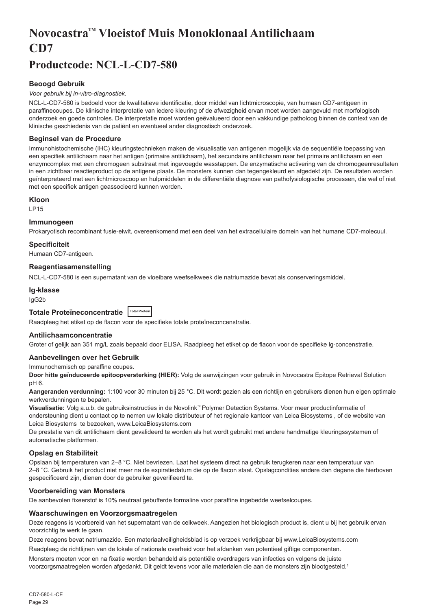## <span id="page-29-0"></span>**Novocastra™ Vloeistof Muis Monoklonaal Antilichaam CD7**

## **Productcode: NCL-L-CD7-580**

## **Beoogd Gebruik**

#### *Voor gebruik bij in-vitro-diagnostiek.*

NCL-L-CD7-580 is bedoeld voor de kwalitatieve identificatie, door middel van lichtmicroscopie, van humaan CD7-antigeen in paraffinecoupes. De klinische interpretatie van iedere kleuring of de afwezigheid ervan moet worden aangevuld met morfologisch onderzoek en goede controles. De interpretatie moet worden geëvalueerd door een vakkundige patholoog binnen de context van de klinische geschiedenis van de patiënt en eventueel ander diagnostisch onderzoek.

### **Beginsel van de Procedure**

Immunohistochemische (IHC) kleuringstechnieken maken de visualisatie van antigenen mogelijk via de sequentiële toepassing van een specifiek antilichaam naar het antigen (primaire antilichaam), het secundaire antilichaam naar het primaire antilichaam en een enzymcomplex met een chromogeen substraat met ingevoegde wasstappen. De enzymatische activering van de chromogeenresultaten in een zichtbaar reactieproduct op de antigene plaats. De monsters kunnen dan tegengekleurd en afgedekt zijn. De resultaten worden geïnterpreteerd met een lichtmicroscoop en hulpmiddelen in de differentiële diagnose van pathofysiologische processen, die wel of niet met een specifiek antigen geassocieerd kunnen worden.

#### **Kloon**

LP15

## **Immunogeen**

Prokaryotisch recombinant fusie-eiwit, overeenkomend met een deel van het extracellulaire domein van het humane CD7-molecuul.

#### **Specificiteit**

Humaan CD7-antigeen.

#### **Reagentiasamenstelling**

NCL-L-CD7-580 is een supernatant van de vloeibare weefselkweek die natriumazide bevat als conserveringsmiddel.

## **Ig-klasse**

IgG2b

## **Totale Proteïneconcentratie Total Protein**

Raadpleeg het etiket op de flacon voor de specifieke totale proteïneconcenstratie.

## **Antilichaamconcentratie**

Groter of gelijk aan 351 mg/L zoals bepaald door ELISA. Raadpleeg het etiket op de flacon voor de specifieke lg-concenstratie.

## **Aanbevelingen over het Gebruik**

Immunochemisch op paraffine coupes.

**Door hitte geïnduceerde epitoopversterking (HIER):** Volg de aanwijzingen voor gebruik in Novocastra Epitope Retrieval Solution pH 6.

**Aangeranden verdunning:** 1:100 voor 30 minuten bij 25 °C. Dit wordt gezien als een richtlijn en gebruikers dienen hun eigen optimale werkverdunningen te bepalen.

**Visualisatie:** Volg a.u.b. de gebruiksinstructies in de Novolink™ Polymer Detection Systems. Voor meer productinformatie of ondersteuning dient u contact op te nemen uw lokale distributeur of het regionale kantoor van Leica Biosystems , of de website van Leica Biosystems te bezoeken, www.LeicaBiosystems.com

De prestatie van dit antilichaam dient gevalideerd te worden als het wordt gebruikt met andere handmatige kleuringssystemen of automatische platformen.

## **Opslag en Stabiliteit**

Opslaan bij temperaturen van 2–8 °C. Niet bevriezen. Laat het systeem direct na gebruik terugkeren naar een temperatuur van 2–8 °C. Gebruik het product niet meer na de expiratiedatum die op de flacon staat. Opslagcondities andere dan degene die hierboven gespecificeerd zijn, dienen door de gebruiker geverifieerd te.

## **Voorbereiding van Monsters**

De aanbevolen fixeerstof is 10% neutraal gebufferde formaline voor paraffine ingebedde weefselcoupes.

#### **Waarschuwingen en Voorzorgsmaatregelen**

Deze reagens is voorbereid van het supernatant van de celkweek. Aangezien het biologisch product is, dient u bij het gebruik ervan voorzichtig te werk te gaan.

Deze reagens bevat natriumazide. Een materiaalveiligheidsblad is op verzoek verkrijgbaar bij www.LeicaBiosystems.com

Raadpleeg de richtlijnen van de lokale of nationale overheid voor het afdanken van potentieel giftige componenten.

Monsters moeten voor en na fixatie worden behandeld als potentiële overdragers van infecties en volgens de juiste voorzorgsmaatregelen worden afgedankt. Dit geldt tevens voor alle materialen die aan de monsters zijn blootgesteld.<sup>1</sup>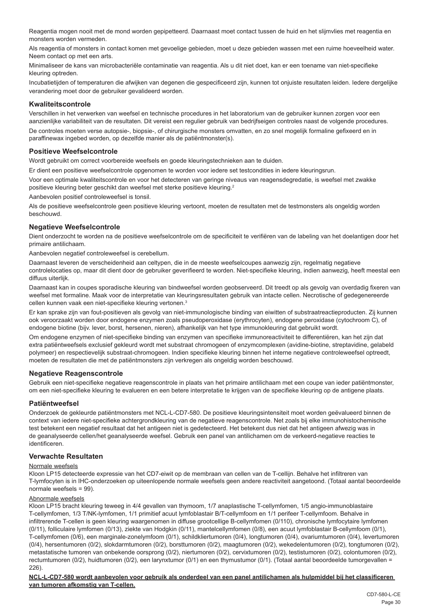Reagentia mogen nooit met de mond worden gepipetteerd. Daarnaast moet contact tussen de huid en het slijmvlies met reagentia en monsters worden vermeden.

Als reagentia of monsters in contact komen met gevoelige gebieden, moet u deze gebieden wassen met een ruime hoeveelheid water. Neem contact op met een arts.

Minimaliseer de kans van microbacteriële contaminatie van reagentia. Als u dit niet doet, kan er een toename van niet-specifieke kleuring optreden.

Incubatietijden of temperaturen die afwijken van degenen die gespecificeerd zijn, kunnen tot onjuiste resultaten leiden. Iedere dergelijke verandering moet door de gebruiker gevalideerd worden.

## **Kwaliteitscontrole**

Verschillen in het verwerken van weefsel en technische procedures in het laboratorium van de gebruiker kunnen zorgen voor een aanzienlijke variabiliteit van de resultaten. Dit vereist een regulier gebruik van bedrijfseigen controles naast de volgende procedures. De controles moeten verse autopsie-, biopsie-, of chirurgische monsters omvatten, en zo snel mogelijk formaline gefixeerd en in paraffinewax ingebed worden, op dezelfde manier als de patiëntmonster(s).

#### **Positieve Weefselcontrole**

Wordt gebruikt om correct voorbereide weefsels en goede kleuringstechnieken aan te duiden.

Er dient een positieve weefselcontrole opgenomen te worden voor iedere set testcondities in iedere kleuringsrun.

Voor een optimale kwaliteitscontrole en voor het detecteren van geringe niveaus van reagensdegredatie, is weefsel met zwakke positieve kleuring beter geschikt dan weefsel met sterke positieve kleuring.<sup>2</sup>

Aanbevolen positief controleweefsel is tonsil.

Als de positieve weefselcontrole geen positieve kleuring vertoont, moeten de resultaten met de testmonsters als ongeldig worden beschouwd.

#### **Negatieve Weefselcontrole**

Dient onderzocht te worden na de positieve weefselcontrole om de specificiteit te verifiëren van de labeling van het doelantigen door het primaire antilichaam.

Aanbevolen negatief controleweefsel is cerebellum.

Daarnaast leveren de verscheidenheid aan celtypen, die in de meeste weefselcoupes aanwezig zijn, regelmatig negatieve controlelocaties op, maar dit dient door de gebruiker geverifieerd te worden. Niet-specifieke kleuring, indien aanwezig, heeft meestal een diffuus uiterlijk.

Daarnaast kan in coupes sporadische kleuring van bindweefsel worden geobserveerd. Dit treedt op als gevolg van overdadig fixeren van weefsel met formaline. Maak voor de interpretatie van kleuringsresultaten gebruik van intacte cellen. Necrotische of gedegenereerde cellen kunnen vaak een niet-specifieke kleuring vertonen.<sup>3</sup>

Er kan sprake zijn van fout-positieven als gevolg van niet-immunologische binding van eiwitten of substraatreactieproducten. Zij kunnen ook veroorzaakt worden door endogene enzymen zoals pseudoperoxidase (erythrocyten), endogene peroxidase (cytochroom C), of endogene biotine (bijv. lever, borst, hersenen, nieren), afhankelijk van het type immunokleuring dat gebruikt wordt.

Om endogene enzymen of niet-specifieke binding van enzymen van specifieke immunoreactiviteit te differentiëren, kan het zijn dat extra patiëntweefsels exclusief gekleurd wordt met substraat chromogeen of enzymcomplexen (avidine-biotine, streptavidine, gelabeld polymeer) en respectievelijk substraat-chromogeen. Indien specifieke kleuring binnen het interne negatieve controleweefsel optreedt, moeten de resultaten die met de patiëntmonsters zijn verkregen als ongeldig worden beschouwd.

## **Negatieve Reagenscontrole**

Gebruik een niet-specifieke negatieve reagenscontrole in plaats van het primaire antilichaam met een coupe van ieder patiëntmonster, om een niet-specifieke kleuring te evalueren en een betere interpretatie te krijgen van de specifieke kleuring op de antigene plaats.

## **Patiëntweefsel**

Onderzoek de gekleurde patiëntmonsters met NCL-L-CD7-580. De positieve kleuringsintensiteit moet worden geëvalueerd binnen de context van iedere niet-specifieke achtergrondkleuring van de negatieve reagenscontrole. Net zoals bij elke immunohistochemische test betekent een negatief resultaat dat het antigeen niet is gedetecteerd. Het betekent dus niet dat het antigeen afwezig was in de geanalyseerde cellen/het geanalyseerde weefsel. Gebruik een panel van antilichamen om de verkeerd-negatieve reacties te identificeren.

## **Verwachte Resultaten**

#### Normale weefsels

Kloon LP15 detecteerde expressie van het CD7-eiwit op de membraan van cellen van de T-cellijn. Behalve het infiltreren van T-lymfocyten is in IHC-onderzoeken op uiteenlopende normale weefsels geen andere reactiviteit aangetoond. (Totaal aantal beoordeelde normale weefsels = 99).

#### Abnormale weefsels

Kloon LP15 bracht kleuring teweeg in 4/4 gevallen van thymoom, 1/7 anaplastische T-cellymfomen, 1/5 angio-immunoblastaire T-cellymfomen, 1/3 T/NK-lymfomen, 1/1 primitief acuut lymfoblastair B/T-cellymfoom en 1/1 perifeer T-cellymfoom. Behalve in infiltrerende T-cellen is geen kleuring waargenomen in diffuse grootcellige B-cellymfomen (0/110), chronische lymfocytaire lymfomen (0/11), folliculaire lymfomen (0/13), ziekte van Hodgkin (0/11), mantelcellymfomen (0/8), een acuut lymfoblastair B-cellymfoom (0/1), T-cellymfomen (0/6), een marginale-zonelymfoom (0/1), schildkliertumoren (0/4), longtumoren (0/4), ovariumtumoren (0/4), levertumoren (0/4), hersentumoren (0/2), slokdarmtumoren (0/2), borsttumoren (0/2), maagtumoren (0/2), wekedelentumoren (0/2), tongtumoren (0/2), metastatische tumoren van onbekende oorsprong (0/2), niertumoren (0/2), cervixtumoren (0/2), testistumoren (0/2), colontumoren (0/2), rectumtumoren (0/2), huidtumoren (0/2), een larynxtumor (0/1) en een thymustumor (0/1). (Totaal aantal beoordeelde tumorgevallen = 226).

**NCL-L-CD7-580 wordt aanbevolen voor gebruik als onderdeel van een panel antilichamen als hulpmiddel bij het classificeren van tumoren afkomstig van T-cellen.**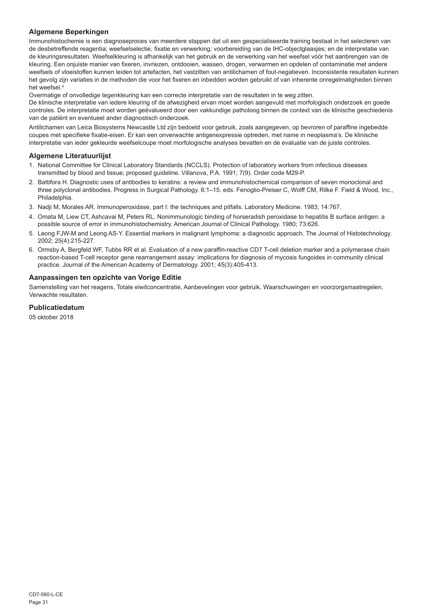## **Algemene Beperkingen**

Immunohistochemie is een diagnoseproces van meerdere stappen dat uit een gespecialiseerde training bestaat in het selecteren van de desbetreffende reagentia; weefselselectie, fixatie en verwerking; voorbereiding van de IHC-objectglaasjes; en de interpretatie van de kleuringsresultaten. Weefselkleuring is afhankelijk van het gebruik en de verwerking van het weefsel vóór het aanbrengen van de kleuring. Een onjuiste manier van fixeren, invriezen, ontdooien, wassen, drogen, verwarmen en opdelen of contaminatie met andere weefsels of vloeistoffen kunnen leiden tot artefacten, het vastzitten van antilichamen of fout-negatieven. Inconsistente resultaten kunnen het gevolg zijn variaties in de methoden die voor het fixeren en inbedden worden gebruikt of van inherente onregelmatigheden binnen het weefsel.<sup>4</sup>

Overmatige of onvolledige tegenkleuring kan een correcte interpretatie van de resultaten in te weg zitten.

De klinische interpretatie van iedere kleuring of de afwezigheid ervan moet worden aangevuld met morfologisch onderzoek en goede controles. De interpretatie moet worden geëvalueerd door een vakkundige patholoog binnen de context van de klinische geschiedenis van de patiënt en eventueel ander diagnostisch onderzoek.

Antilichamen van Leica Biosystems Newcastle Ltd zijn bedoeld voor gebruik, zoals aangegeven, op bevroren of paraffine ingebedde coupes met specifieke fixatie-eisen. Er kan een onverwachte antigenexpressie optreden, met name in neoplasma's. De klinische interpretatie van ieder gekleurde weefselcoupe moet morfologische analyses bevatten en de evaluatie van de juiste controles.

## **Algemene Literatuurlijst**

- 1. National Committee for Clinical Laboratory Standards (NCCLS). Protection of laboratory workers from infectious diseases transmitted by blood and tissue; proposed guideline. Villanova, P.A. 1991; 7(9). Order code M29-P.
- 2. Battifora H. Diagnostic uses of antibodies to keratins: a review and immunohistochemical comparison of seven monoclonal and three polyclonal antibodies. Progress in Surgical Pathology. 6:1–15. eds. Fenoglio-Preiser C, Wolff CM, Rilke F. Field & Wood, Inc., **Philadelphia**
- 3. Nadji M, Morales AR. Immunoperoxidase, part I: the techniques and pitfalls. Laboratory Medicine. 1983; 14:767.
- 4. Omata M, Liew CT, Ashcavai M, Peters RL. Nonimmunologic binding of horseradish peroxidase to hepatitis B surface antigen: a possible source of error in immunohistochemistry. American Journal of Clinical Pathology. 1980; 73:626.
- 5. Leong FJW-M and Leong AS-Y. Essential markers in malignant lymphoma: a diagnostic approach. The Journal of Histotechnology. 2002; 25(4):215-227.
- 6. Ormsby A, Bergfeld WF, Tubbs RR et al. Evaluation of a new paraffin-reactive CD7 T-cell deletion marker and a polymerase chain reaction-based T-cell receptor gene rearrangement assay: implications for diagnosis of mycosis fungoides in community clinical practice. Journal of the American Academy of Dermatology. 2001; 45(3):405-413.

#### **Aanpassingen ten opzichte van Vorige Editie**

Samenstelling van het reagens, Totale eiwitconcentratie, Aanbevelingen voor gebruik, Waarschuwingen en voorzorgsmaatregelen, Verwachte resultaten.

## **Publicatiedatum**

05 oktober 2018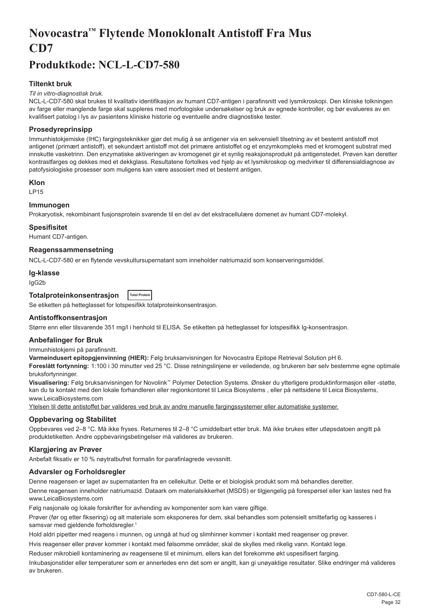## <span id="page-32-0"></span>**Novocastra™ Flytende Monoklonalt Antistoff Fra Mus CD7**

## **Produktkode: NCL-L-CD7-580**

## **Tiltenkt bruk**

#### *Til in vitro-diagnostisk bruk.*

NCL-L-CD7-580 skal brukes til kvalitativ identifikasjon av humant CD7-antigen i parafinsnitt ved lysmikroskopi. Den kliniske tolkningen av farge eller manglende farge skal suppleres med morfologiske undersøkelser og bruk av egnede kontroller, og bør evalueres av en kvalifisert patolog i lys av pasientens kliniske historie og eventuelle andre diagnostiske tester.

## **Prosedyreprinsipp**

Immunhistokjemiske (IHC) fargingsteknikker gjør det mulig å se antigener via en sekvensiell tilsetning av et bestemt antistoff mot antigenet (primært antistoff), et sekundært antistoff mot det primære antistoffet og et enzymkompleks med et kromogent substrat med innskutte vasketrinn. Den enzymatiske aktiveringen av kromogenet gir et synlig reaksjonsprodukt på antigenstedet. Prøven kan deretter kontrastfarges og dekkes med et dekkglass. Resultatene fortolkes ved hjelp av et lysmikroskop og medvirker til differensialdiagnose av patofysiologiske prosesser som muligens kan være assosiert med et bestemt antigen.

#### **Klon**

LP15

## **Immunogen**

Prokaryotisk, rekombinant fusjonsprotein svarende til en del av det ekstracellulære domenet av humant CD7-molekyl.

#### **Spesifisitet**

Humant CD7-antigen.

#### **Reagenssammensetning**

NCL-L-CD7-580 er en flytende vevskultursupernatant som inneholder natriumazid som konserveringsmiddel.

#### **Ig-klasse**

IgG2b

#### **Totalproteinkonsentrasjon Total Protein**

Se etiketten på hetteglasset for lotspesifikk totalproteinkonsentrasjon.

#### **Antistoffkonsentrasjon**

Større enn eller tilsvarende 351 mg/l i henhold til ELISA. Se etiketten på hetteglasset for lotspesifikk Ig-konsentrasjon.

#### **Anbefalinger for Bruk**

Immunhistokjemi på parafinsnitt.

**Varmeindusert epitopgjenvinning (HIER):** Følg bruksanvisningen for Novocastra Epitope Retrieval Solution pH 6.

**Foreslått fortynning:** 1:100 i 30 minutter ved 25 °C. Disse retningslinjene er veiledende, og brukeren bør selv bestemme egne optimale bruksfortynninger.

**Visualisering:** Følg bruksanvisningen for Novolink™ Polymer Detection Systems. Ønsker du ytterligere produktinformasjon eller -støtte, kan du ta kontakt med den lokale forhandleren eller regionkontoret til Leica Biosystems , eller på nettsidene til Leica Biosystems, www.LeicaBiosystems.com

Ytelsen til dette antistoffet bør valideres ved bruk av andre manuelle fargingssystemer eller automatiske systemer.

## **Oppbevaring og Stabilitet**

Oppbevares ved 2–8 °C. Må ikke fryses. Returneres til 2–8 °C umiddelbart etter bruk. Må ikke brukes etter utløpsdatoen angitt på produktetiketten. Andre oppbevaringsbetingelser må valideres av brukeren.

## **Klargjøring av Prøver**

Anbefalt fiksativ er 10 % nøytralbufret formalin for parafinlagrede vevssnitt.

## **Advarsler og Forholdsregler**

Denne reagensen er laget av supernatanten fra en cellekultur. Dette er et biologisk produkt som må behandles deretter. Denne reagensen inneholder natriumazid. Dataark om materialsikkerhet (MSDS) er tilgjengelig på forespørsel eller kan lastes ned fra www.LeicaBiosystems.com

Følg nasjonale og lokale forskrifter for avhending av komponenter som kan være giftige.

Prøver (før og etter fiksering) og alt materiale som eksponeres for dem, skal behandles som potensielt smittefarlig og kasseres i samsvar med gjeldende forholdsregler.<sup>1</sup>

Hold aldri pipetter med reagens i munnen, og unngå at hud og slimhinner kommer i kontakt med reagenser og prøver.

Hvis reagenser eller prøver kommer i kontakt med følsomme områder, skal de skylles med rikelig vann. Kontakt lege.

Reduser mikrobiell kontaminering av reagensene til et minimum, ellers kan det forekomme økt uspesifisert farging.

Inkubasjonstider eller temperaturer som er annerledes enn det som er angitt, kan gi unøyaktige resultater. Slike endringer må valideres av brukeren.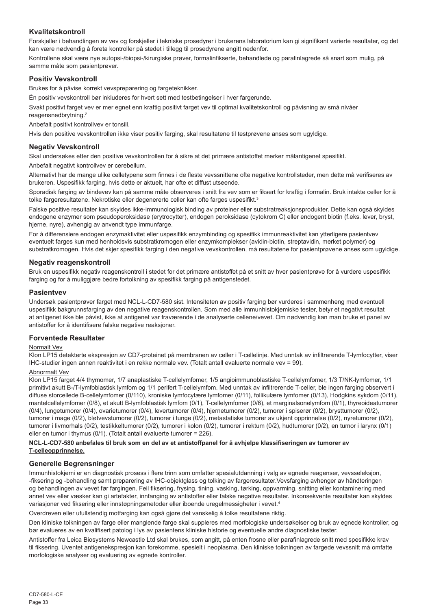## **Kvalitetskontroll**

Forskjeller i behandlingen av vev og forskjeller i tekniske prosedyrer i brukerens laboratorium kan gi signifikant varierte resultater, og det kan være nødvendig å foreta kontroller på stedet i tillegg til prosedyrene angitt nedenfor.

Kontrollene skal være nye autopsi-/biopsi-/kirurgiske prøver, formalinfikserte, behandlede og parafinlagrede så snart som mulig, på samme måte som pasientprøver.

### **Positiv Vevskontroll**

Brukes for å påvise korrekt vevspreparering og fargeteknikker.

Én positiv vevskontroll bør inkluderes for hvert sett med testbetingelser i hver fargerunde.

Svakt positivt farget vev er mer egnet enn kraftig positivt farget vev til optimal kvalitetskontroll og påvisning av små nivåer reagensnedbrytning.<sup>2</sup>

Anbefalt positivt kontrollvev er tonsill.

Hvis den positive vevskontrollen ikke viser positiv farging, skal resultatene til testprøvene anses som ugyldige.

### **Negativ Vevskontroll**

Skal undersøkes etter den positive vevskontrollen for å sikre at det primære antistoffet merker målantigenet spesifikt.

Anbefalt negativt kontrollvev er cerebellum.

Alternativt har de mange ulike celletypene som finnes i de fleste vevssnittene ofte negative kontrollsteder, men dette må verifiseres av brukeren. Uspesifikk farging, hvis dette er aktuelt, har ofte et diffust utseende.

Sporadisk farging av bindevev kan på samme måte observeres i snitt fra vev som er fiksert for kraftig i formalin. Bruk intakte celler for å tolke fargeresultatene. Nekrotiske eller degenererte celler kan ofte farges uspesifikt.<sup>3</sup>

Falske positive resultater kan skyldes ikke-immunologisk binding av proteiner eller substratreaksjonsprodukter. Dette kan også skyldes endogene enzymer som pseudoperoksidase (erytrocytter), endogen peroksidase (cytokrom C) eller endogent biotin (f.eks. lever, bryst, hjerne, nyre), avhengig av anvendt type immunfarge.

For å differensiere endogen enzymaktivitet eller uspesifikk enzymbinding og spesifikk immunreaktivitet kan ytterligere pasientvev eventuelt farges kun med henholdsvis substratkromogen eller enzymkomplekser (avidin-biotin, streptavidin, merket polymer) og substratkromogen. Hvis det skjer spesifikk farging i den negative vevskontrollen, må resultatene for pasientprøvene anses som ugyldige.

#### **Negativ reagenskontroll**

Bruk en uspesifikk negativ reagenskontroll i stedet for det primære antistoffet på et snitt av hver pasientprøve for å vurdere uspesifikk farging og for å muliggjøre bedre fortolkning av spesifikk farging på antigenstedet.

#### **Pasientvev**

Undersøk pasientprøver farget med NCL-L-CD7-580 sist. Intensiteten av positiv farging bør vurderes i sammenheng med eventuell uspesifikk bakgrunnsfarging av den negative reagenskontrollen. Som med alle immunhistokjemiske tester, betyr et negativt resultat at antigenet ikke ble påvist, ikke at antigenet var fraværende i de analyserte cellene/vevet. Om nødvendig kan man bruke et panel av antistoffer for å identifisere falske negative reaksjoner.

#### **Forventede Resultater**

#### Normalt Vev

Klon LP15 detekterte ekspresjon av CD7-proteinet på membranen av celler i T-cellelinje. Med unntak av infiltrerende T-lymfocytter, viser IHC-studier ingen annen reaktivitet i en rekke normale vev. (Totalt antall evaluerte normale vev = 99).

#### Abnormalt Vev

Klon LP15 farget 4/4 thymomer, 1/7 anaplastiske T-cellelymfomer, 1/5 angioimmunoblastiske T-cellelymfomer, 1/3 T/NK-lymfomer, 1/1 primitivt akutt B-/T-lymfoblastisk lymfom og 1/1 perifert T-cellelymfom. Med unntak av infiltrerende T-celler, ble ingen farging observert i diffuse storcellede B-cellelymfomer (0/110), kroniske lymfocytære lymfomer (0/11), follikulære lymfomer (0/13), Hodgkins sykdom (0/11), mantelcellelymfomer (0/8), et akutt B-lymfoblastisk lymfom (0/1), T-cellelymfomer (0/6), et marginalsonelymfom (0/1), thyreoideatumorer (0/4), lungetumorer (0/4), ovarietumorer (0/4), levertumorer (0/4), hjernetumorer (0/2), tumorer i spiserør (0/2), brysttumorer (0/2), tumorer i mage (0/2), bløtvevstumorer (0/2), tumorer i tunge (0/2), metastatiske tumorer av ukjent opprinnelse (0/2), nyretumorer (0/2), tumorer i livmorhals (0/2), testikkeltumorer (0/2), tumorer i kolon (0/2), tumorer i rektum (0/2), hudtumorer (0/2), en tumor i larynx (0/1) eller en tumor i thymus (0/1). (Totalt antall evaluerte tumorer = 226).

#### **NCL-L-CD7-580 anbefales til bruk som en del av et antistoffpanel for å avhjelpe klassifiseringen av tumorer av T-celleopprinnelse.**

## **Generelle Begrensninger**

Immunhistokjemi er en diagnostisk prosess i flere trinn som omfatter spesialutdanning i valg av egnede reagenser, vevsseleksjon, -fiksering og -behandling samt preparering av IHC-objektglass og tolking av fargeresultater.Vevsfarging avhenger av håndteringen og behandlingen av vevet før fargingen. Feil fiksering, frysing, tining, vasking, tørking, oppvarming, snitting eller kontaminering med annet vev eller væsker kan gi artefakter, innfanging av antistoffer eller falske negative resultater. Inkonsekvente resultater kan skyldes variasjoner ved fiksering eller innstøpningsmetoder eller iboende uregelmessigheter i vevet.<sup>4</sup>

Overdreven eller ufullstendig motfarging kan også gjøre det vanskelig å tolke resultatene riktig.

Den kliniske tolkningen av farge eller manglende farge skal suppleres med morfologiske undersøkelser og bruk av egnede kontroller, og bør evalueres av en kvalifisert patolog i lys av pasientens kliniske historie og eventuelle andre diagnostiske tester.

Antistoffer fra Leica Biosystems Newcastle Ltd skal brukes, som angitt, på enten frosne eller parafinlagrede snitt med spesifikke krav til fiksering. Uventet antigenekspresjon kan forekomme, spesielt i neoplasma. Den kliniske tolkningen av fargede vevssnitt må omfatte morfologiske analyser og evaluering av egnede kontroller.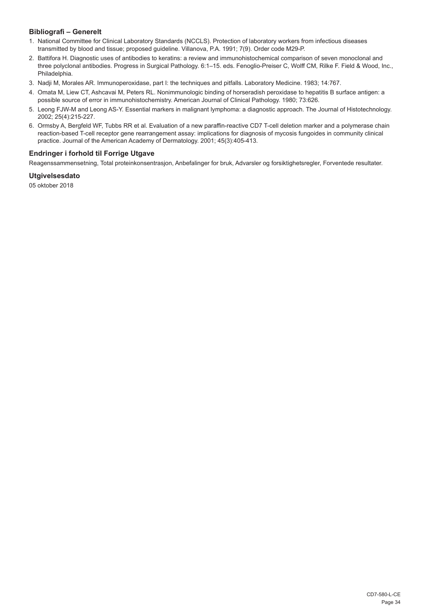## **Bibliografi – Generelt**

- 1. National Committee for Clinical Laboratory Standards (NCCLS). Protection of laboratory workers from infectious diseases transmitted by blood and tissue; proposed guideline. Villanova, P.A. 1991; 7(9). Order code M29-P.
- 2. Battifora H. Diagnostic uses of antibodies to keratins: a review and immunohistochemical comparison of seven monoclonal and three polyclonal antibodies. Progress in Surgical Pathology. 6:1–15. eds. Fenoglio-Preiser C, Wolff CM, Rilke F. Field & Wood, Inc., Philadelphia.
- 3. Nadji M, Morales AR. Immunoperoxidase, part I: the techniques and pitfalls. Laboratory Medicine. 1983; 14:767.
- 4. Omata M, Liew CT, Ashcavai M, Peters RL. Nonimmunologic binding of horseradish peroxidase to hepatitis B surface antigen: a possible source of error in immunohistochemistry. American Journal of Clinical Pathology. 1980; 73:626.
- 5. Leong FJW-M and Leong AS-Y. Essential markers in malignant lymphoma: a diagnostic approach. The Journal of Histotechnology. 2002; 25(4):215-227.
- 6. Ormsby A, Bergfeld WF, Tubbs RR et al. Evaluation of a new paraffin-reactive CD7 T-cell deletion marker and a polymerase chain reaction-based T-cell receptor gene rearrangement assay: implications for diagnosis of mycosis fungoides in community clinical practice. Journal of the American Academy of Dermatology. 2001; 45(3):405-413.

## **Endringer i forhold til Forrige Utgave**

Reagenssammensetning, Total proteinkonsentrasjon, Anbefalinger for bruk, Advarsler og forsiktighetsregler, Forventede resultater.

## **Utgivelsesdato**

05 oktober 2018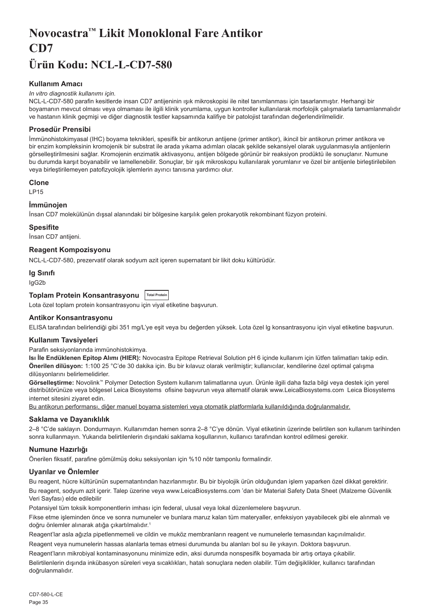## <span id="page-35-0"></span>**Novocastra™ Likit Monoklonal Fare Antikor CD7**

## **Ürün Kodu: NCL-L-CD7-580**

## **Kullanım Amacı**

#### *In vitro diagnostik kullanımı için.*

NCL-L-CD7-580 parafin kesitlerde insan CD7 antijeninin ışık mikroskopisi ile nitel tanımlanması için tasarlanmıştır. Herhangi bir boyamanın mevcut olması veya olmaması ile ilgili klinik yorumlama, uygun kontroller kullanılarak morfolojik çalışmalarla tamamlanmalıdır ve hastanın klinik geçmişi ve diğer diagnostik testler kapsamında kalifiye bir patolojist tarafından değerlendirilmelidir.

## **Prosedür Prensibi**

İmmünohistokimyasal (IHC) boyama teknikleri, spesifik bir antikorun antijene (primer antikor), ikincil bir antikorun primer antikora ve bir enzim kompleksinin kromojenik bir substrat ile arada yıkama adımları olacak şekilde sekansiyel olarak uygulanmasıyla antijenlerin görselleştirilmesini sağlar. Kromojenin enzimatik aktivasyonu, antijen bölgede görünür bir reaksiyon prodüktü ile sonuçlanır. Numune bu durumda karşıt boyanabilir ve lamellenebilir. Sonuçlar, bir ışık mikroskopu kullanılarak yorumlanır ve özel bir antijenle birleştirilebilen veya birleştirilemeyen patofizyolojik işlemlerin ayırıcı tanısına yardımcı olur.

## **Clone**

LP15

## **İmmünojen**

İnsan CD7 molekülünün dışsal alanındaki bir bölgesine karşılık gelen prokaryotik rekombinant füzyon proteini.

#### **Spesifite**

İnsan CD7 antijeni.

## **Reagent Kompozisyonu**

NCL-L-CD7-580, prezervatif olarak sodyum azit içeren supernatant bir likit doku kültürüdür.

#### **Ig Sınıfı**

IgG2b

## **Toplam Protein Konsantrasyonu Total Protein**

Lota özel toplam protein konsantrasyonu için viyal etiketine başvurun.

## **Antikor Konsantrasyonu**

ELISA tarafından belirlendiği gibi 351 mg/L'ye eşit veya bu değerden yüksek. Lota özel lg konsantrasyonu için viyal etiketine başvurun.

#### **Kullanım Tavsiyeleri**

Parafin seksiyonlarında immünohistokimya.

**Isı İle Endüklenen Epitop Alımı (HIER):** Novocastra Epitope Retrieval Solution pH 6 içinde kullanım için lütfen talimatları takip edin. **Önerilen dilüsyon:** 1:100 25 °C'de 30 dakika için. Bu bir kılavuz olarak verilmiştir; kullanıcılar, kendilerine özel optimal çalışma dilüsyonlarını belirlemelidirler.

**Görselleştirme:** Novolink™ Polymer Detection System kullanım talimatlarına uyun. Ürünle ilgili daha fazla bilgi veya destek için yerel distribütörünüze veya bölgesel Leica Biosystems ofisine başvurun veya alternatif olarak www.LeicaBiosystems.com Leica Biosystems internet sitesini ziyaret edin.

Bu antikorun performansı, diğer manuel boyama sistemleri veya otomatik platformlarla kullanıldığında doğrulanmalıdır.

## **Saklama ve Dayanıklılık**

2–8 °C'de saklayın. Dondurmayın. Kullanımdan hemen sonra 2–8 °C'ye dönün. Viyal etiketinin üzerinde belirtilen son kullanım tarihinden sonra kullanmayın. Yukarıda belirtilenlerin dışındaki saklama koşullarının, kullanıcı tarafından kontrol edilmesi gerekir.

## **Numune Hazırlığı**

Önerilen fiksatif, parafine gömülmüş doku seksiyonları için %10 nötr tamponlu formalindir.

## **Uyarılar ve Önlemler**

Bu reagent, hücre kültürünün supernatantından hazırlanmıştır. Bu bir biyolojik ürün olduğundan işlem yaparken özel dikkat gerektirir. Bu reagent, sodyum azit içerir. Talep üzerine veya www.LeicaBiosystems.com 'dan bir Material Safety Data Sheet (Malzeme Güvenlik Veri Sayfası) elde edilebilir

Potansiyel tüm toksik komponentlerin imhası için federal, ulusal veya lokal düzenlemelere başvurun.

Fikse etme işleminden önce ve sonra numuneler ve bunlara maruz kalan tüm materyaller, enfeksiyon yayabilecek gibi ele alınmalı ve doğru önlemler alınarak atığa çıkartılmalıdır.<sup>1</sup>

Reagent'lar asla ağızla pipetlenmemeli ve cildin ve muköz membranların reagent ve numunelerle temasından kaçınılmalıdır.

Reagent veya numunelerin hassas alanlarla temas etmesi durumunda bu alanları bol su ile yıkayın. Doktora başvurun. Reagent'ların mikrobiyal kontaminasyonunu minimize edin, aksi durumda nonspesifik boyamada bir artış ortaya çıkabilir.

Belirtilenlerin dışında inkübasyon süreleri veya sıcaklıkları, hatalı sonuçlara neden olabilir. Tüm değişiklikler, kullanıcı tarafından doğrulanmalıdır.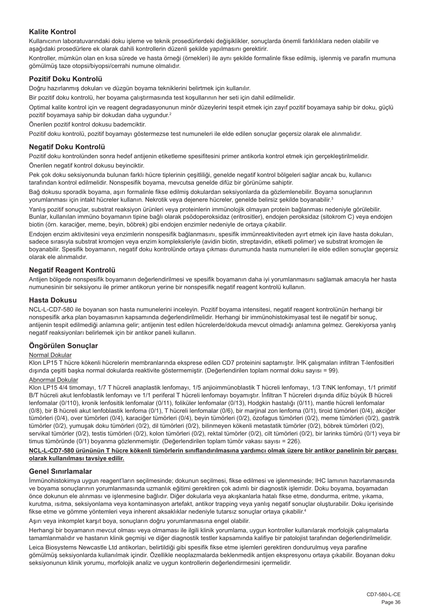## **Kalite Kontrol**

Kullanıcının laboratuvarındaki doku işleme ve teknik prosedürlerdeki değişiklikler, sonuçlarda önemli farklılıklara neden olabilir ve aşağıdaki prosedürlere ek olarak dahili kontrollerin düzenli şekilde yapılmasını gerektirir.

Kontroller, mümkün olan en kısa sürede ve hasta örneği (örnekleri) ile aynı şekilde formalinle fikse edilmiş, işlenmiş ve parafin mumuna gömülmüş taze otopsi/biyopsi/cerrahi numune olmalıdır.

### **Pozitif Doku Kontrolü**

Doğru hazırlanmış dokuları ve düzgün boyama tekniklerini belirtmek için kullanılır.

Bir pozitif doku kontrolü, her boyama çalıştırmasında test koşullarının her seti için dahil edilmelidir.

Optimal kalite kontrol için ve reagent degradasyonunun minör düzeylerini tespit etmek için zayıf pozitif boyamaya sahip bir doku, güçlü pozitif boyamaya sahip bir dokudan daha uygundur.<sup>2</sup>

Önerilen pozitif kontrol dokusu bademciktir.

Pozitif doku kontrolü, pozitif boyamayı göstermezse test numuneleri ile elde edilen sonuçlar geçersiz olarak ele alınmalıdır.

### **Negatif Doku Kontrolü**

Pozitif doku kontrolünden sonra hedef antijenin etiketleme spesifitesini primer antikorla kontrol etmek için gerçekleştirilmelidir. Önerilen negatif kontrol dokusu beyinciktir.

Pek çok doku seksiyonunda bulunan farklı hücre tiplerinin çeşitliliği, genelde negatif kontrol bölgeleri sağlar ancak bu, kullanıcı tarafından kontrol edilmelidir. Nonspesifik boyama, mevcutsa genelde difüz bir görünüme sahiptir.

Bağ dokusu sporadik boyama, aşırı formalinle fikse edilmiş dokulardan seksiyonlarda da gözlemlenebilir. Boyama sonuçlarının yorumlanması için intakt hücreler kullanın. Nekrotik veya dejenere hücreler, genelde belirsiz şekilde boyanabilir.<sup>3</sup>

Yanlış pozitif sonuçlar, substrat reaksiyon ürünleri veya proteinlerin immünolojik olmayan protein bağlanması nedeniyle görülebilir. Bunlar, kullanılan immüno boyamanın tipine bağlı olarak psödoperoksidaz (eritrositler), endojen peroksidaz (sitokrom C) veya endojen biotin (örn. karaciğer, meme, beyin, böbrek) gibi endojen enzimler nedeniyle de ortaya çıkabilir.

Endojen enzim aktivitesini veya enzimlerin nonspesifik bağlanmasını, spesifik immünreaktiviteden ayırt etmek için ilave hasta dokuları, sadece sırasıyla substrat kromojen veya enzim kompleksleriyle (avidin biotin, streptavidin, etiketli polimer) ve substrat kromojen ile boyanabilir. Spesifik boyamanın, negatif doku kontrolünde ortaya çıkması durumunda hasta numuneleri ile elde edilen sonuçlar geçersiz olarak ele alınmalıdır.

#### **Negatif Reagent Kontrolü**

Antijen bölgede nonspesifik boyamanın değerlendirilmesi ve spesifik boyamanın daha iyi yorumlanmasını sağlamak amacıyla her hasta numunesinin bir seksiyonu ile primer antikorun yerine bir nonspesifik negatif reagent kontrolü kullanın.

#### **Hasta Dokusu**

NCL-L-CD7-580 ile boyanan son hasta numunelerini inceleyin. Pozitif boyama intensitesi, negatif reagent kontrolünün herhangi bir nonspesifik arka plan boyamasının kapsamında değerlendirilmelidir. Herhangi bir immünohistokimyasal test ile negatif bir sonuç, antijenin tespit edilmediği anlamına gelir; antijenin test edilen hücrelerde/dokuda mevcut olmadığı anlamına gelmez. Gerekiyorsa yanlış negatif reaksiyonları belirlemek için bir antikor paneli kullanın.

## **Öngörülen Sonuçlar**

#### Normal Dokular

Klon LP15 T hücre kökenli hücrelerin membranlarında eksprese edilen CD7 proteinini saptamıştır. İHK çalışmaları infiltran T-lenfositleri dışında çeşitli başka normal dokularda reaktivite göstermemiştir. (Değerlendirilen toplam normal doku sayısı = 99).

#### Abnormal Dokular

Klon LP15 4/4 timomayı, 1/7 T hücreli anaplastik lenfomayı, 1/5 anjioimmünoblastik T hücreli lenfomayı, 1/3 T/NK lenfomayı, 1/1 primitif B/T hücreli akut lenfoblastik lenfomayı ve 1/1 periferal T hücreli lenfomayı boyamıştır. İnfiltran T hücreleri dışında difüz büyük B hücreli lenfomalar (0/110), kronik lenfositik lenfomalar (0/11), foliküler lenfomalar (0/13), Hodgkin hastalığı (0/11), mantle hücreli lenfomalar (0/8), bir B hücreli akut lenfoblastik lenfoma (0/1), T hücreli lenfomalar (0/6), bir marjinal zon lenfoma (0/1), tiroid tümörleri (0/4), akciğer tümörleri (0/4), over tümörleri (0/4), karaciğer tümörleri (0/4), beyin tümörleri (0/2), özofagus tümörleri (0/2), meme tümörleri (0/2), gastrik tümörler (0/2), yumuşak doku tümörleri (0/2), dil tümörleri (0/2), bilinmeyen kökenli metastatik tümörler (0/2), böbrek tümörleri (0/2), servikal tümörler (0/2), testis tümörleri (0/2), kolon tümörleri (0/2), rektal tümörler (0/2), cilt tümörleri (0/2), bir larinks tümörü (0/1) veya bir timus tümöründe (0/1) boyanma gözlenmemiştir. (Değerlendirilen toplam tümör vakası sayısı = 226).

#### **NCL-L-CD7-580 ürününün T hücre kökenli tümörlerin sınıflandırılmasına yardımcı olmak üzere bir antikor panelinin bir parçası olarak kullanılması tavsiye edilir.**

#### **Genel Sınırlamalar**

İmmünohistokimya uygun reagent'ların seçilmesinde; dokunun seçilmesi, fikse edilmesi ve işlenmesinde; IHC lamının hazırlanmasında ve boyama sonuçlarının yorumlanmasında uzmanlık eğitimi gerektiren çok adımlı bir diagnostik işlemidir. Doku boyama, boyamadan önce dokunun ele alınması ve işlenmesine bağlıdır. Diğer dokularla veya akışkanlarla hatalı fikse etme, dondurma, eritme, yıkama, kurutma, ısıtma, seksiyonlama veya kontaminasyon artefakt, antikor trapping veya yanlış negatif sonuçlar oluşturabilir. Doku içerisinde fikse etme ve gömme yöntemleri veya inherent aksaklıklar nedeniyle tutarsız sonuçlar ortaya çıkabilir. 4

Aşırı veya inkomplet karşıt boya, sonuçların doğru yorumlanmasına engel olabilir.

Herhangi bir boyamanın mevcut olması veya olmaması ile ilgili klinik yorumlama, uygun kontroller kullanılarak morfolojik çalışmalarla tamamlanmalıdır ve hastanın klinik geçmişi ve diğer diagnostik testler kapsamında kalifiye bir patolojist tarafından değerlendirilmelidir.

Leica Biosystems Newcastle Ltd antikorları, belirtildiği gibi spesifik fikse etme işlemleri gerektiren dondurulmuş veya parafine gömülmüş seksiyonlarda kullanılmak içindir. Özellikle neoplazmalarda beklenmedik antijen ekspresyonu ortaya çıkabilir. Boyanan doku seksiyonunun klinik yorumu, morfolojik analiz ve uygun kontrollerin değerlendirmesini içermelidir.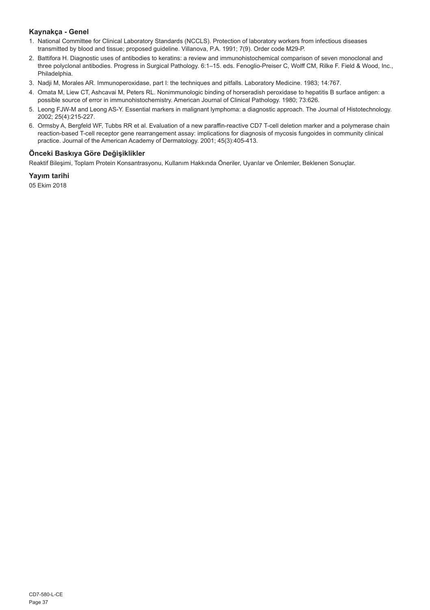## **Kaynakça - Genel**

- 1. National Committee for Clinical Laboratory Standards (NCCLS). Protection of laboratory workers from infectious diseases transmitted by blood and tissue; proposed guideline. Villanova, P.A. 1991; 7(9). Order code M29-P.
- 2. Battifora H. Diagnostic uses of antibodies to keratins: a review and immunohistochemical comparison of seven monoclonal and three polyclonal antibodies. Progress in Surgical Pathology. 6:1–15. eds. Fenoglio-Preiser C, Wolff CM, Rilke F. Field & Wood, Inc., Philadelphia.
- 3. Nadji M, Morales AR. Immunoperoxidase, part I: the techniques and pitfalls. Laboratory Medicine. 1983; 14:767.
- 4. Omata M, Liew CT, Ashcavai M, Peters RL. Nonimmunologic binding of horseradish peroxidase to hepatitis B surface antigen: a possible source of error in immunohistochemistry. American Journal of Clinical Pathology. 1980; 73:626.
- 5. Leong FJW-M and Leong AS-Y. Essential markers in malignant lymphoma: a diagnostic approach. The Journal of Histotechnology. 2002; 25(4):215-227.
- 6. Ormsby A, Bergfeld WF, Tubbs RR et al. Evaluation of a new paraffin-reactive CD7 T-cell deletion marker and a polymerase chain reaction-based T-cell receptor gene rearrangement assay: implications for diagnosis of mycosis fungoides in community clinical practice. Journal of the American Academy of Dermatology. 2001; 45(3):405-413.

## **Önceki Baskıya Göre Değişiklikler**

Reaktif Bileşimi, Toplam Protein Konsantrasyonu, Kullanım Hakkında Öneriler, Uyarılar ve Önlemler, Beklenen Sonuçlar.

## **Yayım tarihi**

05 Ekim 2018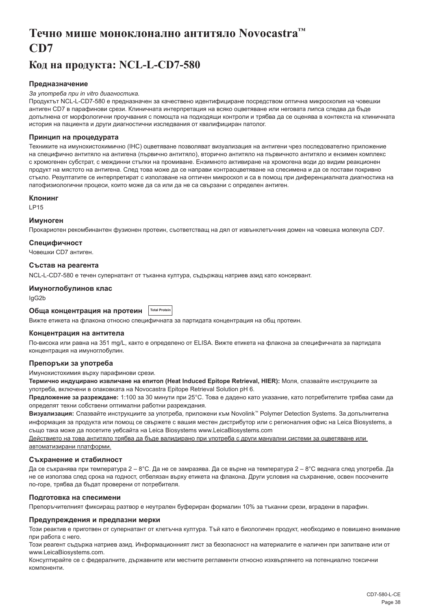## <span id="page-38-0"></span>**Течно мише моноклонално антитяло Novocastra™ CD7**

## **Код на продукта: NCL-L-CD7-580**

## **Предназначение**

#### *За употреба при in vitro диагностика.*

Продуктът NCL-L-CD7-580 е предназначен за качествено идентифициране посредством оптична микроскопия на човешки антиген CD7 в парафинови срези. Клиничната интерпретация на всяко оцветяване или неговата липса следва да бъде допълнена от морфологични проучвания с помощта на подходящи контроли и трябва да се оценява в контекста на клиничната история на пациента и други диагностични изследвания от квалифициран патолог.

#### **Принцип на процедурата**

Техниките на имунохистохимично (IHC) оцветяване позволяват визуализация на антигени чрез последователно приложение на специфично антитяло на антигена (първично антитяло), вторично антитяло на първичното антитяло и ензимен комплекс с хромогенен субстрат, с междинни стъпки на промиване. Ензимното активиране на хромогена води до видим реакционен продукт на мястото на антигена. След това може да се направи контраоцветяване на спесимена и да се постави покривно стъкло. Резултатите се интерпретират с използване на оптичен микроскоп и са в помощ при диференциалната диагностика на патофизиологични процеси, които може да са или да не са свързани с определен антиген.

#### **Клонинг**

LP15

#### **Имуноген**

Прокариотен рекомбинантен фузионен протеин, съответстващ на дял от извънклетъчния домен на човешка молекула CD7.

### **Специфичност**

Човешки CD7 антиген.

#### **Състав на реагента**

NCL-L-CD7-580 е течен супернатант от тъканна култура, съдържащ натриев азид като консервант.

#### **Имуноглобулинов клас**

IgG2b

#### **Обща концентрация на протеин Total Protei**

Вижте етикета на флакона относно специфичната за партидата концентрация на общ протеин.

#### **Концентрация на антитела**

По-висока или равна на 351 mg/L, както е определено от ELISA. Вижте етикета на флакона за специфичната за партидата концентрация на имуноглобулин.

## **Препоръки за употреба**

Имунохистохимия върху парафинови срези.

**Термично индуцирано извличане на епитоп (Heat Induced Epitope Retrieval, HIER):** Моля, спазвайте инструкциите за употреба, включени в опаковката на Novocastra Epitope Retrieval Solution pH 6.

**Предложение за разреждане:** 1:100 за 30 минути при 25°C. Това е дадено като указание, като потребителите трябва сами да определят техни собствени оптимални работни разреждания.

**Визуализация:** Спазвайте инструкциите за употреба, приложени към Novolink™ Polymer Detection Systems. За допълнителна информация за продукта или помощ се свържете с вашия местен дистрибутор или с регионалния офис на Leica Biosystems, а също така може да посетите уебсайта на Leica Biosystems www.LeicaBiosystems.com

Действието на това антитяло трябва да бъде валидирано при употреба с други мануални системи за оцветяване или автоматизирани платформи.

#### **Съхранение и стабилност**

Да се съхранява при температура 2 – 8°C. Да не се замразява. Да се върне на температура 2 – 8°C веднага след употреба. Да не се използва след срока на годност, отбелязан върху етикета на флакона. Други условия на съхранение, освен посочените по-горе, трябва да бъдат проверени от потребителя.

### **Подготовка на спесимени**

Препоръчителният фиксиращ разтвор е неутрален буфериран формалин 10% за тъканни срези, вградени в парафин.

### **Предупреждения и предпазни мерки**

Този реактив е приготвен от супернатант от клетъчна култура. Тъй като е биологичен продукт, необходимо е повишено внимание при работа с него.

Този реагент съдържа натриев азид. Информационният лист за безопасност на материалите е наличен при запитване или от www.LeicaBiosystems.com.

Консултирайте се с федералните, държавните или местните регламенти относно изхвърлянето на потенциално токсични компоненти.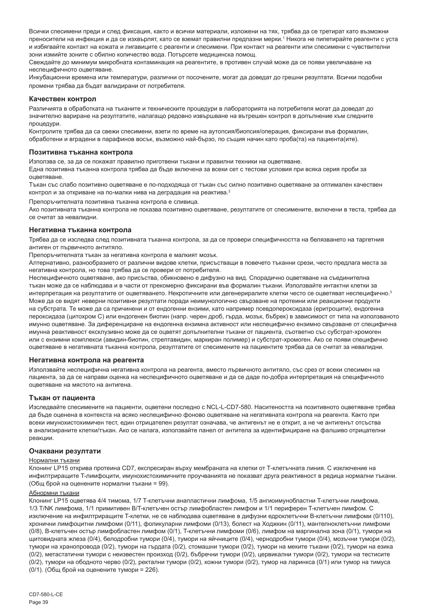Всички спесимени преди и след фиксация, както и всички материали, изложени на тях, трябва да се третират като възможни преносители на инфекция и да се изхвърлят, като се вземат правилни предпазни мерки.' Никога не пипетирайте реагенти с уста и избягвайте контакт на кожата и лигавиците с реагенти и спесимени. При контакт на реагенти или спесимени с чувствителни зони измийте зоните с обилно количество вода. Потърсете медицинска помощ.

Свеждайте до минимум микробната контаминация на реагентите, в противен случай може да се появи увеличаване на неспецифичното оцветяване.

Инкубационни времена или температури, различни от посочените, могат да доведат до грешни резултати. Всички подобни промени трябва да бъдат валидирани от потребителя.

#### **Качествен контрол**

Различията в обработката на тъканите и техническите процедури в лабораторията на потребителя могат да доведат до значително вариране на резултатите, налагащо редовно извършване на вътрешен контрол в допълнение към следните процедури.

Контролите трябва да са свежи спесимени, взети по време на аутопсия/биопсия/операция, фиксирани във формалин, обработени и вградени в парафинов восък, възможно най-бързо, по същия начин като проба(та) на пациента(ите).

#### **Позитивна тъканна контрола**

Използва се, за да се покажат правилно приготвени тъкани и правилни техники на оцветяване.

Една позитивна тъканна контрола трябва да бъде включена за всеки сет с тестови условия при всяка серия проби за оцветяване.

Тъкан със слабо позитивно оцветяване е по-подходяща от тъкан със силно позитивно оцветяване за оптимален качествен контрол и за откриване на по-малки нива на деградация на реактива.<sup>2</sup>

Препоръчителната позитивна тъканна контрола е сливица.

Ако позитивната тъканна контрола не показва позитивно оцветяване, резултатите от спесимените, включени в теста, трябва да се считат за невалидни.

#### **Негативна тъканна контрола**

Трябва да се изследва след позитивната тъканна контрола, за да се провери специфичността на белязването на таргетния антиген от първичното антитяло.

Препоръчителната тъкан за негативна контрола е малкият мозък.

Алтернативно, разнообразието от различни видове клетки, присъстващи в повечето тъканни срези, често предлага места за негативна контрола, но това трябва да се провери от потребителя.

Неспецифичното оцветяване, ако присъства, обикновено е дифузно на вид. Спорадично оцветяване на съединителна тъкан може да се наблюдава и в части от прекомерно фиксирани във формалин тъкани. Използвайте интактни клетки за интерпретация на резултатите от оцветяването. Некротичните или дегенериралите клетки често се оцветяват неспецифично.<sup>3</sup> Може да се видят неверни позитивни резултати поради неимунологично свързване на протеини или реакционни продукти на субстрата. Те може да са причинени и от ендогенни ензими, като например псевдопероксидаза (еритроцити), ендогенна пероксидаза (цитохром C) или ендогенен биотин (напр. черен дроб, гърда, мозък, бъбрек) в зависимост от типа на използваното имунно оцветяване. За диференциране на ендогенна ензимна активност или неспецифично ензимно свързване от специфична имунна реактивност ексклузивно може да се оцветят допълнителни тъкани от пациента, съответно със субстрат-хромоген или с ензимни комплекси (авидин-биотин, стрептавидин, маркиран полимер) и субстрат-хромоген. Ако се появи специфично оцветяване в негативната тъканна контрола, резултатите от спесимените на пациентите трябва да се считат за невалидни.

#### **Негативна контрола на реагента**

Използвайте неспецифична негативна контрола на реагента, вместо първичното антитяло, със срез от всеки спесимен на пациента, за да се направи оценка на неспецифичното оцветяване и да се даде по-добра интерпретация на специфичното оцветяване на мястото на антигена.

#### **Тъкан от пациента**

Изследвайте спесимените на пациенти, оцветени последно с NCL-L-CD7-580. Наситеността на позитивното оцветяване трябва да бъде оценена в контекста на всяко неспецифично фоново оцветяване на негативната контрола на реагента. Както при всеки имунохистохимичен тест, един отрицателен резултат означава, че антигенът не е открит, а не че антигенът отсъства в анализираните клетки/тъкан. Ако се налага, използвайте панел от антитела за идентифициране на фалшиво отрицателни реакции.

#### **Очаквани резултати**

#### Нормални тъкани

Клонинг LP15 открива протеина CD7, експресиран върху мембраната на клетки от Т-клетъчната линия. С изключение на инфилтриращите T-лимфоцити, имунохистохимичните проучванията не показват друга реактивност в редица нормални тъкани. (Общ брой на оценените нормални тъкани = 99).

#### Абнормни тъкани

Клонинг LP15 оцветява 4/4 тимома, 1/7 T-клетъчни анапластични лимфома, 1/5 ангиоимунобластни T-клетъчни лимфома, 1/3 T/NK лимфома, 1/1 примитивен B/T-клетъчен остър лимфобластен лимфом и 1/1 периферен T-клетъчен лимфом. С изключение на инфилтриращите T-клетки, не се наблюдава оцветяване в дифузни едроклетъчни В-клетъчни лимфоми (0/110), хронични лимфоцитни лимфоми (0/11), фоликуларни лимфоми (0/13), болест на Ходжкин (0/11), мантелноклетъчни лимфоми (0/8), B-клетъчен остър лимфобластен лимфом (0/1), T-клетъчни лимфоми (0/6), лимфом на маргинална зона (0/1), тумори на щитовидната жлеза (0/4), белодробни тумори (0/4), тумори на яйчниците (0/4), чернодробни тумори (0/4), мозъчни тумори (0/2), тумори на хранопровода (0/2), тумори на гърдата (0/2), стомашни тумори (0/2), тумори на меките тъкани (0/2), тумори на езика (0/2), метастатични тумори с неизвестен произход (0/2), бъбречни тумори (0/2), цервикални тумори (0/2), тумори на тестисите (0/2), тумори на ободното черво (0/2), ректални тумори (0/2), кожни тумори (0/2), тумор на ларинкса (0/1) или тумор на тимуса (0/1). (Общ брой на оценените тумори = 226).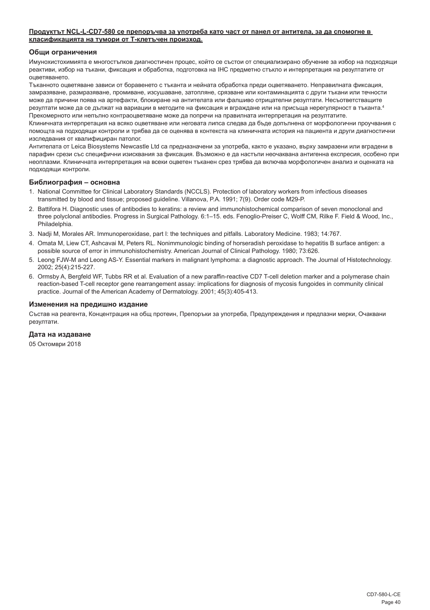#### **Продуктът NCL-L-CD7-580 се препоръчва за употреба като част от панел от антитела, за да спомогне в класификацията на тумори от Т-клетъчен произход.**

#### **Общи ограничения**

Имунохистохимията е многостъпков диагностичен процес, който се състои от специализирано обучение за избор на подходящи реактиви, избор на тъкани, фиксация и обработка, подготовка на IHC предметно стъкло и интерпретация на резултатите от оцветяването.

Тъканното оцветяване зависи от боравенето с тъканта и нейната обработка преди оцветяването. Неправилната фиксация, замразяване, размразяване, промиване, изсушаване, затопляне, срязване или контаминацията с други тъкани или течности може да причини поява на артефакти, блокиране на антителата или фалшиво отрицателни резултати. Несъответстващите резултати може да се дължат на вариации в методите на фиксация и вграждане или на присъща нерегулярност в тъканта.<sup>4</sup> Прекомерното или непълно контраоцветяване може да попречи на правилната интерпретация на резултатите.

Клиничната интерпретация на всяко оцветяване или неговата липса следва да бъде допълнена от морфологични проучвания с помощта на подходящи контроли и трябва да се оценява в контекста на клиничната история на пациента и други диагностични изследвания от квалифициран патолог.

Антителата от Leica Biosystems Newcastle Ltd са предназначени за употреба, както е указано, върху замразени или вградени в парафин срези със специфични изисквания за фиксация. Възможно е да настъпи неочаквана антигенна експресия, особено при неоплазми. Клиничната интерпретация на всеки оцветен тъканен срез трябва да включва морфологичен анализ и оценката на подходящи контроли.

#### **Библиография – основна**

- 1. National Committee for Clinical Laboratory Standards (NCCLS). Protection of laboratory workers from infectious diseases transmitted by blood and tissue; proposed guideline. Villanova, P.A. 1991; 7(9). Order code M29-P.
- 2. Battifora H. Diagnostic uses of antibodies to keratins: a review and immunohistochemical comparison of seven monoclonal and three polyclonal antibodies. Progress in Surgical Pathology. 6:1–15. eds. Fenoglio-Preiser C, Wolff CM, Rilke F. Field & Wood, Inc., Philadelphia.
- 3. Nadji M, Morales AR. Immunoperoxidase, part I: the techniques and pitfalls. Laboratory Medicine. 1983; 14:767.
- 4. Omata M, Liew CT, Ashcavai M, Peters RL. Nonimmunologic binding of horseradish peroxidase to hepatitis B surface antigen: a possible source of error in immunohistochemistry. American Journal of Clinical Pathology. 1980; 73:626.
- 5. Leong FJW-M and Leong AS-Y. Essential markers in malignant lymphoma: a diagnostic approach. The Journal of Histotechnology. 2002; 25(4):215-227.
- 6. Ormsby A, Bergfeld WF, Tubbs RR et al. Evaluation of a new paraffin-reactive CD7 T-cell deletion marker and a polymerase chain reaction-based T-cell receptor gene rearrangement assay: implications for diagnosis of mycosis fungoides in community clinical practice. Journal of the American Academy of Dermatology. 2001; 45(3):405-413.

#### **Изменения на предишно издание**

Състав на реагента, Концентрация на общ протеин, Препоръки за употреба, Предупреждения и предпазни мерки, Очаквани резултати.

#### **Дата на издаване**

05 Октомври 2018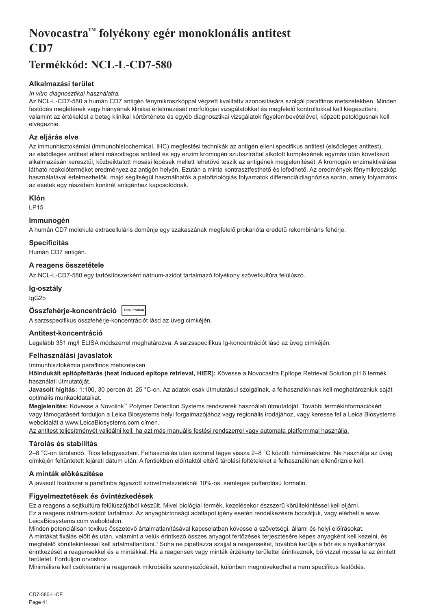## <span id="page-41-0"></span>**Novocastra™ folyékony egér monoklonális antitest CD7**

## **Termékkód: NCL-L-CD7-580**

## **Alkalmazási terület**

#### *In vitro diagnosztikai használatra.*

Az NCL-L-CD7-580 a humán CD7 antigén fénymikroszkóppal végzett kvalitatív azonosítására szolgál paraffinos metszetekben. Minden festődés meglétének vagy hiányának klinikai értelmezését morfológiai vizsgálatokkal és megfelelő kontrollokkal kell kiegészíteni, valamint az értékelést a beteg klinikai kórtörténete és egyéb diagnosztikai vizsgálatok figyelembevételével, képzett patológusnak kell elvégeznie.

## **Az eljárás elve**

Az immunhisztokémiai (immunohistochemical, IHC) megfestési technikák az antigén elleni specifikus antitest (elsődleges antitest), az elsődleges antitest elleni másodlagos antitest és egy enzim kromogén szubsztráttal alkotott komplexének egymás után következő alkalmazásán keresztül, közbeiktatott mosási lépések mellett lehetővé teszik az antigének megjelenítését. A kromogén enzimaktiválása látható reakcióterméket eredményez az antigén helyén. Ezután a minta kontrasztfesthető és lefedhető. Az eredmények fénymikroszkóp használatával értelmezhetők, majd segítségül használhatók a patofiziológiás folyamatok differenciáldiagnózisa során, amely folyamatok az esetek egy részében konkrét antigénhez kapcsolódnak.

## **Klón**

LP15

## **Immunogén**

A humán CD7 molekula extracelluláris doménje egy szakaszának megfelelő prokarióta eredetű rekombináns fehérje.

## **Specificitás**

Humán CD7 antigén.

## **A reagens összetétele**

Az NCL-L-CD7-580 egy tartósítószerként nátrium-azidot tartalmazó folyékony szövetkultúra felülúszó.

#### **Ig-osztály**

IgG2b

| Összfehérje-koncentráció  Total Protein |  |
|-----------------------------------------|--|
|                                         |  |

A sarzsspecifikus összfehérje-koncentrációt lásd az üveg címkéjén.

## **Antitest-koncentráció**

Legalább 351 mg/l ELISA módszerrel meghatározva. A sarzsspecifikus Ig-koncentrációt lásd az üveg címkéjén.

## **Felhasználási javaslatok**

Immunhisztokémia paraffinos metszeteken.

**Hőindukált epitópfeltárás (heat induced epitope retrieval, HIER):** Kövesse a Novocastra Epitope Retrieval Solution pH 6 termék használati útmutatóját.

**Javasolt hígítás:** 1:100, 30 percen át, 25 °C-on. Az adatok csak útmutatásul szolgálnak, a felhasználóknak kell meghatározniuk saját optimális munkaoldataikat.

**Megjelenítés:** Kövesse a Novolink™ Polymer Detection Systems rendszerek használati útmutatóját. További termékinformációkért vagy támogatásért forduljon a Leica Biosystems helyi forgalmazójához vagy regionális irodájához, vagy keresse fel a Leica Biosystems weboldalát a www.LeicaBiosystems.com címen.

Az antitest teljesítményét validálni kell, ha azt más manuális festési rendszerrel vagy automata platformmal használja.

## **Tárolás és stabilitás**

2–8 °C-on tárolandó. Tilos lefagyasztani. Felhasználás után azonnal tegye vissza 2–8 °C közötti hőmérsékletre. Ne használja az üveg címkéjén feltüntetett lejárati dátum után. A fentiekben előírtaktól eltérő tárolási feltételeket a felhasználónak ellenőriznie kell.

## **A minták előkészítése**

A javasolt fixálószer a paraffinba ágyazott szövetmetszeteknél 10%-os, semleges pufferolású formalin.

## **Figyelmeztetések és óvintézkedések**

Ez a reagens a sejtkultúra felülúszójából készült. Mivel biológiai termék, kezelésekor észszerű körültekintéssel kell eljárni. Ez a reagens nátrium-azidot tartalmaz. Az anyagbiztonsági adatlapot igény esetén rendelkezésre bocsátjuk, vagy elérheti a www. LeicaBiosystems.com weboldalon.

Minden potenciálisan toxikus összetevő ártalmatlanításával kapcsolatban kövesse a szövetségi, állami és helyi előírásokat. A mintákat fixálás előtt és után, valamint a velük érintkező összes anyagot fertőzések terjesztésére képes anyagként kell kezelni, és megfelelő körültekintéssel kell ártalmatlanítani.1 Soha ne pipettázza szájjal a reagenseket, továbbá kerülje a bőr és a nyálkahártyák érintkezését a reagensekkel és a mintákkal. Ha a reagensek vagy minták érzékeny területtel érintkeznek, bő vízzel mossa le az érintett területet. Forduljon orvoshoz.

Minimálisra kell csökkenteni a reagensek mikrobiális szennyeződését, különben megnövekedhet a nem specifikus festődés.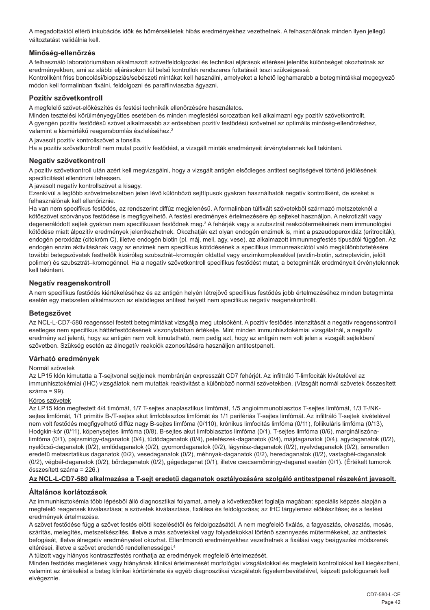A megadottaktól eltérő inkubációs idők és hőmérsékletek hibás eredményekhez vezethetnek. A felhasználónak minden ilyen jellegű változtatást validálnia kell.

## **Minőség-ellenőrzés**

A felhasználó laboratóriumában alkalmazott szövetfeldolgozási és technikai eljárások eltérései jelentős különbséget okozhatnak az eredményekben, ami az alábbi eljárásokon túl belső kontrollok rendszeres futtatását teszi szükségessé. Kontrollként friss boncolási/biopsziás/sebészeti mintákat kell használni, amelyeket a lehető leghamarabb a betegmintákkal megegyező módon kell formalinban fixálni, feldolgozni és paraffinviaszba ágyazni.

## **Pozitív szövetkontroll**

A megfelelő szövet-előkészítés és festési technikák ellenőrzésére használatos.

Minden tesztelési körülményegyüttes esetében és minden megfestési sorozatban kell alkalmazni egy pozitív szövetkontrollt. A gyengén pozitív festődésű szövet alkalmasabb az erősebben pozitív festődésű szövetnél az optimális minőség-ellenőrzéshez, valamint a kismértékű reagensbomlás észleléséhez.<sup>2</sup>

A javasolt pozitív kontrollszövet a tonsilla.

Ha a pozitív szövetkontroll nem mutat pozitív festődést, a vizsgált minták eredményeit érvénytelennek kell tekinteni.

## **Negatív szövetkontroll**

A pozitív szövetkontroll után azért kell megvizsgálni, hogy a vizsgált antigén elsődleges antitest segítségével történő jelölésének specificitását ellenőrizni lehessen.

A javasolt negatív kontrollszövet a kisagy.

Ezenkívül a legtöbb szövetmetszetben jelen lévő különböző sejttípusok gyakran használhatók negatív kontrollként, de ezeket a felhasználónak kell ellenőriznie.

Ha van nem specifikus festődés, az rendszerint diffúz megjelenésű. A formalinban túlfixált szövetekből származó metszeteknél a kötőszövet szórványos festődése is megfigyelhető. A festési eredmények értelmezésére ép sejteket használjon. A nekrotizált vagy degenerálódott sejtek gyakran nem specifikusan festődnek meg.<sup>3</sup> A fehérjék vagy a szubsztrát reakciótermékeinek nem immunológiai kötődése miatt álpozitív eredmények jelentkezhetnek. Okozhatják ezt olyan endogén enzimek is, mint a pszeudoperoxidáz (eritrociták), endogén peroxidáz (citokróm C), illetve endogén biotin (pl. máj, mell, agy, vese), az alkalmazott immunmegfestés típusától függően. Az endogén enzim aktivitásának vagy az enzimek nem specifikus kötődésének a specifikus immunreakciótól való megkülönböztetésére további betegszövetek festhetők kizárólag szubsztrát–kromogén oldattal vagy enzimkomplexekkel (avidin-biotin, sztreptavidin, jelölt polimer) és szubsztrát–kromogénnel. Ha a negatív szövetkontroll specifikus festődést mutat, a betegminták eredményeit érvénytelennek kell tekinteni.

## **Negatív reagenskontroll**

A nem specifikus festődés kiértékeléséhez és az antigén helyén létrejövő specifikus festődés jobb értelmezéséhez minden betegminta esetén egy metszeten alkalmazzon az elsődleges antitest helyett nem specifikus negatív reagenskontrollt.

## **Betegszövet**

Az NCL-L-CD7-580 reagenssel festett betegmintákat vizsgálja meg utolsóként. A pozitív festődés intenzitását a negatív reagenskontroll esetleges nem specifikus háttérfestődésének viszonylatában értékelje. Mint minden immunhisztokémiai vizsgálatnál, a negatív eredmény azt jelenti, hogy az antigén nem volt kimutatható, nem pedig azt, hogy az antigén nem volt jelen a vizsgált sejtekben/ szövetben. Szükség esetén az álnegatív reakciók azonosítására használjon antitestpanelt.

## **Várható eredmények**

#### Normál szövetek

Az LP15 klón kimutatta a T-sejtvonal sejtjeinek membránján expresszált CD7 fehérjét. Az infiltráló T-limfociták kivételével az immunhisztokémiai (IHC) vizsgálatok nem mutattak reaktivitást a különböző normál szövetekben. (Vizsgált normál szövetek összesített  $száma = 99$ 

#### Kóros szövetek

Az LP15 klón megfestett 4/4 timómát, 1/7 T-sejtes anaplasztikus limfómát, 1/5 angioimmunoblasztos T-sejtes limfómát, 1/3 T-/NKsejtes limfómát, 1/1 primitív B-/T-sejtes akut limfoblasztos limfómát és 1/1 perifériás T-sejtes limfómát. Az infiltráló T-sejtek kivételével nem volt festődés megfigyelhető diffúz nagy B-seites limfóma (0/110), krónikus limfocitás limfóma (0/11), follikuláris limfóma (0/13), Hodgkin-kór (0/11), köpenysejtes limfóma (0/8), B-sejtes akut limfoblasztos limfóma (0/1), T-sejtes limfóma (0/6), margináliszónalimfóma (0/1), pajzsmirigy-daganatok (0/4), tüdődaganatok (0/4), petefészek-daganatok (0/4), májdaganatok (0/4), agydaganatok (0/2), nyelőcső-daganatok (0/2), emlődaganatok (0/2), gyomordaganatok (0/2), lágyrész-daganatok (0/2), nyelvdaganatok (0/2), ismeretlen eredetű metasztatikus daganatok (0/2), vesedaganatok (0/2), méhnyak-daganatok (0/2), heredaganatok (0/2), vastagbél-daganatok (0/2), végbél-daganatok (0/2), bőrdaganatok (0/2), gégedaganat (0/1), illetve csecsemőmirigy-daganat esetén (0/1). (Értékelt tumorok összesített száma = 226.)

## **Az NCL-L-CD7-580 alkalmazása a T-sejt eredetű daganatok osztályozására szolgáló antitestpanel részeként javasolt.**

## **Általános korlátozások**

Az immunhisztokémia több lépésből álló diagnosztikai folyamat, amely a következőket foglalja magában: speciális képzés alapján a megfelelő reagensek kiválasztása; a szövetek kiválasztása, fixálása és feldolgozása; az IHC tárgylemez előkészítése; és a festési eredmények értelmezése.

A szövet festődése függ a szövet festés előtti kezelésétől és feldolgozásától. A nem megfelelő fixálás, a fagyasztás, olvasztás, mosás, szárítás, melegítés, metszetkészítés, illetve a más szövetekkel vagy folyadékokkal történő szennyezés műtermékeket, az antitestek befogását, illetve álnegatív eredményeket okozhat. Ellentmondó eredményekhez vezethetnek a fixálási vagy beágyazási módszerek eltérései, illetve a szövet eredendő rendellenességei.<sup>4</sup>

A túlzott vagy hiányos kontrasztfestés ronthatja az eredmények megfelelő értelmezését.

Minden festődés meglétének vagy hiányának klinikai értelmezését morfológiai vizsgálatokkal és megfelelő kontrollokkal kell kiegészíteni, valamint az értékelést a beteg klinikai kórtörténete és egyéb diagnosztikai vizsgálatok figyelembevételével, képzett patológusnak kell elvégeznie.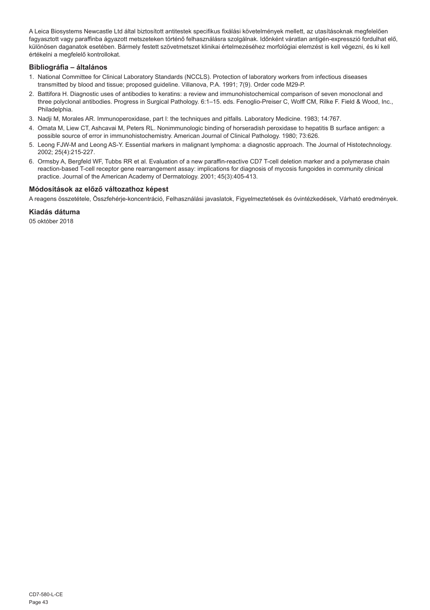A Leica Biosystems Newcastle Ltd által biztosított antitestek specifikus fixálási követelmények mellett, az utasításoknak megfelelően fagyasztott vagy paraffinba ágyazott metszeteken történő felhasználásra szolgálnak. Időnként váratlan antigén-expresszió fordulhat elő, különösen daganatok esetében. Bármely festett szövetmetszet klinikai értelmezéséhez morfológiai elemzést is kell végezni, és ki kell értékelni a megfelelő kontrollokat.

## **Bibliográfia – általános**

- 1. National Committee for Clinical Laboratory Standards (NCCLS). Protection of laboratory workers from infectious diseases transmitted by blood and tissue; proposed guideline. Villanova, P.A. 1991; 7(9). Order code M29-P.
- 2. Battifora H. Diagnostic uses of antibodies to keratins: a review and immunohistochemical comparison of seven monoclonal and three polyclonal antibodies. Progress in Surgical Pathology. 6:1–15. eds. Fenoglio-Preiser C, Wolff CM, Rilke F. Field & Wood, Inc., Philadelphia.
- 3. Nadji M, Morales AR. Immunoperoxidase, part I: the techniques and pitfalls. Laboratory Medicine. 1983; 14:767.
- 4. Omata M, Liew CT, Ashcavai M, Peters RL. Nonimmunologic binding of horseradish peroxidase to hepatitis B surface antigen: a possible source of error in immunohistochemistry. American Journal of Clinical Pathology. 1980; 73:626.
- 5. Leong FJW-M and Leong AS-Y. Essential markers in malignant lymphoma: a diagnostic approach. The Journal of Histotechnology. 2002; 25(4):215-227.
- 6. Ormsby A, Bergfeld WF, Tubbs RR et al. Evaluation of a new paraffin-reactive CD7 T-cell deletion marker and a polymerase chain reaction-based T-cell receptor gene rearrangement assay: implications for diagnosis of mycosis fungoides in community clinical practice. Journal of the American Academy of Dermatology. 2001; 45(3):405-413.

## **Módosítások az előző változathoz képest**

A reagens összetétele, Összfehérje-koncentráció, Felhasználási javaslatok, Figyelmeztetések és óvintézkedések, Várható eredmények.

## **Kiadás dátuma**

05 október 2018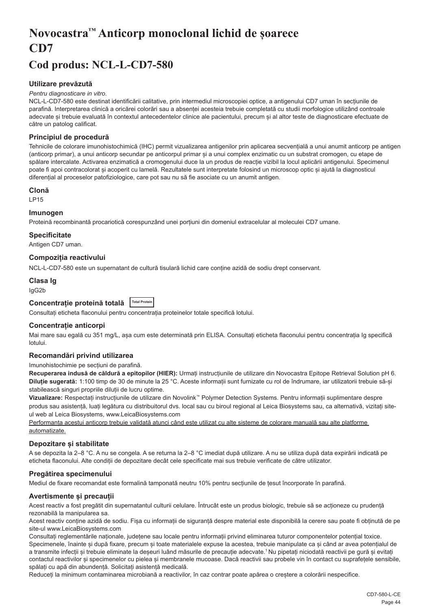## <span id="page-44-0"></span>**Novocastra™ Anticorp monoclonal lichid de șoarece CD7**

## **Cod produs: NCL-L-CD7-580**

## **Utilizare prevăzută**

#### *Pentru diagnosticare in vitro.*

NCL-L-CD7-580 este destinat identificării calitative, prin intermediul microscopiei optice, a antigenului CD7 uman în secțiunile de parafină. Interpretarea clinică a oricărei colorări sau a absenței acesteia trebuie completată cu studii morfologice utilizând controale adecvate și trebuie evaluată în contextul antecedentelor clinice ale pacientului, precum și al altor teste de diagnosticare efectuate de către un patolog calificat.

### **Principiul de procedură**

Tehnicile de colorare imunohistochimică (IHC) permit vizualizarea antigenilor prin aplicarea secvențială a unui anumit anticorp pe antigen (anticorp primar), a unui anticorp secundar pe anticorpul primar și a unui complex enzimatic cu un substrat cromogen, cu etape de spălare intercalate. Activarea enzimatică a cromogenului duce la un produs de reacție vizibil la locul aplicării antigenului. Specimenul poate fi apoi contracolorat și acoperit cu lamelă. Rezultatele sunt interpretate folosind un microscop optic și ajută la diagnosticul diferențial al proceselor patofiziologice, care pot sau nu să fie asociate cu un anumit antigen.

## **Clonă**

LP15

#### **Imunogen**

Proteină recombinantă procariotică corespunzând unei porțiuni din domeniul extracelular al moleculei CD7 umane.

#### **Specificitate**

Antigen CD7 uman.

## **Compoziția reactivului**

NCL-L-CD7-580 este un supernatant de cultură tisulară lichid care conține azidă de sodiu drept conservant.

## **Clasa Ig**

IgG2b

## **Concentrație proteină totală Total Protein**

Consultați eticheta flaconului pentru concentrația proteinelor totale specifică lotului.

#### **Concentrație anticorpi**

Mai mare sau egală cu 351 mg/L, asa cum este determinată prin ELISA. Consultati eticheta flaconului pentru concentratia Ig specifică lotului.

#### **Recomandări privind utilizarea**

#### Imunohistochimie pe secțiuni de parafină.

**Recuperarea indusă de căldură a epitopilor (HIER):** Urmați instrucțiunile de utilizare din Novocastra Epitope Retrieval Solution pH 6. **Diluție sugerată:** 1:100 timp de 30 de minute la 25 °C. Aceste informații sunt furnizate cu rol de îndrumare, iar utilizatorii trebuie să-și stabilească singuri propriile diluții de lucru optime.

**Vizualizare:** Respectați instrucțiunile de utilizare din Novolink™ Polymer Detection Systems. Pentru informații suplimentare despre produs sau asistență, luați legătura cu distribuitorul dvs. local sau cu biroul regional al Leica Biosystems sau, ca alternativă, vizitați siteul web al Leica Biosystems, www.LeicaBiosystems.com

Performanța acestui anticorp trebuie validată atunci când este utilizat cu alte sisteme de colorare manuală sau alte platforme automatizate.

### **Depozitare și stabilitate**

A se depozita la 2–8 °C. A nu se congela. A se returna la 2–8 °C imediat după utilizare. A nu se utiliza după data expirării indicată pe eticheta flaconului. Alte condiții de depozitare decât cele specificate mai sus trebuie verificate de către utilizator.

## **Pregătirea specimenului**

Mediul de fixare recomandat este formalină tamponată neutru 10% pentru secțiunile de țesut încorporate în parafină.

#### **Avertismente și precauții**

Acest reactiv a fost pregătit din supernatantul culturii celulare. Întrucât este un produs biologic, trebuie să se actioneze cu prudentă rezonabilă la manipularea sa.

Acest reactiv conține azidă de sodiu. Fișa cu informații de siguranță despre material este disponibilă la cerere sau poate fi obținută de pe site-ul www.LeicaBiosystems.com

Consultați reglementările naționale, județene sau locale pentru informații privind eliminarea tuturor componentelor potențial toxice. Specimenele, înainte și după fixare, precum și toate materialele expuse la acestea, trebuie manipulate ca și când ar avea potentialul de a transmite infecții și trebuie eliminate la deșeuri luând măsurile de precauție adecvate.<sup>1</sup>Nu pipetați niciodată reactivii pe gură și evitați contactul reactivilor și specimenelor cu pielea și membranele mucoase. Dacă reactivii sau probele vin în contact cu suprafețele sensibile, spălați cu apă din abundență. Solicitați asistență medicală.

Reduceți la minimum contaminarea microbiană a reactivilor, în caz contrar poate apărea o creștere a colorării nespecifice.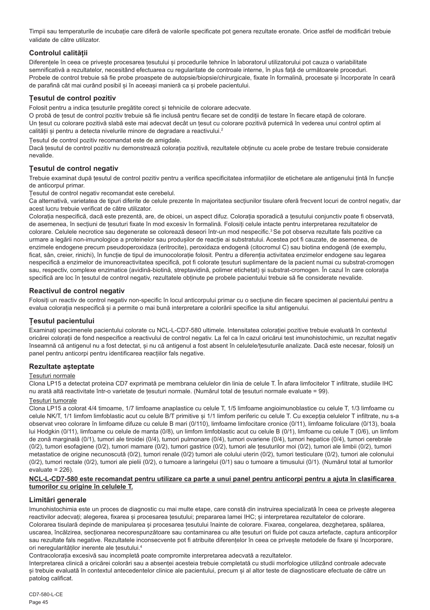Timpii sau temperaturile de incubație care diferă de valorile specificate pot genera rezultate eronate. Orice astfel de modificări trebuie validate de către utilizator.

## **Controlul calității**

Diferentele în ceea ce priveste procesarea tesutului și procedurile tehnice în laboratorul utilizatorului pot cauza o variabilitate semnificativă a rezultatelor, necesitând efectuarea cu regularitate de controale interne, în plus față de următoarele proceduri. Probele de control trebuie să fie probe proaspete de autopsie/biopsie/chirurgicale, fixate în formalină, procesate și încorporate în ceară de parafină cât mai curând posibil și în aceeași manieră ca și probele pacientului.

## **Țesutul de control pozitiv**

Folosit pentru a indica țesuturile pregătite corect și tehnicile de colorare adecvate.

O probă de țesut de control pozitiv trebuie să fie inclusă pentru fiecare set de condiții de testare în fiecare etapă de colorare. Un țesut cu colorare pozitivă slabă este mai adecvat decât un țesut cu colorare pozitivă puternică în vederea unui control optim al calității și pentru a detecta nivelurile minore de degradare a reactivului.<sup>2</sup>

Țesutul de control pozitiv recomandat este de amigdale.

Dacă țesutul de control pozitiv nu demonstrează colorația pozitivă, rezultatele obținute cu acele probe de testare trebuie considerate nevalide.

## **Țesutul de control negativ**

Trebuie examinat după țesutul de control pozitiv pentru a verifica specificitatea informațiilor de etichetare ale antigenului țintă în funcție de anticorpul primar.

Țesutul de control negativ recomandat este cerebelul.

Ca alternativă, varietatea de tipuri diferite de celule prezente în majoritatea secțiunilor tisulare oferă frecvent locuri de control negativ, dar acest lucru trebuie verificat de către utilizator.

Colorația nespecifică, dacă este prezentă, are, de obicei, un aspect difuz. Colorația sporadică a țesutului conjunctiv poate fi observată, de asemenea, în secțiuni de țesuturi fixate în mod excesiv în formalină. Folosiți celule intacte pentru interpretarea rezultatelor de colorare. Celulele necrotice sau degenerate se colorează deseori într-un mod nespecific.<sup>3</sup> Se pot observa rezultate fals pozitive ca urmare a legării non-imunologice a proteinelor sau produșilor de reacție ai substratului. Acestea pot fi cauzate, de asemenea, de enzimele endogene precum pseudoperoxidaza (eritrocite), peroxidaza endogenă (citocromul C) sau biotina endogenă (de exemplu, ficat, sân, creier, rinichi), în funcție de tipul de imunocolorație folosit. Pentru a diferenția activitatea enzimelor endogene sau legarea nespecifică a enzimelor de imunoreactivitatea specifică, pot fi colorate țesuturi suplimentare de la pacient numai cu substrat-cromogen sau, respectiv, complexe enzimatice (avidină-biotină, streptavidină, polimer etichetat) și substrat-cromogen. În cazul în care colorația specifică are loc în țesutul de control negativ, rezultatele obținute pe probele pacientului trebuie să fie considerate nevalide.

## **Reactivul de control negativ**

Folosiți un reactiv de control negativ non-specific în locul anticorpului primar cu o secțiune din fiecare specimen al pacientului pentru a evalua colorația nespecifică și a permite o mai bună interpretare a colorării specifice la situl antigenului.

## **Țesutul pacientului**

Examinați specimenele pacientului colorate cu NCL-L-CD7-580 ultimele. Intensitatea colorației pozitive trebuie evaluată în contextul oricărei colorații de fond nespecifice a reactivului de control negativ. La fel ca în cazul oricărui test imunohistochimic, un rezultat negativ înseamnă că antigenul nu a fost detectat, și nu că antigenul a fost absent în celulele/țesuturile analizate. Dacă este necesar, folosiți un panel pentru anticorpi pentru identificarea reacțiilor fals negative.

## **Rezultate așteptate**

Țesuturi normale

Clona LP15 a detectat proteina CD7 exprimată pe membrana celulelor din linia de celule T. În afara limfocitelor T infiltrate, studiile IHC nu arată altă reactivitate într-o varietate de țesuturi normale. (Numărul total de țesuturi normale evaluate = 99).

## Țesuturi tumorale

Clona LP15 a colorat 4/4 timoame, 1/7 limfoame anaplastice cu celule T, 1/5 limfoame angioimunoblastice cu celule T, 1/3 limfoame cu celule NK/T, 1/1 limfom limfoblastic acut cu celule B/T primitive și 1/1 limfom periferic cu celule T. Cu excepția celulelor T infiltrate, nu s-a observat vreo colorare în limfoame difuze cu celule B mari (0/110), limfoame limfocitare cronice (0/11), limfoame foliculare (0/13), boala lui Hodgkin (0/11), limfoame cu celule de manta (0/8), un limfom limfoblastic acut cu celule B (0/1), limfoame cu celule T (0/6), un limfom de zonă marginală (0/1), tumori ale tiroidei (0/4), tumori pulmonare (0/4), tumori ovariene (0/4), tumori hepatice (0/4), tumori cerebrale (0/2), tumori esofagiene (0/2), tumori mamare (0/2), tumori gastrice (0/2), tumori ale țesuturilor moi (0/2), tumori ale limbii (0/2), tumori metastatice de origine necunoscută (0/2), tumori renale (0/2) tumori ale colului uterin (0/2), tumori testiculare (0/2), tumori ale colonului (0/2), tumori rectale (0/2), tumori ale pielii (0/2), o tumoare a laringelui (0/1) sau o tumoare a timusului (0/1). (Numărul total al tumorilor evaluate = 226).

#### **NCL-L-CD7-580 este recomandat pentru utilizare ca parte a unui panel pentru anticorpi pentru a ajuta în clasificarea tumorilor cu origine în celulele T.**

## **Limitări generale**

Imunohistochimia este un proces de diagnostic cu mai multe etape, care constă din instruirea specializată în ceea ce privește alegerea reactivilor adecvați; alegerea, fixarea și procesarea țesutului; prepararea lamei IHC; și interpretarea rezultatelor de colorare. Colorarea tisulară depinde de manipularea și procesarea țesutului înainte de colorare. Fixarea, congelarea, dezghețarea, spălarea, uscarea, încălzirea, secționarea necorespunzătoare sau contaminarea cu alte țesuturi ori fluide pot cauza artefacte, captura anticorpilor sau rezultate fals negative. Rezultatele inconsecvente pot fi atribuite diferentelor în ceea ce priveste metodele de fixare și încorporare, ori neregularităților inerente ale tesutului.<sup>4</sup>

Contracolorația excesivă sau incompletă poate compromite interpretarea adecvată a rezultatelor.

Interpretarea clinică a oricărei colorări sau a absenței acesteia trebuie completată cu studii morfologice utilizând controale adecvate si trebuie evaluată în contextul antecedentelor clinice ale pacientului, precum și al altor teste de diagnosticare efectuate de către un patolog calificat.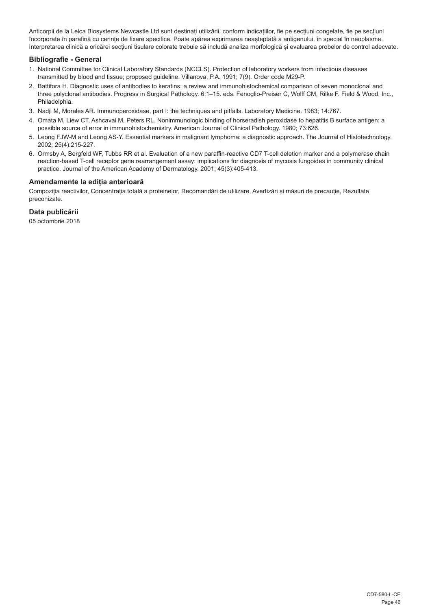Anticorpii de la Leica Biosystems Newcastle Ltd sunt destinați utilizării, conform indicațiilor, fie pe secțiuni congelate, fie pe secțiuni încorporate în parafină cu cerințe de fixare specifice. Poate apărea exprimarea neașteptată a antigenului, în special în neoplasme. Interpretarea clinică a oricărei secțiuni tisulare colorate trebuie să includă analiza morfologică și evaluarea probelor de control adecvate.

## **Bibliografie - General**

- 1. National Committee for Clinical Laboratory Standards (NCCLS). Protection of laboratory workers from infectious diseases transmitted by blood and tissue; proposed guideline. Villanova, P.A. 1991; 7(9). Order code M29-P.
- 2. Battifora H. Diagnostic uses of antibodies to keratins: a review and immunohistochemical comparison of seven monoclonal and three polyclonal antibodies. Progress in Surgical Pathology. 6:1–15. eds. Fenoglio-Preiser C, Wolff CM, Rilke F. Field & Wood, Inc., Philadelphia.
- 3. Nadji M, Morales AR. Immunoperoxidase, part I: the techniques and pitfalls. Laboratory Medicine. 1983; 14:767.
- 4. Omata M, Liew CT, Ashcavai M, Peters RL. Nonimmunologic binding of horseradish peroxidase to hepatitis B surface antigen: a possible source of error in immunohistochemistry. American Journal of Clinical Pathology. 1980; 73:626.
- 5. Leong FJW-M and Leong AS-Y. Essential markers in malignant lymphoma: a diagnostic approach. The Journal of Histotechnology. 2002; 25(4):215-227.
- 6. Ormsby A, Bergfeld WF, Tubbs RR et al. Evaluation of a new paraffin-reactive CD7 T-cell deletion marker and a polymerase chain reaction-based T-cell receptor gene rearrangement assay: implications for diagnosis of mycosis fungoides in community clinical practice. Journal of the American Academy of Dermatology. 2001; 45(3):405-413.

## **Amendamente la ediția anterioară**

Compoziția reactivilor, Concentrația totală a proteinelor, Recomandări de utilizare, Avertizări și măsuri de precauție, Rezultate preconizate.

## **Data publicării**

05 octombrie 2018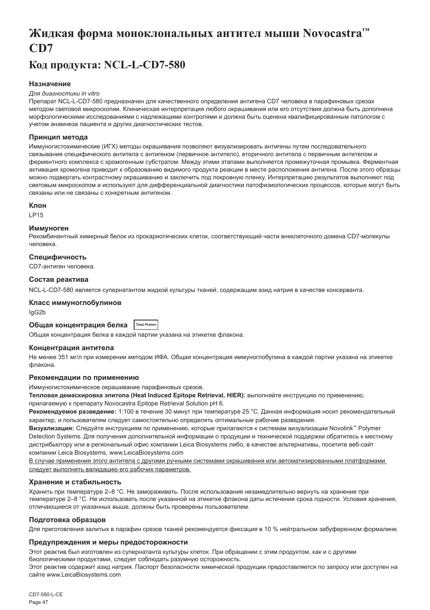## <span id="page-47-0"></span>**Жидкая форма моноклональных антител мыши Novocastra™ CD7**

## **Код продукта: NCL-L-CD7-580**

## **Назначение**

#### *Для диагностики in vitro*

Препарат NCL-L-CD7-580 предназначен для качественного определения антигена CD7 человека в парафиновых срезах методом световой микроскопии. Клиническая интерпретация любого окрашивания или его отсутствия должна быть дополнена морфологическими исследованиями с надлежащими контролями и должна быть оценена квалифицированным патологом с учетом анамнеза пациента и других диагностических тестов.

#### **Принцип метода**

Иммуногистохимические (ИГХ) методы окрашивания позволяют визуализировать антигены путем последовательного связывания специфического антитела с антигеном (первичное антитело), вторичного антитела с первичным антителом и ферментного комплекса с хромогенным субстратом. Между этими этапами выполняется промежуточная промывка. Ферментная активация хромогена приводит к образованию видимого продукта реакции в месте расположения антигена. После этого образцы можно подвергать контрастному окрашиванию и заключить под покровную пленку. Интерпретацию результатов выполняют под световым микроскопом и используют для дифференциальной диагностики патофизиологических процессов, которые могут быть связаны или не связаны с конкретным антигеном.

#### **Клон**

LP15

#### **Иммуноген**

Рекомбинантный химерный белок из прокариотических клеток, соответствующий части внеклеточного домена CD7-молекулы человека.

#### **Специфичность**

CD7-антиген человека.

#### **Состав реактива**

NCL-L-CD7-580 является супернатантом жидкой культуры тканей, содержащим азид натрия в качестве консерванта.

#### **Класс иммуноглобулинов**

IgG2b

#### **Общая концентрация белка Total Protein**

Общая концентрация белка в каждой партии указана на этикетке флакона.

#### **Концентрация антитела**

Не менее 351 мг/л при измерении методом ИФА. Общая концентрация иммуноглобулина в каждой партии указана на этикетке флакона.

#### **Рекомендации по применению**

Иммуногистохимическое окрашивание парафиновых срезов.

**Тепловая демаскировка эпитопа (Heat Induced Epitope Retrieval, HIER):** выполняйте инструкцию по применению,

прилагаемую к препарату Novocastra Epitope Retrieval Solution pH 6.

**Рекомендуемое разведение:** 1:100 в течение 30 минут при температуре 25 °C. Данная информация носит рекомендательный характер, и пользователям следует самостоятельно определять оптимальные рабочие разведения.

**Визуализация:** Следуйте инструкциям по применению, которые прилагаются к системам визуализации Novolink™ Polymer Detection Systems. Для получения дополнительной информации о продукции и технической поддержки обратитесь к местному дистрибьютору или в региональный офис компании Leica Biosystems либо, в качестве альтернативы, посетите веб-сайт компании Leica Biosystems, www.LeicaBiosystems.com

В случае применения этого антитела с другими ручными системами окрашивания или автоматизированными платформами следует выполнять валидацию его рабочих параметров.

#### **Хранение и стабильность**

Хранить при температуре 2–8 °C. Не замораживать. После использования незамедлительно вернуть на хранение при температуре 2–8 °C. Не использовать после указанной на этикетке флакона даты истечения срока годности. Условия хранения, отличающиеся от указанных выше, должны быть проверены пользователем.

#### **Подготовка образцов**

Для приготовления залитых в парафин срезов тканей рекомендуется фиксация в 10 % нейтральном забуференном формалине.

#### **Предупреждения и меры предосторожности**

Этот реактив был изготовлен из супернатанта культуры клеток. При обращении с этим продуктом, как и с другими биологическими продуктами, следует соблюдать разумную осторожность. Этот реактив содержит азид натрия. Паспорт безопасности химической продукции предоставляется по запросу или доступен на

сайте www.LeicaBiosystems.com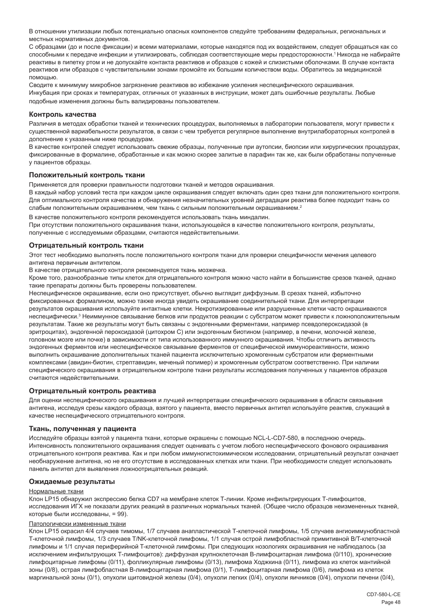В отношении утилизации любых потенциально опасных компонентов следуйте требованиям федеральных, региональных и местных нормативных документов.

С образцами (до и после фиксации) и всеми материалами, которые находятся под их воздействием, следует обращаться как со способными к передаче инфекции и утилизировать, соблюдая соответствующие меры предосторожности.<sup>1</sup>Никогда не набирайте реактивы в пипетку ртом и не допускайте контакта реактивов и образцов с кожей и слизистыми оболочками. В случае контакта реактивов или образцов с чувствительными зонами промойте их большим количеством воды. Обратитесь за медицинской помощью.

Сводите к минимуму микробное загрязнение реактивов во избежание усиления неспецифического окрашивания. Инкубация при сроках и температурах, отличных от указанных в инструкции, может дать ошибочные результаты. Любые подобные изменения должны быть валидированы пользователем.

#### **Контроль качества**

Различия в методах обработки тканей и технических процедурах, выполняемых в лаборатории пользователя, могут привести к существенной вариабельности результатов, в связи с чем требуется регулярное выполнение внутрилабораторных контролей в дополнение к указанным ниже процедурам.

В качестве контролей следует использовать свежие образцы, полученные при аутопсии, биопсии или хирургических процедурах, фиксированные в формалине, обработанные и как можно скорее залитые в парафин так же, как были обработаны полученные у пациентов образцы.

#### **Положительный контроль ткани**

Применяется для проверки правильности подготовки тканей и методов окрашивания.

В каждый набор условий теста при каждом цикле окрашивания следует включать один срез ткани для положительного контроля. Для оптимального контроля качества и обнаружения незначительных уровней деградации реактива более подходит ткань со слабым положительным окрашиванием, чем ткань с сильным положительным окрашиванием.<sup>2</sup>

В качестве положительного контроля рекомендуется использовать ткань миндалин. При отсутствии положительного окрашивания ткани, использующейся в качестве положительного контроля, результаты, полученные с исследуемыми образцами, считаются недействительными.

#### **Отрицательный контроль ткани**

Этот тест необходимо выполнять после положительного контроля ткани для проверки специфичности мечения целевого антигена первичным антителом.

В качестве отрицательного контроля рекомендуется ткань мозжечка.

Кроме того, разнообразные типы клеток для отрицательного контроля можно часто найти в большинстве срезов тканей, однако такие препараты должны быть проверены пользователем.

Неспецифическое окрашивание, если оно присутствует, обычно выглядит диффузным. В срезах тканей, избыточно фиксированных формалином, можно также иногда увидеть окрашивание соединительной ткани. Для интерпретации результатов окрашивания используйте интактные клетки. Некротизированные или разрушенные клетки часто окрашиваются неспецифически.<sup>з</sup> Неиммунное связывание белков или продуктов реакции с субстратом может привести к ложноположительным результатам. Такие же результаты могут быть связаны с эндогенными ферментами, например псевдопероксидазой (в эритроцитах), эндогенной пероксидазой (цитохром C) или эндогенным биотином (например, в печени, молочной железе, головном мозге или почке) в зависимости от типа использованного иммунного окрашивания. Чтобы отличить активность эндогенных ферментов или неспецифическое связывание ферментов от специфической иммунореактивности, можно выполнить окрашивание дополнительных тканей пациента исключительно хромогенным субстратом или ферментными комплексами (авидин-биотин, стрептавидин, меченый полимер) и хромогенным субстратом соответственно. При наличии специфического окрашивания в отрицательном контроле ткани результаты исследования полученных у пациентов образцов считаются недействительными.

#### **Отрицательный контроль реактива**

Для оценки неспецифического окрашивания и лучшей интерпретации специфического окрашивания в области связывания антигена, исследуя срезы каждого образца, взятого у пациента, вместо первичных антител используйте реактив, служащий в качестве неспецифического отрицательного контроля.

#### **Ткань, полученная у пациента**

Исследуйте образцы взятой у пациента ткани, которые окрашены с помощью NCL-L-CD7-580, в последнюю очередь. Интенсивность положительного окрашивания следует оценивать с учетом любого неспецифического фонового окрашивания отрицательного контроля реактива. Как и при любом иммуногистохимическом исследовании, отрицательный результат означает необнаружение антигена, но не его отсутствие в исследованных клетках или ткани. При необходимости следует использовать панель антител для выявления ложноотрицательных реакций.

#### **Ожидаемые результаты**

#### Нормальные ткани

Клон LP15 обнаружил экспрессию белка CD7 на мембране клеток Т-линии. Кроме инфильтрирующих Т-лимфоцитов, исследования ИГХ не показали других реакций в различных нормальных тканей. (Общее число образцов неизмененных тканей, которые были исследованы, = 99).

### Патологически измененные ткани

Клон LP15 окрасил 4/4 случаев тимомы, 1/7 случаев анапластической Т-клеточной лимфомы, 1/5 случаев ангиоиммунобластной Т-клеточной лимфомы, 1/3 случаев T/NK-клеточной лимфомы, 1/1 случая острой лимфобластной примитивной B/T-клеточной лимфомы и 1/1 случая периферийной T-клеточной лимфомы. При следующих нозологиях окрашивания не наблюдалось (за исключением инфильтрующих Т-лимфоцитов): диффузная крупноклеточная В-лимфоцитарная лимфома (0/110), хронические лимфоцитарные лимфомы (0/11), фолликулярные лимфомы (0/13), лимфома Ходжкина (0/11), лимфома из клеток мантийной зоны (0/8), острая лимфобластная В-лимфоцитарная лимфома (0/1), Т-лимфоцитарная лимфома (0/6), лимфома из клеток маргинальной зоны (0/1), опухоли щитовидной железы (0/4), опухоли легких (0/4), опухоли яичников (0/4), опухоли печени (0/4),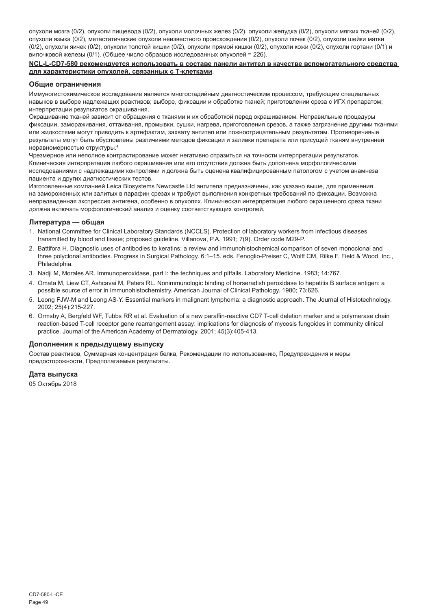опухоли мозга (0/2), опухоли пищевода (0/2), опухоли молочных желез (0/2), опухоли желудка (0/2), опухоли мягких тканей (0/2), опухоли языка (0/2), метастатические опухоли неизвестного происхождения (0/2), опухоли почек (0/2), опухоли шейки матки (0/2), опухоли яичек (0/2), опухоли толстой кишки (0/2), опухоли прямой кишки (0/2), опухоли кожи (0/2), опухоли гортани (0/1) и вилочковой железы (0/1). (Общее число образцов исследованных опухолей = 226).

#### **NCL-L-CD7-580 рекомендуется использовать в составе панели антител в качестве вспомогательного средства для характеристики опухолей, связанных с Т-клетками**.

#### **Общие ограничения**

Иммуногистохимическое исследование является многостадийным диагностическим процессом, требующим специальных навыков в выборе надлежащих реактивов; выборе, фиксации и обработке тканей; приготовлении среза с ИГХ препаратом; интерпретации результатов окрашивания.

Окрашивание тканей зависит от обращения с тканями и их обработкой перед окрашиванием. Неправильные процедуры фиксации, замораживания, оттаивания, промывки, сушки, нагрева, приготовления срезов, а также загрязнение другими тканями или жидкостями могут приводить к артефактам, захвату антител или ложноотрицательным результатам. Противоречивые результаты могут быть обусловлены различиями методов фиксации и заливки препарата или присущей тканям внутренней неравномерностью структуры.<sup>4</sup>

Чрезмерное или неполное контрастирование может негативно отразиться на точности интерпретации результатов. Клиническая интерпретация любого окрашивания или его отсутствия должна быть дополнена морфологическими исследованиями с надлежащими контролями и должна быть оценена квалифицированным патологом с учетом анамнеза пациента и других диагностических тестов.

Изготовленные компанией Leica Biosystems Newcastle Ltd антитела предназначены, как указано выше, для применения на замороженных или залитых в парафин срезах и требуют выполнения конкретных требований по фиксации. Возможна непредвиденная экспрессия антигена, особенно в опухолях. Клиническая интерпретация любого окрашенного среза ткани должна включать морфологический анализ и оценку соответствующих контролей.

#### **Литература — общая**

- 1. National Committee for Clinical Laboratory Standards (NCCLS). Protection of laboratory workers from infectious diseases transmitted by blood and tissue; proposed guideline. Villanova, P.A. 1991; 7(9). Order code M29-P.
- 2. Battifora H. Diagnostic uses of antibodies to keratins: a review and immunohistochemical comparison of seven monoclonal and three polyclonal antibodies. Progress in Surgical Pathology. 6:1–15. eds. Fenoglio-Preiser C, Wolff CM, Rilke F. Field & Wood, Inc., Philadelphia.
- 3. Nadji M, Morales AR. Immunoperoxidase, part I: the techniques and pitfalls. Laboratory Medicine. 1983; 14:767.
- 4. Omata M, Liew CT, Ashcavai M, Peters RL. Nonimmunologic binding of horseradish peroxidase to hepatitis B surface antigen: a possible source of error in immunohistochemistry. American Journal of Clinical Pathology. 1980; 73:626.
- 5. Leong FJW-M and Leong AS-Y. Essential markers in malignant lymphoma: a diagnostic approach. The Journal of Histotechnology. 2002; 25(4):215-227.
- 6. Ormsby A, Bergfeld WF, Tubbs RR et al. Evaluation of a new paraffin-reactive CD7 T-cell deletion marker and a polymerase chain reaction-based T-cell receptor gene rearrangement assay: implications for diagnosis of mycosis fungoides in community clinical practice. Journal of the American Academy of Dermatology. 2001; 45(3):405-413.

#### **Дополнения к предыдущему выпуску**

Состав реактивов, Суммарная концентрация белка, Рекомендации по использованию, Предупреждения и меры предосторожности, Предполагаемые результаты.

#### **Дата выпуска**

05 Октябрь 2018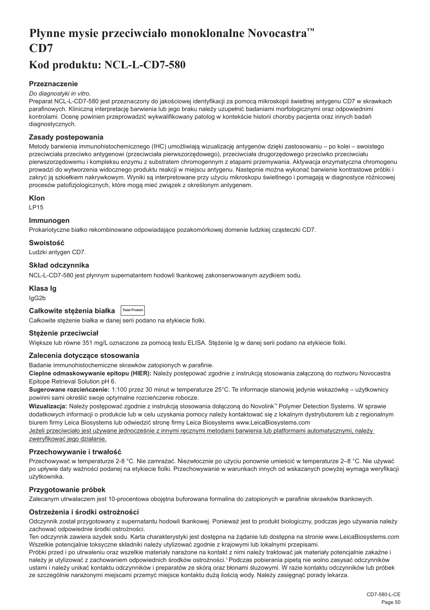## <span id="page-50-0"></span>**Płynne mysie przeciwciało monoklonalne Novocastra™ CD7**

## **Kod produktu: NCL-L-CD7-580**

## **Przeznaczenie**

#### *Do diagnostyki in vitro.*

Preparat NCL-L-CD7-580 jest przeznaczony do jakościowej identyfikacji za pomocą mikroskopii świetlnej antygenu CD7 w skrawkach parafinowych. Kliniczną interpretację barwienia lub jego braku należy uzupełnić badaniami morfologicznymi oraz odpowiednimi kontrolami. Ocenę powinien przeprowadzić wykwalifikowany patolog w kontekście historii choroby pacjenta oraz innych badań diagnostycznych.

## **Zasady postepowania**

Metody barwienia immunohistochemicznego (IHC) umożliwiają wizualizację antygenów dzięki zastosowaniu – po kolei – swoistego przeciwciała przeciwko antygenowi (przeciwciała pierwszorzędowego), przeciwciała drugorzędowego przeciwko przeciwciału pierwszorzędowemu i kompleksu enzymu z substratem chromogennym z etapami przemywania. Aktywacja enzymatyczna chromogenu prowadzi do wytworzenia widocznego produktu reakcji w miejscu antygenu. Następnie można wykonać barwienie kontrastowe próbki i zakryć ją szkiełkiem nakrywkowym. Wyniki są interpretowane przy użyciu mikroskopu świetlnego i pomagają w diagnostyce różnicowej procesów patofizjologicznych, które mogą mieć związek z określonym antygenem.

## **Klon**

LP15

## **Immunogen**

Prokariotyczne białko rekombinowane odpowiadające pozakomórkowej domenie ludzkiej cząsteczki CD7.

## **Swoistość**

Ludzki antygen CD7.

## **Skład odczynnika**

NCL-L-CD7-580 jest płynnym supernatantem hodowli tkankowej zakonserwowanym azydkiem sodu.

## **Klasa Ig**

IgG2b

| Całkowite stężenia białka   Total Protein |  |  |
|-------------------------------------------|--|--|
|-------------------------------------------|--|--|

Całkowite stężenie białka w danej serii podano na etykiecie fiolki.

## **Stężenie przeciwciał**

Większe lub równe 351 mg/L oznaczone za pomocą testu ELISA. Stężenie lg w danej serii podano na etykiecie fiolki.

## **Zalecenia dotyczące stosowania**

Badanie immunohistochemiczne skrawków zatopionych w parafinie.

**Cieplne odmaskowywanie epitopu (HIER):** Należy postępować zgodnie z instrukcją stosowania załączoną do roztworu Novocastra Epitope Retrieval Solution pH 6.

**Sugerowane rozcieńczenie:** 1:100 przez 30 minut w temperaturze 25°C. Te informacje stanowią jedynie wskazówkę – użytkownicy powinni sami określić swoje optymalne rozcieńczenie robocze.

**Wizualizacja:** Należy postępować zgodnie z instrukcją stosowania dołączoną do Novolink™ Polymer Detection Systems. W sprawie dodatkowych informacji o produkcie lub w celu uzyskania pomocy należy kontaktować się z lokalnym dystrybutorem lub z regionalnym biurem firmy Leica Biosystems lub odwiedzić stronę firmy Leica Biosystems www.LeicaBiosystems.com Jeżeli przeciwciało jest używane jednocześnie z innymi ręcznymi metodami barwienia lub platformami automatycznymi, należy

zweryfikować jego działanie.

## **Przechowywanie i trwałość**

Przechowywać w temperaturze 2-8 °C. Nie zamrażać. Niezwłocznie po użyciu ponownie umieścić w temperaturze 2–8 °C. Nie używać po upływie daty ważności podanej na etykiecie fiolki. Przechowywanie w warunkach innych od wskazanych powyżej wymaga weryfikacji użytkownika.

## **Przygotowanie próbek**

Zalecanym utrwalaczem jest 10-procentowa obojętna buforowana formalina do zatopionych w parafinie skrawków tkankowych.

## **Ostrzeżenia i środki ostrożności**

Odczynnik został przygotowany z supernatantu hodowli tkankowej. Ponieważ jest to produkt biologiczny, podczas jego używania należy zachować odpowiednie środki ostrożności.

Ten odczynnik zawiera azydek sodu. Karta charakterystyki jest dostępna na żądanie lub dostępna na stronie www.LeicaBiosystems.com Wszelkie potencjalnie toksyczne składniki należy utylizować zgodnie z krajowymi lub lokalnymi przepisami.

Próbki przed i po utrwaleniu oraz wszelkie materiały narażone na kontakt z nimi należy traktować jak materiały potencjalnie zakaźne i należy je utylizować z zachowaniem odpowiednich środków ostrożności.<sup>1</sup>Podczas pobierania pipetą nie wolno zasysać odczynników ustami i należy unikać kontaktu odczynników i preparatów ze skórą oraz błonami śluzowymi. W razie kontaktu odczynników lub próbek ze szczególnie narażonymi miejscami przemyć miejsce kontaktu dużą ilością wody. Należy zasięgnąć porady lekarza.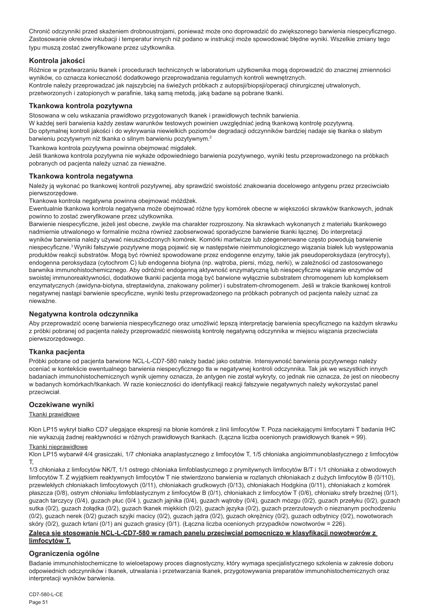Chronić odczynniki przed skażeniem drobnoustrojami, ponieważ może ono doprowadzić do zwiększonego barwienia niespecyficznego. Zastosowanie okresów inkubacji i temperatur innych niż podano w instrukcji może spowodować błędne wyniki. Wszelkie zmiany tego typu muszą zostać zweryfikowane przez użytkownika.

## **Kontrola jakości**

Różnice w przetwarzaniu tkanek i procedurach technicznych w laboratorium użytkownika mogą doprowadzić do znacznej zmienności wyników, co oznacza konieczność dodatkowego przeprowadzania regularnych kontroli wewnętrznych. Kontrole należy przeprowadzać jak najszybciej na świeżych próbkach z autopsji/biopsji/operacji chirurgicznej utrwalonych, przetworzonych i zatopionych w parafinie, taką samą metodą, jaką badane są pobrane tkanki.

## **Tkankowa kontrola pozytywna**

Stosowana w celu wskazania prawidłowo przygotowanych tkanek i prawidłowych technik barwienia.

W każdej serii barwienia każdy zestaw warunków testowych powinien uwzględniać jedną tkankową kontrolę pozytywną. Do optymalnej kontroli jakości i do wykrywania niewielkich poziomów degradacji odczynników bardziej nadaje się tkanka o słabym barwieniu pozytywnym niż tkanka o silnym barwieniu pozytywnym.<sup>2</sup>

Tkankowa kontrola pozytywna powinna obejmować migdałek.

Jeśli tkankowa kontrola pozytywna nie wykaże odpowiedniego barwienia pozytywnego, wyniki testu przeprowadzonego na próbkach pobranych od pacjenta należy uznać za nieważne.

## **Tkankowa kontrola negatywna**

Należy ją wykonać po tkankowej kontroli pozytywnej, aby sprawdzić swoistość znakowania docelowego antygenu przez przeciwciało pierwszorzędowe.

Tkankowa kontrola negatywna powinna obejmować móżdżek.

Ewentualnie tkankowa kontrola negatywna może obejmować różne typy komórek obecne w większości skrawków tkankowych, jednak powinno to zostać zweryfikowane przez użytkownika.

Barwienie niespecyficzne, jeżeli jest obecne, zwykle ma charakter rozproszony. Na skrawkach wykonanych z materiału tkankowego nadmiernie utrwalonego w formalinie można również zaobserwować sporadyczne barwienie tkanki łącznej. Do interpretacji wyników barwienia należy używać nieuszkodzonych komórek. Komórki martwicze lub zdegenerowane często powodują barwienie niespecyficzne.<sup>3</sup>Wyniki fałszywie pozytywne mogą pojawić się w następstwie nieimmunologicznego wiązania białek lub występowania produktów reakcji substratów. Mogą być również spowodowane przez endogenne enzymy, takie jak pseudoperoksydaza (erytrocyty), endogenna peroksydaza (cytochrom C) lub endogenna biotyna (np. wątroba, piersi, mózg, nerki), w zależności od zastosowanego barwnika immunohistochemicznego. Aby odróżnić endogenną aktywność enzymatyczną lub niespecyficzne wiązanie enzymów od swoistej immunoreaktywności, dodatkowe tkanki pacjenta mogą być barwione wyłącznie substratem chromogenem lub kompleksem enzymatycznych (awidyna-biotyna, streptawidyna, znakowany polimer) i substratem-chromogenem. Jeśli w trakcie tkankowej kontroli negatywnej nastąpi barwienie specyficzne, wyniki testu przeprowadzonego na próbkach pobranych od pacjenta należy uznać za nieważne.

## **Negatywna kontrola odczynnika**

Aby przeprowadzić ocenę barwienia niespecyficznego oraz umożliwić lepszą interpretację barwienia specyficznego na każdym skrawku z próbki pobranej od pacjenta należy przeprowadzić nieswoistą kontrolę negatywną odczynnika w miejscu wiązania przeciwciała pierwszorzędowego.

## **Tkanka pacjenta**

Próbki pobrane od pacjenta barwione NCL-L-CD7-580 należy badać jako ostatnie. Intensywność barwienia pozytywnego należy oceniać w kontekście ewentualnego barwienia niespecyficznego tła w negatywnej kontroli odczynnika. Tak jak we wszystkich innych badaniach immunohistochemicznych wynik ujemny oznacza, że antygen nie został wykryty, co jednak nie oznacza, że jest on nieobecny w badanych komórkach/tkankach. W razie konieczności do identyfikacji reakcji fałszywie negatywnych należy wykorzystać panel przeciwciał.

## **Oczekiwane wyniki**

## Tkanki prawidłowe

Klon LP15 wykrył białko CD7 ulegające ekspresji na błonie komórek z linii limfocytów T. Poza naciekającymi limfocytami T badania IHC nie wykazują żadnej reaktywności w różnych prawidłowych tkankach. (Łączna liczba ocenionych prawidłowych tkanek = 99).

## Tkanki nieprawidłowe

Klon LP15 wybarwił 4/4 grasiczaki, 1/7 chłoniaka anaplastycznego z limfocytów T, 1/5 chłoniaka angioimmunoblastycznego z limfocytów  $T$ 

1/3 chłoniaka z limfocytów NK/T, 1/1 ostrego chłoniaka limfoblastycznego z prymitywnych limfocytów B/T i 1/1 chłoniaka z obwodowych limfocytów T. Z wyjątkiem reaktywnych limfocytów T nie stwierdzono barwienia w rozlanych chłoniakach z dużych limfocytów B (0/110), przewlekłych chłoniakach limfocytowych (0/11), chłoniakach grudkowych (0/13), chłoniakach Hodgkina (0/11), chłoniakach z komórek płaszcza (0/8), ostrym chłoniaku limfoblastycznym z limfocytów B (0/1), chłoniakach z limfocytów T (0/6), chłoniaku strefy brzeżnej (0/1), guzach tarczycy (0/4), guzach płuc (0/4 ), guzach jajnika (0/4), guzach wątroby (0/4), guzach mózgu (0/2), guzach przełyku (0/2), guzach sutka (0/2), guzach żołądka (0/2), guzach tkanek miękkich (0/2), guzach języka (0/2), guzach przerzutowych o nieznanym pochodzeniu (0/2), guzach nerek (0/2) guzach szyjki macicy (0/2), guzach jądra (0/2), guzach okrężnicy (0/2), guzach odbytnicy (0/2), nowotworach skóry (0/2), guzach krtani (0/1) ani guzach grasicy (0/1). (Łączna liczba ocenionych przypadków nowotworów = 226).

#### **Zaleca się stosowanie NCL-L-CD7-580 w ramach panelu przeciwciał pomocniczo w klasyfikacji nowotworów z limfocytów T.**

## **Ograniczenia ogólne**

Badanie immunohistochemiczne to wieloetapowy proces diagnostyczny, który wymaga specjalistycznego szkolenia w zakresie doboru odpowiednich odczynników i tkanek, utrwalania i przetwarzania tkanek, przygotowywania preparatów immunohistochemicznych oraz interpretacji wyników barwienia.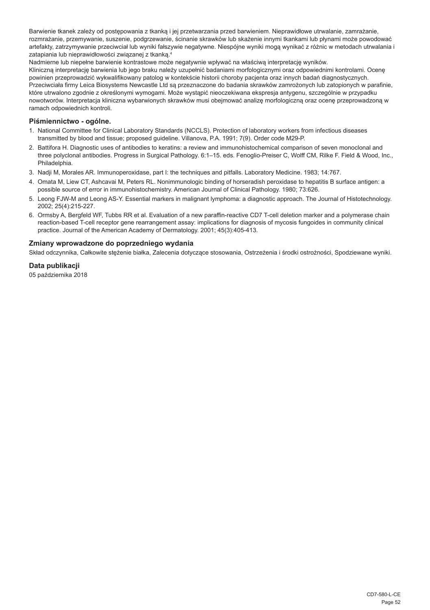Barwienie tkanek zależy od postępowania z tkanką i jej przetwarzania przed barwieniem. Nieprawidłowe utrwalanie, zamrażanie, rozmrażanie, przemywanie, suszenie, podgrzewanie, ścinanie skrawków lub skażenie innymi tkankami lub płynami może powodować artefakty, zatrzymywanie przeciwciał lub wyniki fałszywie negatywne. Niespójne wyniki mogą wynikać z różnic w metodach utrwalania i zatapiania lub nieprawidłowości związanej z tkanką.<sup>4</sup>

Nadmierne lub niepełne barwienie kontrastowe może negatywnie wpływać na właściwą interpretację wyników. Kliniczną interpretację barwienia lub jego braku należy uzupełnić badaniami morfologicznymi oraz odpowiednimi kontrolami. Ocenę powinien przeprowadzić wykwalifikowany patolog w kontekście historii choroby pacjenta oraz innych badań diagnostycznych. Przeciwciała firmy Leica Biosystems Newcastle Ltd są przeznaczone do badania skrawków zamrożonych lub zatopionych w parafinie, które utrwalono zgodnie z określonymi wymogami. Może wystąpić nieoczekiwana ekspresja antygenu, szczególnie w przypadku nowotworów. Interpretacja kliniczna wybarwionych skrawków musi obejmować analizę morfologiczną oraz ocenę przeprowadzoną w ramach odpowiednich kontroli.

## **Piśmiennictwo - ogólne.**

- 1. National Committee for Clinical Laboratory Standards (NCCLS). Protection of laboratory workers from infectious diseases transmitted by blood and tissue; proposed guideline. Villanova, P.A. 1991; 7(9). Order code M29-P.
- 2. Battifora H. Diagnostic uses of antibodies to keratins: a review and immunohistochemical comparison of seven monoclonal and three polyclonal antibodies. Progress in Surgical Pathology. 6:1–15. eds. Fenoglio-Preiser C, Wolff CM, Rilke F. Field & Wood, Inc., Philadelphia.
- 3. Nadji M, Morales AR. Immunoperoxidase, part I: the techniques and pitfalls. Laboratory Medicine. 1983; 14:767.
- 4. Omata M, Liew CT, Ashcavai M, Peters RL. Nonimmunologic binding of horseradish peroxidase to hepatitis B surface antigen: a possible source of error in immunohistochemistry. American Journal of Clinical Pathology. 1980; 73:626.
- 5. Leong FJW-M and Leong AS-Y. Essential markers in malignant lymphoma: a diagnostic approach. The Journal of Histotechnology. 2002; 25(4):215-227.
- 6. Ormsby A, Bergfeld WF, Tubbs RR et al. Evaluation of a new paraffin-reactive CD7 T-cell deletion marker and a polymerase chain reaction-based T-cell receptor gene rearrangement assay: implications for diagnosis of mycosis fungoides in community clinical practice. Journal of the American Academy of Dermatology. 2001; 45(3):405-413.

## **Zmiany wprowadzone do poprzedniego wydania**

Skład odczynnika, Całkowite stężenie białka, Zalecenia dotyczące stosowania, Ostrzeżenia i środki ostrożności, Spodziewane wyniki.

## **Data publikacji**

05 października 2018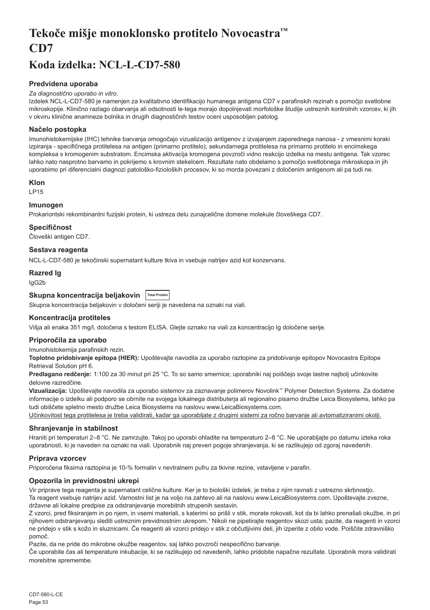## <span id="page-53-0"></span>**Tekoče mišje monoklonsko protitelo Novocastra™ CD7**

## **Koda izdelka: NCL-L-CD7-580**

## **Predvidena uporaba**

#### *Za diagnostično uporabo in vitro.*

Izdelek NCL-L-CD7-580 je namenjen za kvalitativno identifikacijo humanega antigena CD7 v parafinskih rezinah s pomočjo svetlobne mikroskopije. Klinično razlago obarvanja ali odsotnosti le-tega morajo dopolnjevati morfološke študije ustreznih kontrolnih vzorcev, ki jih v okviru klinične anamneze bolnika in drugih diagnostičnih testov oceni usposobljen patolog.

## **Načelo postopka**

Imunohistokemijske (IHC) tehnike barvanja omogočajo vizualizacijo antigenov z izvajanjem zaporednega nanosa - z vmesnimi koraki izpiranja - specifičnega protitelesa na antigen (primarno protitelo), sekundarnega protitelesa na primarno protitelo in encimskega kompleksa s kromogenim substratom. Encimska aktivacija kromogena povzroči vidno reakcijo izdelka na mestu antigena. Tak vzorec lahko nato nasprotno barvamo in pokrijemo s krovnim stekelcem. Rezultate nato obdelamo s pomočjo svetlobnega mikroskopa in jih uporabimo pri diferencialni diagnozi patološko-fizioloških procesov, ki so morda povezani z določenim antigenom ali pa tudi ne.

#### **Klon**

LP15

## **Imunogen**

Prokariontski rekombinantni fuzijski protein, ki ustreza delu zunajcelične domene molekule človeškega CD7.

#### **Specifičnost**

Človeški antigen CD7.

## **Sestava reagenta**

NCL-L-CD7-580 je tekočinski supernatant kulture tkiva in vsebuje natrijev azid kot konzervans.

## **Razred Ig**

IgG2b

## **Skupna koncentracija beljakovin Total Protein**

Skupna koncentracija beljakovin v določeni seriji je navedena na oznaki na viali.

## **Koncentracija protiteles**

Višja ali enaka 351 mg/l, določena s testom ELISA. Glejte oznako na viali za koncentracijo Ig določene serije.

#### **Priporočila za uporabo**

Imunohistokemija parafinskih rezin.

**Toplotno pridobivanje epitopa (HIER):** Upoštevajte navodila za uporabo raztopine za pridobivanje epitopov Novocastra Epitope Retrieval Solution pH 6.

**Predlagano redčenje:** 1:100 za 30 minut pri 25 °C. To so samo smernice; uporabniki naj poiščejo svoje lastne najbolj učinkovite delovne razredčine.

**Vizualizacija:** Upoštevajte navodila za uporabo sistemov za zaznavanje polimerov Novolink™ Polymer Detection Systems. Za dodatne informacije o izdelku ali podporo se obrnite na svojega lokalnega distributerja ali regionalno pisarno družbe Leica Biosystems, lahko pa tudi obiščete spletno mesto družbe Leica Biosystems na naslovu www.LeicaBiosystems.com.

Učinkovitost tega protitelesa je treba validirati, kadar ga uporabljate z drugimi sistemi za ročno barvanje ali avtomatiziranimi okolji.

## **Shranjevanje in stabilnost**

Hraniti pri temperaturi 2–8 °C. Ne zamrzujte. Takoj po uporabi ohladite na temperaturo 2–8 °C. Ne uporabljajte po datumu izteka roka uporabnosti, ki je naveden na oznaki na viali. Uporabnik naj preveri pogoje shranjevanja, ki se razlikujejo od zgoraj navedenih.

## **Priprava vzorcev**

Priporočena fiksirna raztopina je 10-% formalin v nevtralnem pufru za tkivne rezine, vstavljene v parafin.

## **Opozorila in previdnostni ukrepi**

Vir priprave tega reagenta je supernatant celične kulture. Ker je to biološki izdelek, je treba z njim ravnati z ustrezno skrbnostjo. Ta reagent vsebuje natrijev azid. Varnostni list je na voljo na zahtevo ali na naslovu www.LeicaBiosystems.com. Upoštevajte zvezne, državne ali lokalne predpise za odstranjevanje morebitnih strupenih sestavin.

Z vzorci, pred fiksiranjem in po njem, in vsemi materiali, s katerimi so prišli v stik, morate rokovati, kot da bi lahko prenašali okužbe, in pri njihovem odstranjevanju slediti ustreznim previdnostnim ukrepom.<sup>1</sup> Nikoli ne pipetirajte reagentov skozi usta; pazite, da reagenti in vzorci ne pridejo v stik s kožo in sluznicami. Če reagenti ali vzorci pridejo v stik z občutljivimi deli, jih izperite z obilo vode. Poiščite zdravniško pomoč.

Pazite, da ne pride do mikrobne okužbe reagentov, saj lahko povzroči nespecifično barvanje.

Če uporabite čas ali temperature inkubacije, ki se razlikujejo od navedenih, lahko pridobite napačne rezultate. Uporabnik mora validirati morebitne spremembe.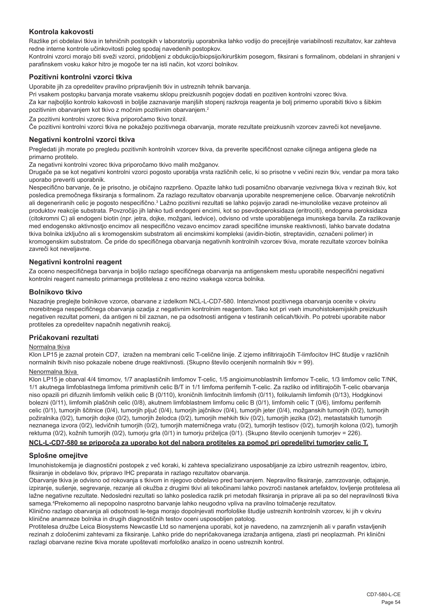## **Kontrola kakovosti**

Razlike pri obdelavi tkiva in tehničnih postopkih v laboratoriju uporabnika lahko vodijo do precejšnje variabilnosti rezultatov, kar zahteva redne interne kontrole učinkovitosti poleg spodaj navedenih postopkov.

Kontrolni vzorci morajo biti sveži vzorci, pridobljeni z obdukcijo/biopsijo/kirurškim posegom, fiksirani s formalinom, obdelani in shranjeni v parafinskem vosku kakor hitro je mogoče ter na isti način, kot vzorci bolnikov.

## **Pozitivni kontrolni vzorci tkiva**

Uporabite jih za opredelitev pravilno pripravljenih tkiv in ustreznih tehnik barvanja.

Pri vsakem postopku barvanja morate vsakemu sklopu preizkusnih pogojev dodati en pozitiven kontrolni vzorec tkiva. Za kar najboljšo kontrolo kakovosti in boljše zaznavanje manjših stopenj razkroja reagenta je bolj primerno uporabiti tkivo s šibkim pozitivnim obarvanjem kot tkivo z močnim pozitivnim obarvanjem.<sup>2</sup>

Za pozitivni kontrolni vzorec tkiva priporočamo tkivo tonzil.

Če pozitivni kontrolni vzorci tkiva ne pokažejo pozitivnega obarvanja, morate rezultate preizkusnih vzorcev zavreči kot neveljavne.

#### **Negativni kontrolni vzorci tkiva**

Pregledati jih morate po pregledu pozitivnih kontrolnih vzorcev tkiva, da preverite specifičnost oznake ciljnega antigena glede na primarno protitelo.

Za negativni kontrolni vzorec tkiva priporočamo tkivo malih možganov.

Drugače pa se kot negativni kontrolni vzorci pogosto uporablja vrsta različnih celic, ki so prisotne v večini rezin tkiv, vendar pa mora tako uporabo preveriti uporabnik.

Nespecifično barvanje, če je prisotno, je običajno razpršeno. Opazite lahko tudi posamično obarvanje vezivnega tkiva v rezinah tkiv, kot posledica premočnega fiksiranja s formalinom. Za razlago rezultatov obarvanja uporabite nespremenjene celice. Obarvanje nekrotičnih ali degeneriranih celic je pogosto nespecifično.<sup>3</sup> Lažno pozitivni rezultati se lahko pojavijo zaradi ne-imunološke vezave proteinov ali produktov reakcije substrata. Povzročijo jih lahko tudi endogeni encimi, kot so psevdoperoksidaza (eritrociti), endogena peroksidaza (citokromni C) ali endogeni biotin (npr. jetra, dojke, možgani, ledvice), odvisno od vrste uporabljenega imunskega barvila. Za razlikovanje med endogensko aktivnostjo encimov ali nespecifično vezavo encimov zaradi specifične imunske reaktivnosti, lahko barvate dodatna tkiva bolnika izključno ali s kromogenskim substratom ali encimskimi kompleksi (avidin-biotin, streptavidin, označeni polimer) in kromogenskim substratom. Če pride do specifičnega obarvanja negativnih kontrolnih vzorcev tkiva, morate rezultate vzorcev bolnika zavreči kot neveljavne.

#### **Negativni kontrolni reagent**

Za oceno nespecifičnega barvanja in boljšo razlago specifičnega obarvanja na antigenskem mestu uporabite nespecifični negativni kontrolni reagent namesto primarnega protitelesa z eno rezino vsakega vzorca bolnika.

#### **Bolnikovo tkivo**

Nazadnje preglejte bolnikove vzorce, obarvane z izdelkom NCL-L-CD7-580. Intenzivnost pozitivnega obarvanja ocenite v okviru morebitnega nespecifičnega obarvanja ozadja z negativnim kontrolnim reagentom. Tako kot pri vseh imunohistokemijskih preizkusih negativen rezultat pomeni, da antigen ni bil zaznan, ne pa odsotnosti antigena v testiranih celicah/tkivih. Po potrebi uporabite nabor protiteles za opredelitev napačnih negativnih reakcij.

#### **Pričakovani rezultati**

#### Normalna tkiva

Klon LP15 je zaznal protein CD7, izražen na membrani celic T-celične linije. Z izjemo infiltrirajočih T-limfocitov IHC študije v različnih normalnih tkivih niso pokazale nobene druge reaktivnosti. (Skupno število ocenjenih normalnih tkiv = 99).

#### Nenormalna tkiva

Klon LP15 je obarval 4/4 timomov, 1/7 anaplastičnih limfomov T-celic, 1/5 angioimunoblastnih limfomov T-celic, 1/3 limfomov celic T/NK, 1/1 akutnega limfoblastnega limfoma primitivnih celic B/T in 1/1 limfoma perifernih T-celic. Za razliko od infiltirajočih T-celic obarvanja niso opazili pri difuznih limfomih velikih celic B (0/110), kroničnih limfocitnih limfomih (0/11), folikularnih limfomih (0/13), Hodgkinovi bolezni (0/11), limfomih plaščnih celic (0/8), akutnem limfoblastnem limfomu celic B (0/1), limfomih celic T (0/6), limfomu perifernih celic (0/1), tumorjih ščitnice (0/4), tumorjih pljuč (0/4), tumorjih jajčnikov (0/4), tumorjih jeter (0/4), možganskih tumorjih (0/2), tumorjih požiralnika (0/2), tumorjih dojke (0/2), tumorjih želodca (0/2), tumorjih mehkih tkiv (0/2), tumorjih jezika (0/2), metastatskih tumorjih neznanega izvora (0/2), ledvičnih tumorjih (0/2), tumorjih materničnega vratu (0/2), tumorjih testisov (0/2), tumorjih kolona (0/2), tumorjih rektuma (0/2), kožnih tumorjih (0/2), tumorju grla (0/1) in tumorju priželjca (0/1). (Skupno število ocenjenih tumorjev = 226).

## **NCL-L-CD7-580 se priporoča za uporabo kot del nabora protiteles za pomoč pri opredelitvi tumorjev celic T.**

## **Splošne omejitve**

Imunohistokemija je diagnostični postopek z več koraki, ki zahteva specializirano usposabljanje za izbiro ustreznih reagentov, izbiro, fiksiranje in obdelavo tkiv, pripravo IHC preparata in razlago rezultatov obarvanja.

Obarvanje tkiva je odvisno od rokovanja s tkivom in njegovo obdelavo pred barvanjem. Nepravilno fiksiranje, zamrzovanje, odtajanje, izpiranje, sušenje, segrevanje, rezanje ali okužba z drugimi tkivi ali tekočinami lahko povzroči nastanek artefaktov, lovljenje protitelesa ali lažne negativne rezultate. Nedosledni rezultati so lahko posledica razlik pri metodah fiksiranja in priprave ali pa so del nepravilnosti tkiva samega.<sup>4</sup> Prekomerno ali nepopolno nasprotno barvanje lahko neugodno vpliva na pravilno tolmačenje rezultatov.

Klinično razlago obarvanja ali odsotnosti le-tega morajo dopolnjevati morfološke študije ustreznih kontrolnih vzorcev, ki jih v okviru klinične anamneze bolnika in drugih diagnostičnih testov oceni usposobljen patolog.

Protitelesa družbe Leica Biosystems Newcastle Ltd so namenjena uporabi, kot je navedeno, na zamrznjenih ali v parafin vstavljenih rezinah z določenimi zahtevami za fiksiranje. Lahko pride do nepričakovanega izražanja antigena, zlasti pri neoplazmah. Pri klinični razlagi obarvane rezine tkiva morate upoštevati morfološko analizo in oceno ustreznih kontrol.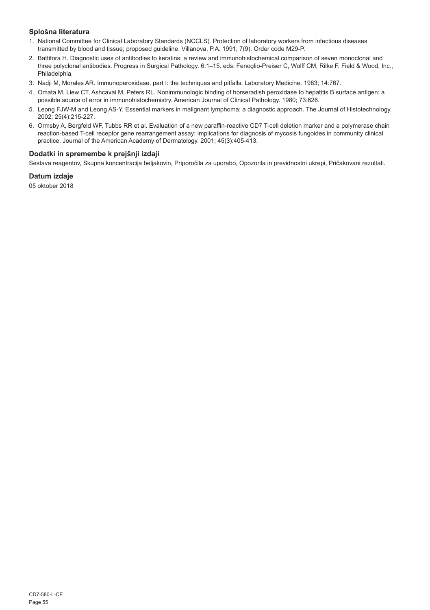## **Splošna literatura**

- 1. National Committee for Clinical Laboratory Standards (NCCLS). Protection of laboratory workers from infectious diseases transmitted by blood and tissue; proposed guideline. Villanova, P.A. 1991; 7(9). Order code M29-P.
- 2. Battifora H. Diagnostic uses of antibodies to keratins: a review and immunohistochemical comparison of seven monoclonal and three polyclonal antibodies. Progress in Surgical Pathology. 6:1–15. eds. Fenoglio-Preiser C, Wolff CM, Rilke F. Field & Wood, Inc., Philadelphia.
- 3. Nadji M, Morales AR. Immunoperoxidase, part I: the techniques and pitfalls. Laboratory Medicine. 1983; 14:767.
- 4. Omata M, Liew CT, Ashcavai M, Peters RL. Nonimmunologic binding of horseradish peroxidase to hepatitis B surface antigen: a possible source of error in immunohistochemistry. American Journal of Clinical Pathology. 1980; 73:626.
- 5. Leong FJW-M and Leong AS-Y. Essential markers in malignant lymphoma: a diagnostic approach. The Journal of Histotechnology. 2002; 25(4):215-227.
- 6. Ormsby A, Bergfeld WF, Tubbs RR et al. Evaluation of a new paraffin-reactive CD7 T-cell deletion marker and a polymerase chain reaction-based T-cell receptor gene rearrangement assay: implications for diagnosis of mycosis fungoides in community clinical practice. Journal of the American Academy of Dermatology. 2001; 45(3):405-413.

## **Dodatki in spremembe k prejšnji izdaji**

Sestava reagentov, Skupna koncentracija beljakovin, Priporočila za uporabo, Opozorila in previdnostni ukrepi, Pričakovani rezultati.

## **Datum izdaje**

05 oktober 2018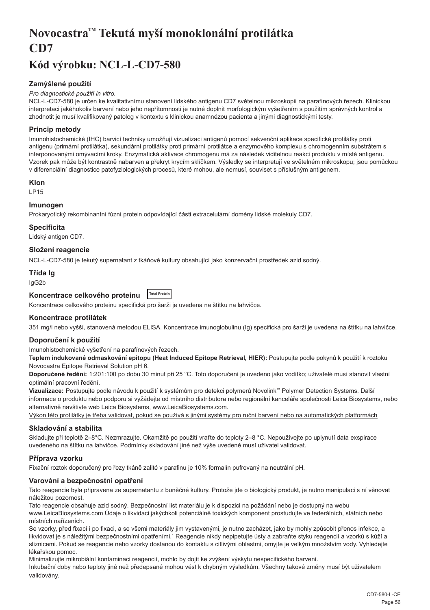## <span id="page-56-0"></span>**Novocastra™ Tekutá myší monoklonální protilátka CD7**

## **Kód výrobku: NCL-L-CD7-580**

## **Zamýšlené použití**

#### *Pro diagnostické použití in vitro.*

NCL-L-CD7-580 je určen ke kvalitativnímu stanovení lidského antigenu CD7 světelnou mikroskopií na parafínových řezech. Klinickou interpretaci jakéhokoliv barvení nebo jeho nepřítomnosti je nutné doplnit morfologickým vyšetřením s použitím správných kontrol a zhodnotit je musí kvalifikovaný patolog v kontextu s klinickou anamnézou pacienta a jinými diagnostickými testy.

## **Princip metody**

Imunohistochemické (IHC) barvicí techniky umožňují vizualizaci antigenů pomocí sekvenční aplikace specifické protilátky proti antigenu (primární protilátka), sekundární protilátky proti primární protilátce a enzymového komplexu s chromogenním substrátem s interponovanými omývacími kroky. Enzymatická aktivace chromogenu má za následek viditelnou reakci produktu v místě antigenu. Vzorek pak může být kontrastně nabarven a překryt krycím sklíčkem. Výsledky se interpretují ve světelném mikroskopu; jsou pomůckou v diferenciální diagnostice patofyziologických procesů, které mohou, ale nemusí, souviset s příslušným antigenem.

#### **Klon**

LP15

## **Imunogen**

Prokaryotický rekombinantní fúzní protein odpovídající části extracelulární domény lidské molekuly CD7.

#### **Specificita**

Lidský antigen CD7. **Složení reagencie**

NCL-L-CD7-580 je tekutý supernatant z tkáňové kultury obsahující jako konzervační prostředek azid sodný.

## **Třída Ig**

IgG2b

#### **Koncentrace celkového proteinu Total Protein**

Koncentrace celkového proteinu specifická pro šarži je uvedena na štítku na lahvičce.

## **Koncentrace protilátek**

351 mg/l nebo vyšší, stanovená metodou ELISA. Koncentrace imunoglobulinu (Ig) specifická pro šarži je uvedena na štítku na lahvičce.

## **Doporučení k použití**

Imunohistochemické vyšetření na parafínových řezech.

**Teplem indukované odmaskování epitopu (Heat Induced Epitope Retrieval, HIER):** Postupujte podle pokynů k použití k roztoku Novocastra Epitope Retrieval Solution pH 6.

**Doporučené ředění:** 1:201:100 po dobu 30 minut při 25 °C. Toto doporučení je uvedeno jako vodítko; uživatelé musí stanovit vlastní optimální pracovní ředění.

**Vizualizace:** Postupujte podle návodu k použití k systémům pro detekci polymerů Novolink™ Polymer Detection Systems. Další informace o produktu nebo podporu si vyžádejte od místního distributora nebo regionální kanceláře společnosti Leica Biosystems, nebo alternativně navštivte web Leica Biosystems, www.LeicaBiosystems.com.

Výkon této protilátky je třeba validovat, pokud se používá s jinými systémy pro ruční barvení nebo na automatických platformách

## **Skladování a stabilita**

Skladujte při teplotě 2–8°C. Nezmrazujte. Okamžitě po použití vraťte do teploty 2–8 °C. Nepoužívejte po uplynutí data exspirace uvedeného na štítku na lahvičce. Podmínky skladování jiné než výše uvedené musí uživatel validovat.

## **Příprava vzorku**

Fixační roztok doporučený pro řezy tkáně zalité v parafinu je 10% formalín pufrovaný na neutrální pH.

## **Varování a bezpečnostní opatření**

Tato reagencie byla připravena ze supernatantu z buněčné kultury. Protože jde o biologický produkt, je nutno manipulaci s ní věnovat náležitou pozornost.

Tato reagencie obsahuje azid sodný. Bezpečnostní list materiálu je k dispozici na požádání nebo je dostupný na webu www.LeicaBiosystems.com Údaje o likvidaci jakýchkoli potenciálně toxických komponent prostudujte ve federálních, státních nebo místních nařízeních.

Se vzorky, před fixací i po fixaci, a se všemi materiály jim vystavenými, je nutno zacházet, jako by mohly způsobit přenos infekce, a likvidovat je s náležitými bezpečnostními opatřeními.1 Reagencie nikdy nepipetujte ústy a zabraňte styku reagencií a vzorků s kůží a sliznicemi. Pokud se reagencie nebo vzorky dostanou do kontaktu s citlivými oblastmi, omyjte je velkým množstvím vody. Vyhledejte lékařskou pomoc.

Minimalizujte mikrobiální kontaminaci reagencií, mohlo by dojít ke zvýšení výskytu nespecifického barvení.

Inkubační doby nebo teploty jiné než předepsané mohou vést k chybným výsledkům. Všechny takové změny musí být uživatelem validovány.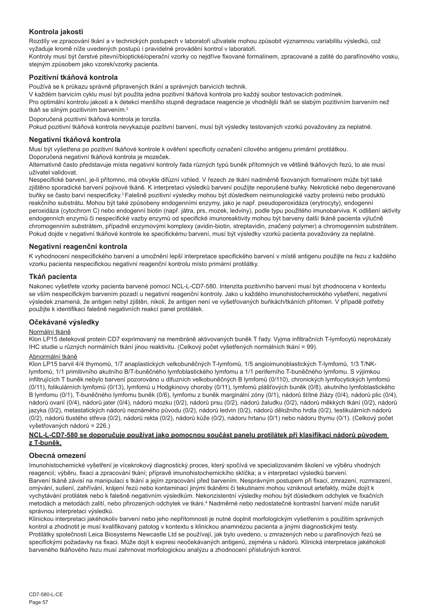## **Kontrola jakosti**

Rozdíly ve zpracování tkání a v technických postupech v laboratoři uživatele mohou způsobit významnou variabilitu výsledků, což vyžaduje kromě níže uvedených postupů i pravidelné provádění kontrol v laboratoři.

Kontroly musí být čerstvé pitevní/bioptické/operační vzorky co nejdříve fixované formalínem, zpracované a zalité do parafínového vosku, stejným způsobem jako vzorek/vzorky pacienta.

## **Pozitivní tkáňová kontrola**

Používá se k průkazu správně připravených tkání a správných barvicích technik.

V každém barvicím cyklu musí být použita jedna pozitivní tkáňová kontrola pro každý soubor testovacích podmínek.

Pro optimální kontrolu jakosti a k detekci menšího stupně degradace reagencie je vhodnější tkáň se slabým pozitivním barvením než tkáň se silným pozitivním barvením.<sup>2</sup>

Doporučená pozitivní tkáňová kontrola je tonzila.

Pokud pozitivní tkáňová kontrola nevykazuje pozitivní barvení, musí být výsledky testovaných vzorků považovány za neplatné.

### **Negativní tkáňová kontrola**

Musí být vyšetřena po pozitivní tkáňové kontrole k ověření specificity označení cílového antigenu primární protilátkou. Doporučená negativní tkáňová kontrola je mozeček.

Alternativně často představuje místa negativní kontroly řada různých typů buněk přítomných ve většině tkáňových řezů, to ale musí uživatel validovat.

Nespecifické barvení, je-li přítomno, má obvykle difúzní vzhled. V řezech ze tkání nadměrně fixovaných formalínem může být také zjištěno sporadické barvení pojivové tkáně. K interpretaci výsledků barvení použijte neporušené buňky. Nekrotické nebo degenerované buňky se často barví nespecificky.<sup>3</sup>Falešně pozitivní výsledky mohou být důsledkem neimunologické vazby proteinů nebo produktů reakčního substrátu. Mohou být také způsobeny endogenními enzymy, jako je např. pseudoperoxidáza (erytrocyty), endogenní peroxidáza (cytochrom C) nebo endogenní biotin (např. játra, prs, mozek, ledviny), podle typu použitého imunobarviva. K odlišení aktivity endogenních enzymů či nespecifické vazby enzymů od specifické imunoreaktivity mohou být barveny další tkáně pacienta výlučně chromogenním substrátem, případně enzymovými komplexy (avidin-biotin, streptavidin, značený polymer) a chromogenním substrátem. Pokud dojde v negativní tkáňové kontrole ke specifickému barvení, musí být výsledky vzorků pacienta považovány za neplatné.

## **Negativní reagenční kontrola**

K vyhodnocení nespecifického barvení a umožnění lepší interpretace specifického barvení v místě antigenu použijte na řezu z každého vzorku pacienta nespecifickou negativní reagenční kontrolu místo primární protilátky.

## **Tkáň pacienta**

Nakonec vyšetřete vzorky pacienta barvené pomocí NCL-L-CD7-580. Intenzita pozitivního barvení musí být zhodnocena v kontextu se vším nespecifickým barvením pozadí u negativní reagenční kontroly. Jako u každého imunohistochemického vyšetření, negativní výsledek znamená, že antigen nebyl zjištěn, nikoli, že antigen není ve vyšetřovaných buňkách/tkáních přítomen. V případě potřeby použijte k identifikaci falešně negativních reakcí panel protilátek.

## **Očekávané výsledky**

## Normální tkáně

Klon LP15 detekoval protein CD7 exprimovaný na membráně aktivovaných buněk T řady. Vyjma infiltračních T-lymfocytů neprokázaly IHC studie u různých normálních tkání jinou reaktivitu. (Celkový počet vyšetřených normálních tkání = 99).

#### Abnormální tkáně

Klon LP15 barvil 4/4 thymomů, 1/7 anaplastických velkobuněčných T-lymfomů, 1/5 angioimunoblastických T-lymfomů, 1/3 T/NKlymfomů, 1/1 primitivního akutního B/T-buněčného lymfoblastického lymfomu a 1/1 periferního T-buněčného lymfomu. S výjimkou infiltrujících T buněk nebylo barvení pozorováno u difuzních velkobuněčných B lymfomů (0/110), chronických lymfocytických lymfomů (0/11), folikulárních lymfomů (0/13), lymfomů u Hodgkinovy choroby (0/11), lymfomů plášťových buněk (0/8), akutního lymfoblastického B lymfomu (0/1), T-buněčného lymfomu buněk (0/6), lymfomu z buněk marginální zóny (0/1), nádorů štítné žlázy (0/4), nádorů plic (0/4), nádorů ovarií (0/4), nádorů jater (0/4), nádorů mozku (0/2), nádorů prsu (0/2), nádorů žaludku (0/2), nádorů měkkých tkání (0/2), nádorů jazyka (0/2), metastatických nádorů neznámého původu (0/2), nádorů ledvin (0/2), nádorů děložního hrdla (0/2), testikulárních nádorů (0/2), nádorů tlustého střeva (0/2), nádorů rekta (0/2), nádorů kůže (0/2), nádoru hrtanu (0/1) nebo nádoru thymu (0/1). (Celkový počet vyšetřovaných nádorů = 226.)

## **NCL-L-CD7-580 se doporučuje používat jako pomocnou součást panelu protilátek při klasifikaci nádorů původem z T-buněk.**

## **Obecná omezení**

Imunohistochemické vyšetření je vícekrokový diagnostický proces, který spočívá ve specializovaném školení ve výběru vhodných reagencií; výběru, fixaci a zpracování tkání; přípravě imunohistochemickího sklíčka; a v interpretaci výsledků barvení. Barvení tkáně závisí na manipulaci s tkání a jejím zpracování před barvením. Nesprávným postupem při fixaci, zmrazení, rozmrazení, omývání, sušení, zahřívání, krájení řezů nebo kontaminací jinými tkáněmi či tekutinami mohou vzniknout artefakty, může dojít k vychytávání protilátek nebo k falešně negativním výsledkům. Nekonzistentní výsledky mohou být důsledkem odchylek ve fixačních metodách a metodách zalití, nebo přirozených odchylek ve tkáni.<sup>4</sup> Nadměrné nebo nedostatečné kontrastní barvení může narušit správnou interpretaci výsledků.

Klinickou interpretaci jakéhokoliv barvení nebo jeho nepřítomnosti je nutné doplnit morfologickým vyšetřením s použitím správných kontrol a zhodnotit je musí kvalifikovaný patolog v kontextu s klinickou anamnézou pacienta a jinými diagnostickými testy. Protilátky společnosti Leica Biosystems Newcastle Ltd se používají, jak bylo uvedeno, u zmrazených nebo u parafínových řezů se specifickými požadavky na fixaci. Může dojít k expresi neočekávaných antigenů, zejména u nádorů. Klinická interpretace jakéhokoli barveného tkáňového řezu musí zahrnovat morfologickou analýzu a zhodnocení příslušných kontrol.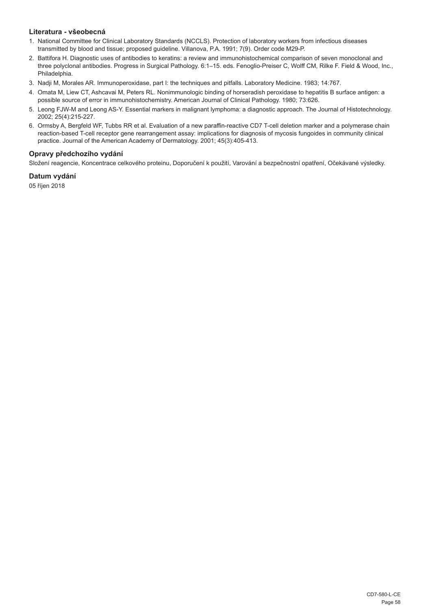## **Literatura - všeobecná**

- 1. National Committee for Clinical Laboratory Standards (NCCLS). Protection of laboratory workers from infectious diseases transmitted by blood and tissue; proposed guideline. Villanova, P.A. 1991; 7(9). Order code M29-P.
- 2. Battifora H. Diagnostic uses of antibodies to keratins: a review and immunohistochemical comparison of seven monoclonal and three polyclonal antibodies. Progress in Surgical Pathology. 6:1–15. eds. Fenoglio-Preiser C, Wolff CM, Rilke F. Field & Wood, Inc., Philadelphia.
- 3. Nadji M, Morales AR. Immunoperoxidase, part I: the techniques and pitfalls. Laboratory Medicine. 1983; 14:767.
- 4. Omata M, Liew CT, Ashcavai M, Peters RL. Nonimmunologic binding of horseradish peroxidase to hepatitis B surface antigen: a possible source of error in immunohistochemistry. American Journal of Clinical Pathology. 1980; 73:626.
- 5. Leong FJW-M and Leong AS-Y. Essential markers in malignant lymphoma: a diagnostic approach. The Journal of Histotechnology. 2002; 25(4):215-227.
- 6. Ormsby A, Bergfeld WF, Tubbs RR et al. Evaluation of a new paraffin-reactive CD7 T-cell deletion marker and a polymerase chain reaction-based T-cell receptor gene rearrangement assay: implications for diagnosis of mycosis fungoides in community clinical practice. Journal of the American Academy of Dermatology. 2001; 45(3):405-413.

## **Opravy předchozího vydání**

Složení reagencie, Koncentrace celkového proteinu, Doporučení k použití, Varování a bezpečnostní opatření, Očekávané výsledky.

## **Datum vydání**

05 říjen 2018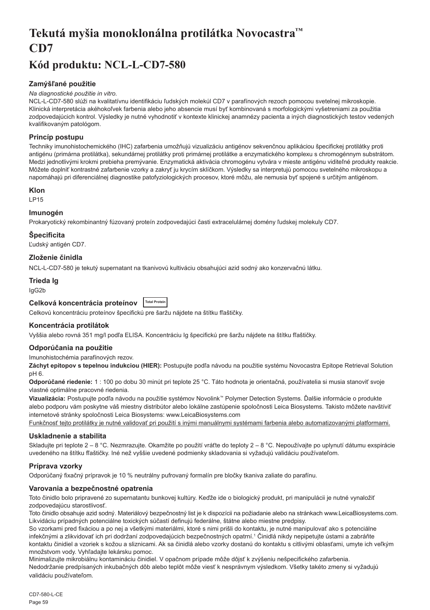## <span id="page-59-0"></span>**Tekutá myšia monoklonálna protilátka Novocastra™ CD7**

## **Kód produktu: NCL-L-CD7-580**

## **Zamýšľané použitie**

### *Na diagnostické použitie in vitro.*

NCL-L-CD7-580 slúži na kvalitatívnu identifikáciu ľudských molekúl CD7 v parafínových rezoch pomocou svetelnej mikroskopie. Klinická interpretácia akéhokoľvek farbenia alebo jeho absencie musí byť kombinovaná s morfologickými vyšetreniami za použitia zodpovedajúcich kontrol. Výsledky je nutné vyhodnotiť v kontexte klinickej anamnézy pacienta a iných diagnostických testov vedených kvalifikovaným patológom.

## **Princíp postupu**

Techniky imunohistochemického (IHC) zafarbenia umožňujú vizualizáciu antigénov sekvenčnou aplikáciou špecifickej protilátky proti antigénu (primárna protilátka), sekundárnej protilátky proti primárnej protilátke a enzymatického komplexu s chromogénnym substrátom. Medzi jednotlivými krokmi prebieha premývanie. Enzymatická aktivácia chromogénu vytvára v mieste antigénu viditeľné produkty reakcie. Môžete doplniť kontrastné zafarbenie vzorky a zakryť ju krycím sklíčkom. Výsledky sa interpretujú pomocou svetelného mikroskopu a napomáhajú pri diferenciálnej diagnostike patofyziologických procesov, ktoré môžu, ale nemusia byť spojené s určitým antigénom.

## **Klon**

LP15

## **Imunogén**

Prokaryotický rekombinantný fúzovaný proteín zodpovedajúci časti extracelulárnej domény ľudskej molekuly CD7.

## **Špecificita**

Ľudský antigén CD7.

## **Zloženie činidla**

NCL-L-CD7-580 je tekutý supernatant na tkanivovú kultiváciu obsahujúci azid sodný ako konzervačnú látku.

## **Trieda Ig**

IgG2b

## **Celková koncentrácia proteínov Total Protein**

Celkovú koncentráciu proteínov špecifickú pre šaržu nájdete na štítku fľaštičky.

## **Koncentrácia protilátok**

Vyššia alebo rovná 351 mg/l podľa ELISA. Koncentráciu Ig špecifickú pre šaržu nájdete na štítku fľaštičky.

## **Odporúčania na použitie**

Imunohistochémia parafínových rezov.

**Záchyt epitopov s tepelnou indukciou (HIER):** Postupujte podľa návodu na použitie systému Novocastra Epitope Retrieval Solution pH 6.

**Odporúčané riedenie:** 1 : 100 po dobu 30 minút pri teplote 25 °C. Táto hodnota je orientačná, používatelia si musia stanoviť svoje vlastné optimálne pracovné riedenia.

**Vizualizácia:** Postupujte podľa návodu na použitie systémov Novolink™ Polymer Detection Systems. Ďalšie informácie o produkte alebo podporu vám poskytne váš miestny distribútor alebo lokálne zastúpenie spoločnosti Leica Biosystems. Takisto môžete navštíviť internetové stránky spoločnosti Leica Biosystems: www.LeicaBiosystems.com

Funkčnosť tejto protilátky je nutné validovať pri použití s inými manuálnymi systémami farbenia alebo automatizovanými platformami.

## **Uskladnenie a stabilita**

Skladujte pri teplote 2 – 8 °C. Nezmrazujte. Okamžite po použití vráťte do teploty 2 – 8 °C. Nepoužívajte po uplynutí dátumu exspirácie uvedeného na štítku fľaštičky. Iné než vyššie uvedené podmienky skladovania si vyžadujú validáciu používateľom.

## **Príprava vzorky**

Odporúčaný fixačný prípravok je 10 % neutrálny pufrovaný formalín pre bločky tkaniva zaliate do parafínu.

## **Varovania a bezpečnostné opatrenia**

Toto činidlo bolo pripravené zo supernatantu bunkovej kultúry. Keďže ide o biologický produkt, pri manipulácii je nutné vynaložiť zodpovedajúcu starostlivosť.

Toto činidlo obsahuje azid sodný. Materiálový bezpečnostný list je k dispozícii na požiadanie alebo na stránkach www.LeicaBiosystems.com. Likvidáciu prípadných potenciálne toxických súčastí definujú federálne, štátne alebo miestne predpisy.

So vzorkami pred fixáciou a po nej a všetkými materiálmi, ktoré s nimi prišli do kontaktu, je nutné manipulovať ako s potenciálne infekčnými a zlikvidovať ich pri dodržaní zodpovedajúcich bezpečnostných opatrní.<sup>1</sup> Činidlá nikdy nepipetujte ústami a zabráňte kontaktu činidiel a vzoriek s kožou a sliznicami. Ak sa činidlá alebo vzorky dostanú do kontaktu s citlivými oblasťami, umyte ich veľkým množstvom vody. Vyhľadajte lekársku pomoc.

Minimalizujte mikrobiálnu kontamináciu činidiel. V opačnom prípade môže dôjsť k zvýšeniu nešpecifického zafarbenia. Nedodržanie predpísaných inkubačných dôb alebo teplôt môže viesť k nesprávnym výsledkom. Všetky takéto zmeny si vyžadujú validáciu používateľom.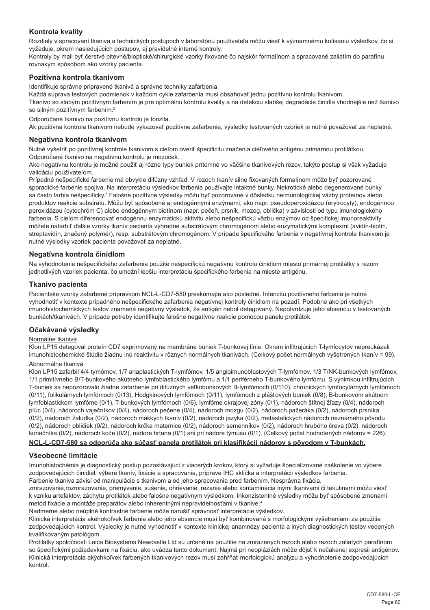## **Kontrola kvality**

Rozdiely v spracovaní tkaniva a technických postupoch v laboratóriu používateľa môžu viesť k významnému kolísaniu výsledkov, čo si vyžaduje, okrem nasledujúcich postupov, aj pravidelné interné kontroly.

Kontroly by mali byť čerstvé pitevné/bioptické/chirurgické vzorky fixované čo najskôr formalínom a spracované zaliatím do parafínu rovnakým spôsobom ako vzorky pacienta.

## **Pozitívna kontrola tkanivom**

Identifikuje správne pripravené tkanivá a správne techniky zafarbenia.

Každá súprava testových podmienok v každom cykle zafarbenia musí obsahovať jednu pozitívnu kontrolu tkanivom.

Tkanivo so slabým pozitívnym farbením je pre optimálnu kontrolu kvality a na detekciu slabšej degradácie činidla vhodnejšie než tkanivo so silným pozitívnym farbením.<sup>2</sup>

Odporúčané tkanivo na pozitívnu kontrolu je tonzila.

Ak pozitívna kontrola tkanivom nebude vykazovať pozitívne zafarbenie, výsledky testovaných vzoriek je nutné považovať za neplatné.

#### **Negatívna kontrola tkanivom**

Nutné vyšetriť po pozitívnej kontrole tkanivom s cieľom overiť špecificitu značenia cieľového antigénu primárnou protilátkou. Odporúčané tkanivo na negatívnu kontrolu je mozoček.

Ako negatívnu kontrolu je možné použiť aj rôzne typy buniek prítomné vo väčšine tkanivových rezov, takýto postup si však vyžaduje validáciu používateľom.

Prípadné nešpecifické farbenie má obvykle difúzny vzhľad. V rezoch tkanív silne fixovaných formalínom môže byť pozorované sporadické farbenie spojiva. Na interpretáciu výsledkov farbenia používajte intaktné bunky. Nekrotické alebo degenerované bunky sa často farbia nešpecificky.<sup>3</sup> Falošne pozitívne výsledky môžu byť pozorované v dôsledku neimunologickej väzby proteínov alebo produktov reakcie substrátu. Môžu byť spôsobené aj endogénnymi enzýmami, ako napr. pseudoperoxidázou (erytrocyty), endogénnou peroxidázou (cytochróm C) alebo endogénnym biotínom (napr. pečeň, prsník, mozog, oblička) v závislosti od typu imunologického farbenia. S cieľom diferencovať endogénnu enzymatickú aktivitu alebo nešpecifickú väzbu enzýmov od špecifickej imunoreaktivity môžete nafarbiť ďalšie vzorky tkanív pacienta výhradne substrátovým chromogénom alebo enzymatickými komplexmi (avidín-biotín, streptavidín, značený polymér), resp. substrátovým chromogénom. V prípade špecifického farbenia v negatívnej kontrole tkanivom je nutné výsledky vzoriek pacienta považovať za neplatné.

## **Negatívna kontrola činidlom**

Na vyhodnotenie nešpecifického zafarbenia použite nešpecifickú negatívnu kontrolu činidlom miesto primárnej protilátky s rezom jednotlivých vzoriek pacienta, čo umožní lepšiu interpretáciu špecifického farbenia na mieste antigénu.

## **Tkanivo pacienta**

Pacientske vzorky zafarbené prípravkom NCL-L-CD7-580 preskúmajte ako posledné. Intenzitu pozitívneho farbenia je nutné vyhodnotiť v kontexte prípadného nešpecifického zafarbenia negatívnej kontroly činidlom na pozadí. Podobne ako pri všetkých imunohistochemických testov znamená negatívny výsledok, že antigén nebol detegovaný. Nepotvrdzuje jeho absenciu v testovaných bunkách/tkanivách. V prípade potreby identifikujte falošne negatívne reakcie pomocou panelu protilátok.

#### **Očakávané výsledky**

#### Normálne tkanivá

Klon LP15 detegoval proteín CD7 exprimovaný na membráne buniek T-bunkovej línie. Okrem infiltrujúcich T-lymfocytov nepreukázali imunohistochemické štúdie žiadnu inú reaktivitu v rôznych normálnych tkanivách. (Celkový počet normálnych vyšetrených tkanív = 99).

## Abnormálne tkanivá

Klon LP15 zafarbil 4/4 tymómov, 1/7 anaplastických T-lymfómov, 1/5 angioimunoblastových T-lymfómov, 1/3 T/NK-bunkových lymfómov, 1/1 primitívneho B/T-bunkového akútneho lymfoblastického lymfómu a 1/1 periférneho T-bunkového lymfómu. S výnimkou infiltrujúcich T-buniek sa nepozorovalo žiadne zafarbenie pri difúznych veľkobunkových B-lymfómoch (0/110), chronických lymfocytárnych lymfómoch (0/11), folikulárnych lymfómoch (0/13), Hodgkinových lymfómoch (0/11), lymfómoch z plášťových buniek (0/8), B-bunkovom akútnom lymfoblastickom lymfóme (0/1), T-bunkových lymfómoch (0/6), lymfóme okrajovej zóny (0/1), nádoroch štítnej žľazy (0/4), nádoroch pľúc (0/4), nádoroch vaječníkov (0/4), nádoroch pečene (0/4), nádoroch mozgu (0/2), nádoroch pažeráka (0/2), nádoroch prsníka (0/2), nádoroch žalúdka (0/2), nádoroch mäkkých tkanív (0/2), nádoroch jazyka (0/2), metastatických nádoroch neznámeho pôvodu (0/2), nádoroch obličiek (0/2), nádoroch krčka maternice (0/2), nádoroch semenníkov (0/2), nádoroch hrubého čreva (0/2), nádoroch konečníka (0/2), nádoroch kože (0/2), nádore hrtana (0/1) ani pri nádore týmusu (0/1). (Celkový počet hodnotených nádorov = 226).

## **NCL-L-CD7-580 sa odporúča ako súčasť panela protilátok pri klasifikácii nádorov s pôvodom v T-bunkách.**

#### **Všeobecné limitácie**

Imunohistochémia je diagnostický postup pozostávajúci z viacerých krokov, ktorý si vyžaduje špecializované zaškolenie vo výbere zodpovedajúcich činidiel, výbere tkanív, fixácie a spracovania, príprave IHC sklíčka a interpretácii výsledkov farbenia. Farbenie tkaniva závisí od manipulácie s tkanivom a od jeho spracovania pred farbením. Nesprávna fixácia,

zmrazovanie,rozmrazovanie, premývanie, sušenie, ohrievanie, rezanie alebo kontaminácia inými tkanivami či tekutinami môžu viesť k vzniku artefaktov, záchytu protilátok alebo falošne negatívnym výsledkom. Inkonzistentné výsledky môžu byť spôsobené zmenami metód fixácie a montáže preparátov alebo inherentnými nepravidelnosťami v tkanive.<sup>4</sup>

Nadmerné alebo neúplné kontrastné farbenie môže narušiť správnosť interpretácie výsledkov.

Klinická interpretácia akéhokoľvek farbenia alebo jeho absencie musí byť kombinovaná s morfologickými vyšetreniami za použitia zodpovedajúcich kontrol. Výsledky je nutné vyhodnotiť v kontexte klinickej anamnézy pacienta a iných diagnostických testov vedených kvalifikovaným patológom.

Protilátky spoločnosti Leica Biosystems Newcastle Ltd sú určené na použitie na zmrazených rezoch alebo rezoch zaliatych parafínom so špecifickými požiadavkami na fixáciu, ako uvádza tento dokument. Najmä pri neopláziách môže dôjsť k nečakanej expresii antigénov. Klinická interpretácia akýchkoľvek farbených tkanivových rezov musí zahŕňať morfologickú analýzu a vyhodnotenie zodpovedajúcich kontrol.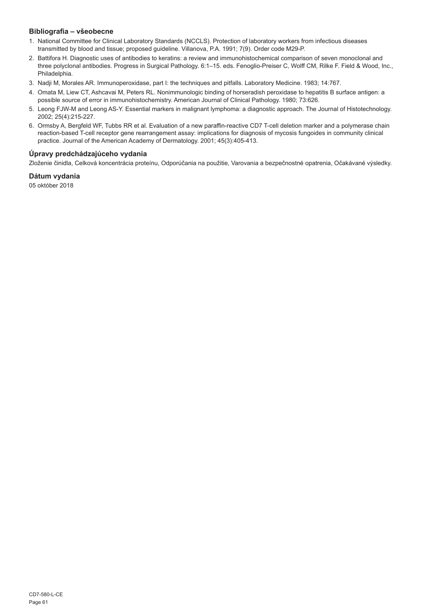## **Bibliografia – všeobecne**

- 1. National Committee for Clinical Laboratory Standards (NCCLS). Protection of laboratory workers from infectious diseases transmitted by blood and tissue; proposed guideline. Villanova, P.A. 1991; 7(9). Order code M29-P.
- 2. Battifora H. Diagnostic uses of antibodies to keratins: a review and immunohistochemical comparison of seven monoclonal and three polyclonal antibodies. Progress in Surgical Pathology. 6:1–15. eds. Fenoglio-Preiser C, Wolff CM, Rilke F. Field & Wood, Inc., Philadelphia.
- 3. Nadji M, Morales AR. Immunoperoxidase, part I: the techniques and pitfalls. Laboratory Medicine. 1983; 14:767.
- 4. Omata M, Liew CT, Ashcavai M, Peters RL. Nonimmunologic binding of horseradish peroxidase to hepatitis B surface antigen: a possible source of error in immunohistochemistry. American Journal of Clinical Pathology. 1980; 73:626.
- 5. Leong FJW-M and Leong AS-Y. Essential markers in malignant lymphoma: a diagnostic approach. The Journal of Histotechnology. 2002; 25(4):215-227.
- 6. Ormsby A, Bergfeld WF, Tubbs RR et al. Evaluation of a new paraffin-reactive CD7 T-cell deletion marker and a polymerase chain reaction-based T-cell receptor gene rearrangement assay: implications for diagnosis of mycosis fungoides in community clinical practice. Journal of the American Academy of Dermatology. 2001; 45(3):405-413.

## **Úpravy predchádzajúceho vydania**

Zloženie činidla, Celková koncentrácia proteínu, Odporúčania na použitie, Varovania a bezpečnostné opatrenia, Očakávané výsledky.

## **Dátum vydania**

05 október 2018